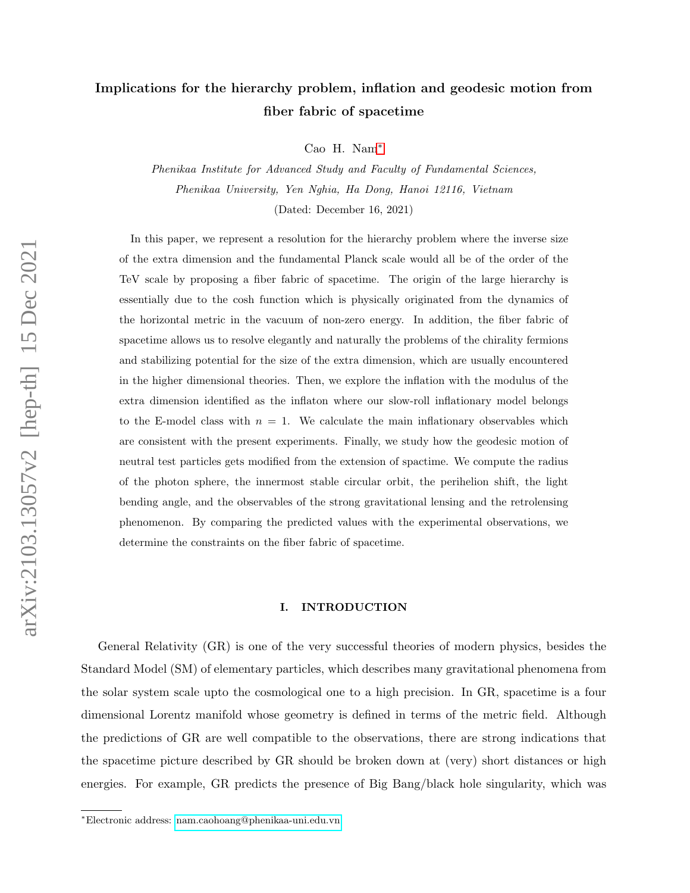# Implications for the hierarchy problem, inflation and geodesic motion from fiber fabric of spacetime

Cao H. Nam[∗](#page-0-0)

Phenikaa Institute for Advanced Study and Faculty of Fundamental Sciences, Phenikaa University, Yen Nghia, Ha Dong, Hanoi 12116, Vietnam (Dated: December 16, 2021)

In this paper, we represent a resolution for the hierarchy problem where the inverse size of the extra dimension and the fundamental Planck scale would all be of the order of the TeV scale by proposing a fiber fabric of spacetime. The origin of the large hierarchy is essentially due to the cosh function which is physically originated from the dynamics of the horizontal metric in the vacuum of non-zero energy. In addition, the fiber fabric of spacetime allows us to resolve elegantly and naturally the problems of the chirality fermions and stabilizing potential for the size of the extra dimension, which are usually encountered in the higher dimensional theories. Then, we explore the inflation with the modulus of the extra dimension identified as the inflaton where our slow-roll inflationary model belongs to the E-model class with  $n = 1$ . We calculate the main inflationary observables which are consistent with the present experiments. Finally, we study how the geodesic motion of neutral test particles gets modified from the extension of spactime. We compute the radius of the photon sphere, the innermost stable circular orbit, the perihelion shift, the light bending angle, and the observables of the strong gravitational lensing and the retrolensing phenomenon. By comparing the predicted values with the experimental observations, we determine the constraints on the fiber fabric of spacetime.

#### I. INTRODUCTION

General Relativity (GR) is one of the very successful theories of modern physics, besides the Standard Model (SM) of elementary particles, which describes many gravitational phenomena from the solar system scale upto the cosmological one to a high precision. In GR, spacetime is a four dimensional Lorentz manifold whose geometry is defined in terms of the metric field. Although the predictions of GR are well compatible to the observations, there are strong indications that the spacetime picture described by GR should be broken down at (very) short distances or high energies. For example, GR predicts the presence of Big Bang/black hole singularity, which was

<span id="page-0-0"></span><sup>∗</sup>Electronic address: [nam.caohoang@phenikaa-uni.edu.vn](mailto:nam.caohoang@phenikaa-uni.edu.vn)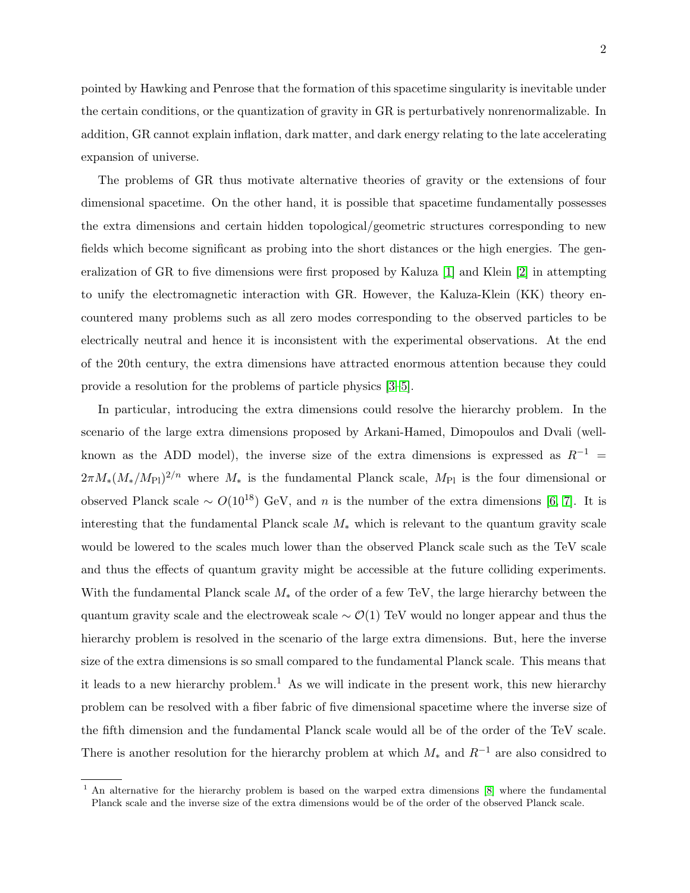pointed by Hawking and Penrose that the formation of this spacetime singularity is inevitable under the certain conditions, or the quantization of gravity in GR is perturbatively nonrenormalizable. In addition, GR cannot explain inflation, dark matter, and dark energy relating to the late accelerating expansion of universe.

The problems of GR thus motivate alternative theories of gravity or the extensions of four dimensional spacetime. On the other hand, it is possible that spacetime fundamentally possesses the extra dimensions and certain hidden topological/geometric structures corresponding to new fields which become significant as probing into the short distances or the high energies. The generalization of GR to five dimensions were first proposed by Kaluza [\[1\]](#page-42-0) and Klein [\[2\]](#page-42-1) in attempting to unify the electromagnetic interaction with GR. However, the Kaluza-Klein (KK) theory encountered many problems such as all zero modes corresponding to the observed particles to be electrically neutral and hence it is inconsistent with the experimental observations. At the end of the 20th century, the extra dimensions have attracted enormous attention because they could provide a resolution for the problems of particle physics [\[3–](#page-42-2)[5\]](#page-42-3).

In particular, introducing the extra dimensions could resolve the hierarchy problem. In the scenario of the large extra dimensions proposed by Arkani-Hamed, Dimopoulos and Dvali (wellknown as the ADD model), the inverse size of the extra dimensions is expressed as  $R^{-1}$  =  $2\pi M_*(M_*/M_{\rm Pl})^{2/n}$  where  $M_*$  is the fundamental Planck scale,  $M_{\rm Pl}$  is the four dimensional or observed Planck scale ~  $O(10^{18})$  GeV, and n is the number of the extra dimensions [\[6,](#page-42-4) [7\]](#page-42-5). It is interesting that the fundamental Planck scale  $M_*$  which is relevant to the quantum gravity scale would be lowered to the scales much lower than the observed Planck scale such as the TeV scale and thus the effects of quantum gravity might be accessible at the future colliding experiments. With the fundamental Planck scale  $M_*$  of the order of a few TeV, the large hierarchy between the quantum gravity scale and the electroweak scale  $\sim \mathcal{O}(1)$  TeV would no longer appear and thus the hierarchy problem is resolved in the scenario of the large extra dimensions. But, here the inverse size of the extra dimensions is so small compared to the fundamental Planck scale. This means that it leads to a new hierarchy problem.<sup>1</sup> As we will indicate in the present work, this new hierarchy problem can be resolved with a fiber fabric of five dimensional spacetime where the inverse size of the fifth dimension and the fundamental Planck scale would all be of the order of the TeV scale. There is another resolution for the hierarchy problem at which  $M_*$  and  $R^{-1}$  are also considred to

<sup>&</sup>lt;sup>1</sup> An alternative for the hierarchy problem is based on the warped extra dimensions  $[8]$  where the fundamental Planck scale and the inverse size of the extra dimensions would be of the order of the observed Planck scale.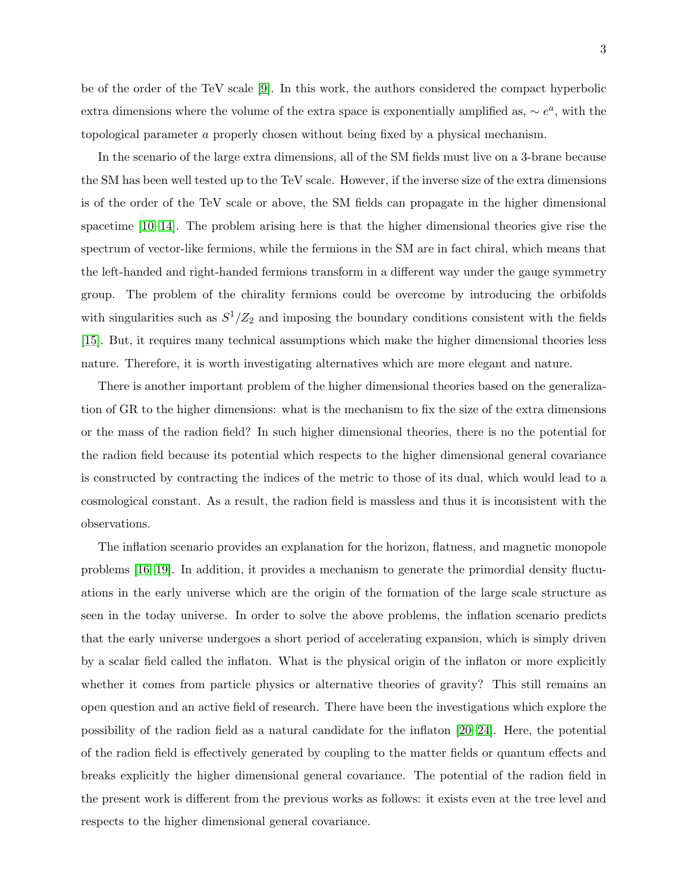In the scenario of the large extra dimensions, all of the SM fields must live on a 3-brane because the SM has been well tested up to the TeV scale. However, if the inverse size of the extra dimensions is of the order of the TeV scale or above, the SM fields can propagate in the higher dimensional spacetime [\[10–](#page-42-8)[14\]](#page-42-9). The problem arising here is that the higher dimensional theories give rise the spectrum of vector-like fermions, while the fermions in the SM are in fact chiral, which means that the left-handed and right-handed fermions transform in a different way under the gauge symmetry group. The problem of the chirality fermions could be overcome by introducing the orbifolds with singularities such as  $S^1/Z_2$  and imposing the boundary conditions consistent with the fields [\[15\]](#page-42-10). But, it requires many technical assumptions which make the higher dimensional theories less nature. Therefore, it is worth investigating alternatives which are more elegant and nature.

There is another important problem of the higher dimensional theories based on the generalization of GR to the higher dimensions: what is the mechanism to fix the size of the extra dimensions or the mass of the radion field? In such higher dimensional theories, there is no the potential for the radion field because its potential which respects to the higher dimensional general covariance is constructed by contracting the indices of the metric to those of its dual, which would lead to a cosmological constant. As a result, the radion field is massless and thus it is inconsistent with the observations.

The inflation scenario provides an explanation for the horizon, flatness, and magnetic monopole problems [\[16–](#page-42-11)[19\]](#page-42-12). In addition, it provides a mechanism to generate the primordial density fluctuations in the early universe which are the origin of the formation of the large scale structure as seen in the today universe. In order to solve the above problems, the inflation scenario predicts that the early universe undergoes a short period of accelerating expansion, which is simply driven by a scalar field called the inflaton. What is the physical origin of the inflaton or more explicitly whether it comes from particle physics or alternative theories of gravity? This still remains an open question and an active field of research. There have been the investigations which explore the possibility of the radion field as a natural candidate for the inflaton [\[20–](#page-42-13)[24\]](#page-43-0). Here, the potential of the radion field is effectively generated by coupling to the matter fields or quantum effects and breaks explicitly the higher dimensional general covariance. The potential of the radion field in the present work is different from the previous works as follows: it exists even at the tree level and respects to the higher dimensional general covariance.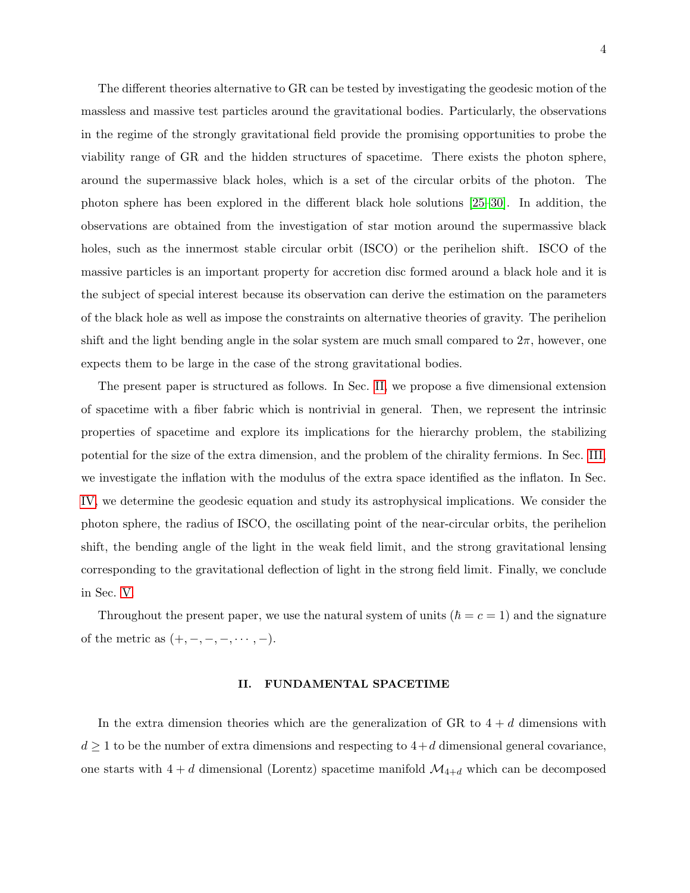The different theories alternative to GR can be tested by investigating the geodesic motion of the massless and massive test particles around the gravitational bodies. Particularly, the observations in the regime of the strongly gravitational field provide the promising opportunities to probe the viability range of GR and the hidden structures of spacetime. There exists the photon sphere, around the supermassive black holes, which is a set of the circular orbits of the photon. The photon sphere has been explored in the different black hole solutions [\[25–](#page-43-1)[30\]](#page-43-2). In addition, the observations are obtained from the investigation of star motion around the supermassive black holes, such as the innermost stable circular orbit (ISCO) or the perihelion shift. ISCO of the massive particles is an important property for accretion disc formed around a black hole and it is the subject of special interest because its observation can derive the estimation on the parameters of the black hole as well as impose the constraints on alternative theories of gravity. The perihelion shift and the light bending angle in the solar system are much small compared to  $2\pi$ , however, one expects them to be large in the case of the strong gravitational bodies.

The present paper is structured as follows. In Sec. [II,](#page-3-0) we propose a five dimensional extension of spacetime with a fiber fabric which is nontrivial in general. Then, we represent the intrinsic properties of spacetime and explore its implications for the hierarchy problem, the stabilizing potential for the size of the extra dimension, and the problem of the chirality fermions. In Sec. [III,](#page-18-0) we investigate the inflation with the modulus of the extra space identified as the inflaton. In Sec. [IV,](#page-21-0) we determine the geodesic equation and study its astrophysical implications. We consider the photon sphere, the radius of ISCO, the oscillating point of the near-circular orbits, the perihelion shift, the bending angle of the light in the weak field limit, and the strong gravitational lensing corresponding to the gravitational deflection of light in the strong field limit. Finally, we conclude in Sec. [V.](#page-38-0)

Throughout the present paper, we use the natural system of units  $(\hbar = c = 1)$  and the signature of the metric as  $(+,-,-,-,\cdots,-).$ 

#### <span id="page-3-0"></span>II. FUNDAMENTAL SPACETIME

In the extra dimension theories which are the generalization of GR to  $4 + d$  dimensions with  $d \geq 1$  to be the number of extra dimensions and respecting to  $4+d$  dimensional general covariance, one starts with  $4 + d$  dimensional (Lorentz) spacetime manifold  $\mathcal{M}_{4+d}$  which can be decomposed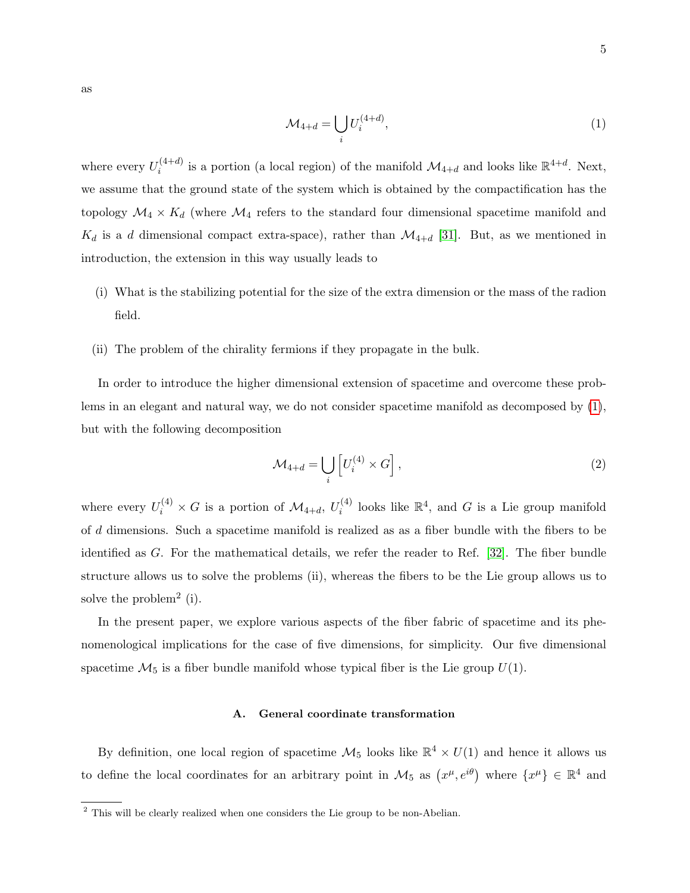<span id="page-4-0"></span>
$$
\mathcal{M}_{4+d} = \bigcup_{i} U_i^{(4+d)},\tag{1}
$$

where every  $U_i^{(4+d)}$  $i^{(4+d)}$  is a portion (a local region) of the manifold  $\mathcal{M}_{4+d}$  and looks like  $\mathbb{R}^{4+d}$ . Next, we assume that the ground state of the system which is obtained by the compactification has the topology  $\mathcal{M}_4 \times K_d$  (where  $\mathcal{M}_4$  refers to the standard four dimensional spacetime manifold and  $K_d$  is a d dimensional compact extra-space), rather than  $\mathcal{M}_{4+d}$  [\[31\]](#page-43-3). But, as we mentioned in introduction, the extension in this way usually leads to

- (i) What is the stabilizing potential for the size of the extra dimension or the mass of the radion field.
- (ii) The problem of the chirality fermions if they propagate in the bulk.

In order to introduce the higher dimensional extension of spacetime and overcome these problems in an elegant and natural way, we do not consider spacetime manifold as decomposed by [\(1\)](#page-4-0), but with the following decomposition

$$
\mathcal{M}_{4+d} = \bigcup_{i} \left[ U_i^{(4)} \times G \right],\tag{2}
$$

where every  $U_i^{(4)} \times G$  is a portion of  $\mathcal{M}_{4+d}$ ,  $U_i^{(4)}$  $\mathcal{E}_i^{(4)}$  looks like  $\mathbb{R}^4$ , and G is a Lie group manifold of d dimensions. Such a spacetime manifold is realized as as a fiber bundle with the fibers to be identified as G. For the mathematical details, we refer the reader to Ref. [\[32\]](#page-43-4). The fiber bundle structure allows us to solve the problems (ii), whereas the fibers to be the Lie group allows us to solve the problem<sup>2</sup> (i).

In the present paper, we explore various aspects of the fiber fabric of spacetime and its phenomenological implications for the case of five dimensions, for simplicity. Our five dimensional spacetime  $\mathcal{M}_5$  is a fiber bundle manifold whose typical fiber is the Lie group  $U(1)$ .

#### A. General coordinate transformation

By definition, one local region of spacetime  $\mathcal{M}_5$  looks like  $\mathbb{R}^4 \times U(1)$  and hence it allows us to define the local coordinates for an arbitrary point in  $\mathcal{M}_5$  as  $(x^{\mu}, e^{i\theta})$  where  $\{x^{\mu}\}\in \mathbb{R}^4$  and

<sup>&</sup>lt;sup>2</sup> This will be clearly realized when one considers the Lie group to be non-Abelian.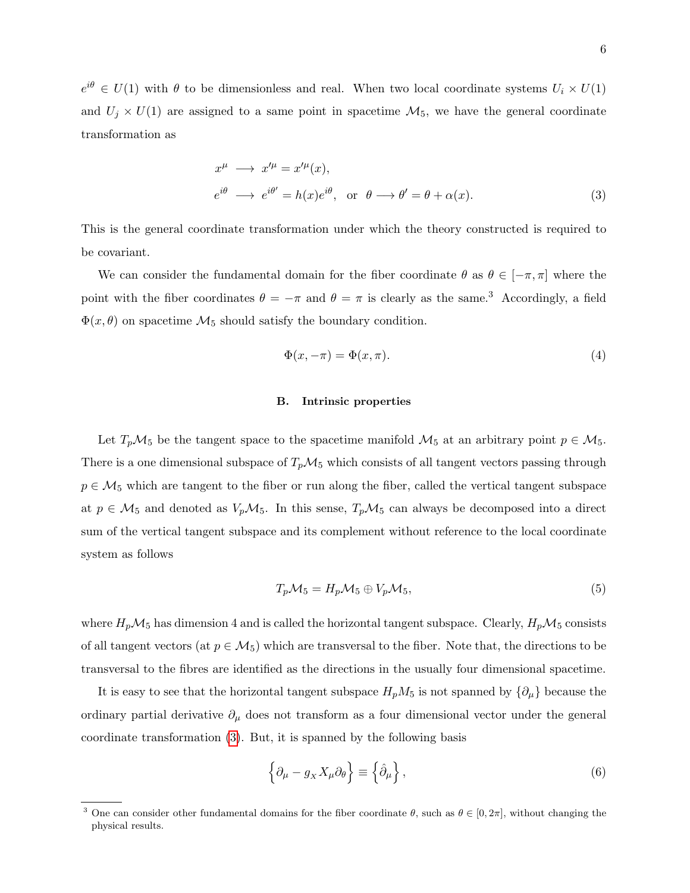$e^{i\theta} \in U(1)$  with  $\theta$  to be dimensionless and real. When two local coordinate systems  $U_i \times U(1)$ and  $U_j \times U(1)$  are assigned to a same point in spacetime  $\mathcal{M}_5$ , we have the general coordinate transformation as

<span id="page-5-0"></span>
$$
x^{\mu} \longrightarrow x'^{\mu} = x'^{\mu}(x),
$$
  
\n
$$
e^{i\theta} \longrightarrow e^{i\theta'} = h(x)e^{i\theta}, \text{ or } \theta \longrightarrow \theta' = \theta + \alpha(x).
$$
\n(3)

This is the general coordinate transformation under which the theory constructed is required to be covariant.

We can consider the fundamental domain for the fiber coordinate  $\theta$  as  $\theta \in [-\pi, \pi]$  where the point with the fiber coordinates  $\theta = -\pi$  and  $\theta = \pi$  is clearly as the same.<sup>3</sup> Accordingly, a field  $\Phi(x,\theta)$  on spacetime  $\mathcal{M}_5$  should satisfy the boundary condition.

<span id="page-5-1"></span>
$$
\Phi(x, -\pi) = \Phi(x, \pi). \tag{4}
$$

#### B. Intrinsic properties

Let  $T_p\mathcal{M}_5$  be the tangent space to the spacetime manifold  $\mathcal{M}_5$  at an arbitrary point  $p \in \mathcal{M}_5$ . There is a one dimensional subspace of  $T_p\mathcal{M}_5$  which consists of all tangent vectors passing through  $p \in \mathcal{M}_5$  which are tangent to the fiber or run along the fiber, called the vertical tangent subspace at  $p \in M_5$  and denoted as  $V_pM_5$ . In this sense,  $T_pM_5$  can always be decomposed into a direct sum of the vertical tangent subspace and its complement without reference to the local coordinate system as follows

$$
T_p \mathcal{M}_5 = H_p \mathcal{M}_5 \oplus V_p \mathcal{M}_5,\tag{5}
$$

where  $H_p\mathcal{M}_5$  has dimension 4 and is called the horizontal tangent subspace. Clearly,  $H_p\mathcal{M}_5$  consists of all tangent vectors (at  $p \in M_5$ ) which are transversal to the fiber. Note that, the directions to be transversal to the fibres are identified as the directions in the usually four dimensional spacetime.

It is easy to see that the horizontal tangent subspace  $H_pM_5$  is not spanned by  $\{\partial_\mu\}$  because the ordinary partial derivative  $\partial_{\mu}$  does not transform as a four dimensional vector under the general coordinate transformation [\(3\)](#page-5-0). But, it is spanned by the following basis

$$
\left\{\partial_{\mu} - g_{X} X_{\mu} \partial_{\theta}\right\} \equiv \left\{\hat{\partial}_{\mu}\right\},\tag{6}
$$

<sup>&</sup>lt;sup>3</sup> One can consider other fundamental domains for the fiber coordinate  $\theta$ , such as  $\theta \in [0, 2\pi]$ , without changing the physical results.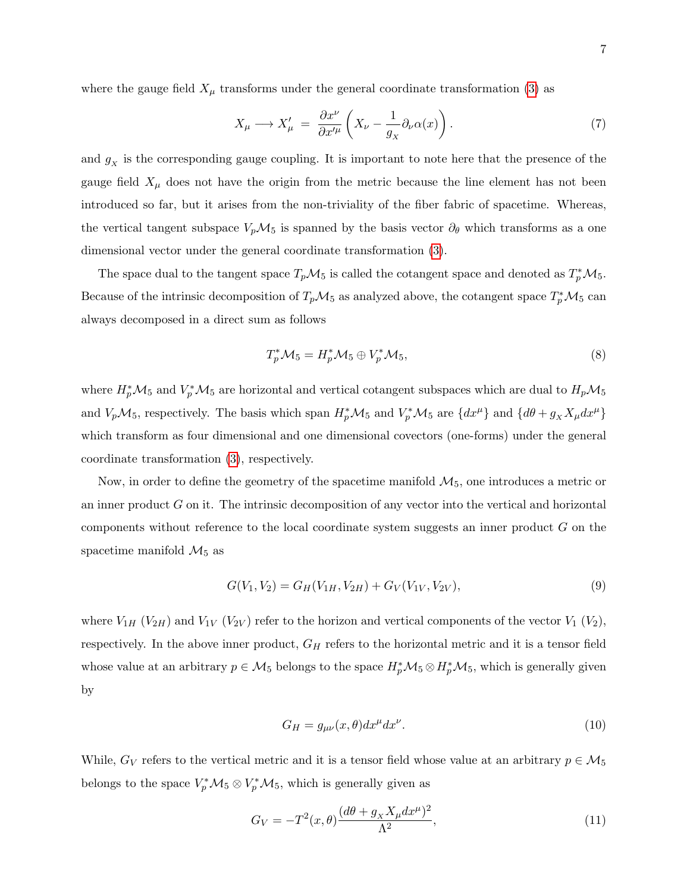where the gauge field  $X_{\mu}$  transforms under the general coordinate transformation [\(3\)](#page-5-0) as

$$
X_{\mu} \longrightarrow X_{\mu}' = \frac{\partial x^{\nu}}{\partial x^{\prime \mu}} \left( X_{\nu} - \frac{1}{g_{x}} \partial_{\nu} \alpha(x) \right). \tag{7}
$$

and  $g_X$  is the corresponding gauge coupling. It is important to note here that the presence of the gauge field  $X_\mu$  does not have the origin from the metric because the line element has not been introduced so far, but it arises from the non-triviality of the fiber fabric of spacetime. Whereas, the vertical tangent subspace  $V_p\mathcal{M}_5$  is spanned by the basis vector  $\partial_\theta$  which transforms as a one dimensional vector under the general coordinate transformation [\(3\)](#page-5-0).

The space dual to the tangent space  $T_p\mathcal{M}_5$  is called the cotangent space and denoted as  $T_p^*\mathcal{M}_5$ . Because of the intrinsic decomposition of  $T_p\mathcal{M}_5$  as analyzed above, the cotangent space  $T_p^*\mathcal{M}_5$  can always decomposed in a direct sum as follows

$$
T_p^* \mathcal{M}_5 = H_p^* \mathcal{M}_5 \oplus V_p^* \mathcal{M}_5,\tag{8}
$$

where  $H_p^*{\cal M}_5$  and  $V_p^*{\cal M}_5$  are horizontal and vertical cotangent subspaces which are dual to  $H_p{\cal M}_5$ and  $V_p \mathcal{M}_5$ , respectively. The basis which span  $H_p^* \mathcal{M}_5$  and  $V_p^* \mathcal{M}_5$  are  $\{dx^\mu\}$  and  $\{d\theta + g_X X_\mu dx^\mu\}$ which transform as four dimensional and one dimensional covectors (one-forms) under the general coordinate transformation [\(3\)](#page-5-0), respectively.

Now, in order to define the geometry of the spacetime manifold  $\mathcal{M}_5$ , one introduces a metric or an inner product  $G$  on it. The intrinsic decomposition of any vector into the vertical and horizontal components without reference to the local coordinate system suggests an inner product G on the spacetime manifold  $\mathcal{M}_5$  as

$$
G(V_1, V_2) = G_H(V_{1H}, V_{2H}) + G_V(V_{1V}, V_{2V}),
$$
\n(9)

where  $V_{1H}$  ( $V_{2H}$ ) and  $V_{1V}$  ( $V_{2V}$ ) refer to the horizon and vertical components of the vector  $V_1$  ( $V_2$ ), respectively. In the above inner product,  $G_H$  refers to the horizontal metric and it is a tensor field whose value at an arbitrary  $p \in M_5$  belongs to the space  $H_p^* \mathcal{M}_5 \otimes H_p^* \mathcal{M}_5$ , which is generally given by

$$
G_H = g_{\mu\nu}(x,\theta)dx^{\mu}dx^{\nu}.
$$
\n(10)

While,  $G_V$  refers to the vertical metric and it is a tensor field whose value at an arbitrary  $p \in M_5$ belongs to the space  $V_p^*{\cal M}_5 \otimes V_p^*{\cal M}_5$ , which is generally given as

<span id="page-6-0"></span>
$$
G_V = -T^2(x,\theta)\frac{(d\theta + g_X X_\mu dx^\mu)^2}{\Lambda^2},\tag{11}
$$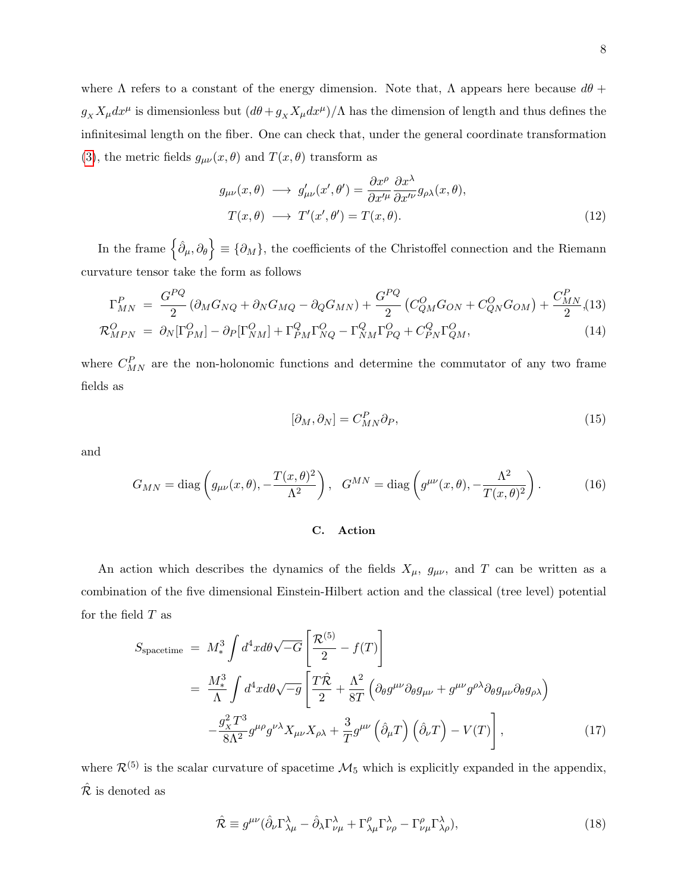where  $\Lambda$  refers to a constant of the energy dimension. Note that,  $\Lambda$  appears here because  $d\theta$  +  $g_X X_\mu dx^\mu$  is dimensionless but  $(d\theta + g_X X_\mu dx^\mu)/\Lambda$  has the dimension of length and thus defines the infinitesimal length on the fiber. One can check that, under the general coordinate transformation [\(3\)](#page-5-0), the metric fields  $g_{\mu\nu}(x,\theta)$  and  $T(x,\theta)$  transform as

<span id="page-7-1"></span>
$$
g_{\mu\nu}(x,\theta) \longrightarrow g'_{\mu\nu}(x',\theta') = \frac{\partial x^{\rho}}{\partial x'^{\mu}} \frac{\partial x^{\lambda}}{\partial x'^{\nu}} g_{\rho\lambda}(x,\theta),
$$
  

$$
T(x,\theta) \longrightarrow T'(x',\theta') = T(x,\theta).
$$
 (12)

In the frame  $\{\hat{\partial}_{\mu},\partial_{\theta}\}\equiv\{\partial_{M}\},\$  the coefficients of the Christoffel connection and the Riemann curvature tensor take the form as follows

<span id="page-7-2"></span>
$$
\Gamma_{MN}^{P} = \frac{G^{PQ}}{2} (\partial_{M} G_{NQ} + \partial_{N} G_{MQ} - \partial_{Q} G_{MN}) + \frac{G^{PQ}}{2} (C_{QM}^{O} G_{ON} + C_{QN}^{O} G_{OM}) + \frac{C_{MN}^{P}}{2} (13) \n\mathcal{R}_{MPN}^{O} = \partial_{N} [\Gamma_{PM}^{O}] - \partial_{P} [\Gamma_{NM}^{O}] + \Gamma_{PM}^{Q} \Gamma_{NQ}^{O} - \Gamma_{NM}^{Q} \Gamma_{PQ}^{O} + C_{PN}^{Q} \Gamma_{QM}^{O},
$$
\n(14)

where  $C_{MN}^P$  are the non-holonomic functions and determine the commutator of any two frame fields as

$$
[\partial_M, \partial_N] = C_{MN}^P \partial_P,\tag{15}
$$

and

$$
G_{MN} = \text{diag}\left(g_{\mu\nu}(x,\theta), -\frac{T(x,\theta)^2}{\Lambda^2}\right), \quad G^{MN} = \text{diag}\left(g^{\mu\nu}(x,\theta), -\frac{\Lambda^2}{T(x,\theta)^2}\right). \tag{16}
$$

#### C. Action

An action which describes the dynamics of the fields  $X_{\mu}$ ,  $g_{\mu\nu}$ , and T can be written as a combination of the five dimensional Einstein-Hilbert action and the classical (tree level) potential for the field  $T$  as

<span id="page-7-0"></span>
$$
S_{\text{spacetime}} = M_*^3 \int d^4x d\theta \sqrt{-G} \left[ \frac{\mathcal{R}^{(5)}}{2} - f(T) \right]
$$
  
=  $\frac{M_*^3}{\Lambda} \int d^4x d\theta \sqrt{-g} \left[ \frac{T\hat{\mathcal{R}}}{2} + \frac{\Lambda^2}{8T} \left( \partial_{\theta} g^{\mu\nu} \partial_{\theta} g_{\mu\nu} + g^{\mu\nu} g^{\rho\lambda} \partial_{\theta} g_{\mu\nu} \partial_{\theta} g_{\rho\lambda} \right) - \frac{g_X^2 T^3}{8\Lambda^2} g^{\mu\rho} g^{\nu\lambda} X_{\mu\nu} X_{\rho\lambda} + \frac{3}{T} g^{\mu\nu} \left( \hat{\partial}_{\mu} T \right) \left( \hat{\partial}_{\nu} T \right) - V(T) \right],$  (17)

where  $\mathcal{R}^{(5)}$  is the scalar curvature of spacetime  $\mathcal{M}_5$  which is explicitly expanded in the appendix,  $\hat{\mathcal{R}}$  is denoted as

$$
\hat{\mathcal{R}} \equiv g^{\mu\nu} (\hat{\partial}_{\nu} \Gamma^{\lambda}_{\lambda\mu} - \hat{\partial}_{\lambda} \Gamma^{\lambda}_{\nu\mu} + \Gamma^{\rho}_{\lambda\mu} \Gamma^{\lambda}_{\nu\rho} - \Gamma^{\rho}_{\nu\mu} \Gamma^{\lambda}_{\lambda\rho}), \tag{18}
$$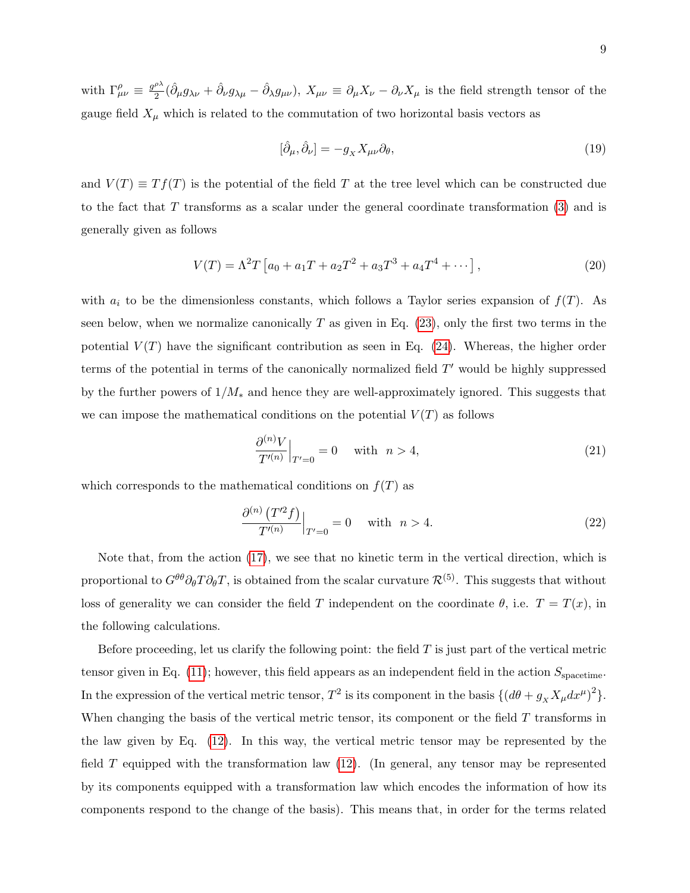with  $\Gamma^{\rho}_{\mu\nu} \equiv \frac{g^{\rho\lambda}}{2}$  $\frac{\partial^{\lambda}}{2}(\hat{\partial}_{\mu}g_{\lambda\nu}+\hat{\partial}_{\nu}g_{\lambda\mu}-\hat{\partial}_{\lambda}g_{\mu\nu}), X_{\mu\nu}\equiv \partial_{\mu}X_{\nu}-\partial_{\nu}X_{\mu}$  is the field strength tensor of the gauge field  $X_\mu$  which is related to the commutation of two horizontal basis vectors as

$$
[\hat{\partial}_{\mu}, \hat{\partial}_{\nu}] = -g_X X_{\mu\nu} \partial_{\theta},\tag{19}
$$

and  $V(T) \equiv Tf(T)$  is the potential of the field T at the tree level which can be constructed due to the fact that  $T$  transforms as a scalar under the general coordinate transformation  $(3)$  and is generally given as follows

$$
V(T) = \Lambda^2 T \left[ a_0 + a_1 T + a_2 T^2 + a_3 T^3 + a_4 T^4 + \dots \right],
$$
\n(20)

with  $a_i$  to be the dimensionless constants, which follows a Taylor series expansion of  $f(T)$ . As seen below, when we normalize canonically  $T$  as given in Eq. [\(23\)](#page-9-0), only the first two terms in the potential  $V(T)$  have the significant contribution as seen in Eq. [\(24\)](#page-9-1). Whereas, the higher order terms of the potential in terms of the canonically normalized field  $T'$  would be highly suppressed by the further powers of  $1/M_*$  and hence they are well-approximately ignored. This suggests that we can impose the mathematical conditions on the potential  $V(T)$  as follows

$$
\left. \frac{\partial^{(n)} V}{T'^{(n)}} \right|_{T'=0} = 0 \quad \text{ with} \quad n > 4,
$$
\n(21)

which corresponds to the mathematical conditions on  $f(T)$  as

$$
\frac{\partial^{(n)}\left(T'^{2}f\right)}{T'^{(n)}}\Big|_{T'=0} = 0 \quad \text{ with} \quad n > 4. \tag{22}
$$

Note that, from the action [\(17\)](#page-7-0), we see that no kinetic term in the vertical direction, which is proportional to  $G^{\theta\theta}\partial_{\theta}T\partial_{\theta}T$ , is obtained from the scalar curvature  $\mathcal{R}^{(5)}$ . This suggests that without loss of generality we can consider the field T independent on the coordinate  $\theta$ , i.e.  $T = T(x)$ , in the following calculations.

Before proceeding, let us clarify the following point: the field  $T$  is just part of the vertical metric tensor given in Eq. [\(11\)](#page-6-0); however, this field appears as an independent field in the action  $S_{\text{spacetime}}$ . In the expression of the vertical metric tensor,  $T^2$  is its component in the basis  $\{ (d\theta + g_X X_\mu dx^\mu)^2 \}$ . When changing the basis of the vertical metric tensor, its component or the field  $T$  transforms in the law given by Eq. [\(12\)](#page-7-1). In this way, the vertical metric tensor may be represented by the field T equipped with the transformation law [\(12\)](#page-7-1). (In general, any tensor may be represented by its components equipped with a transformation law which encodes the information of how its components respond to the change of the basis). This means that, in order for the terms related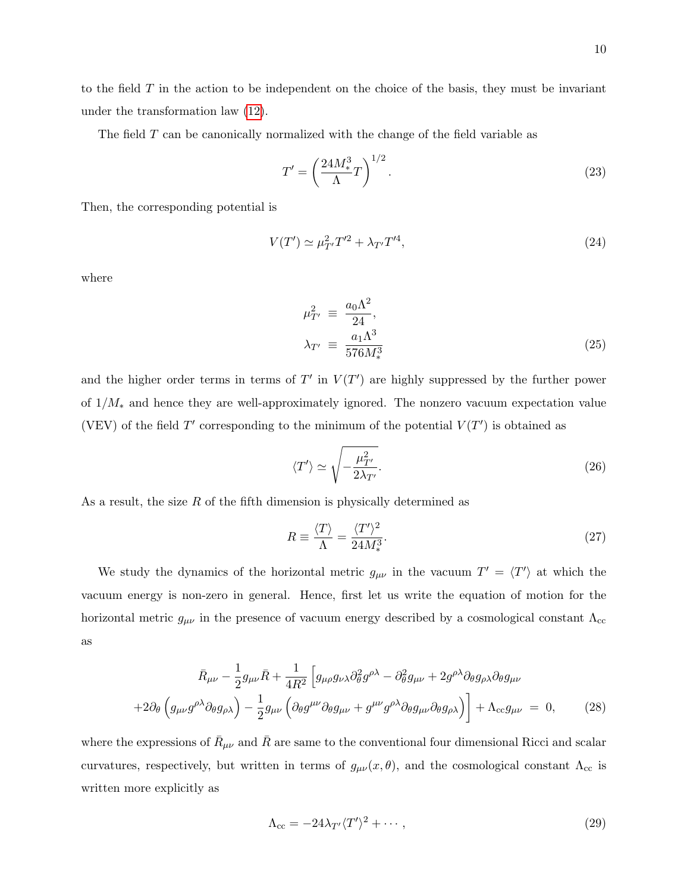to the field  $T$  in the action to be independent on the choice of the basis, they must be invariant under the transformation law [\(12\)](#page-7-1).

The field  $T$  can be canonically normalized with the change of the field variable as

<span id="page-9-0"></span>
$$
T' = \left(\frac{24M_*^3}{\Lambda}T\right)^{1/2}.\tag{23}
$$

Then, the corresponding potential is

<span id="page-9-1"></span>
$$
V(T') \simeq \mu_{T'}^2 T'^2 + \lambda_{T'} T'^4,\tag{24}
$$

where

$$
\mu_{T'}^2 \equiv \frac{a_0 \Lambda^2}{24},
$$
  

$$
\lambda_{T'} \equiv \frac{a_1 \Lambda^3}{576 M_*^3}
$$
 (25)

and the higher order terms in terms of  $T'$  in  $V(T')$  are highly suppressed by the further power of 1/M<sup>∗</sup> and hence they are well-approximately ignored. The nonzero vacuum expectation value (VEV) of the field  $T'$  corresponding to the minimum of the potential  $V(T')$  is obtained as

$$
\langle T' \rangle \simeq \sqrt{-\frac{\mu_{T'}^2}{2\lambda_{T'}}}. \tag{26}
$$

As a result, the size  $R$  of the fifth dimension is physically determined as

$$
R \equiv \frac{\langle T \rangle}{\Lambda} = \frac{\langle T' \rangle^2}{24M_*^3}.
$$
\n(27)

We study the dynamics of the horizontal metric  $g_{\mu\nu}$  in the vacuum  $T' = \langle T' \rangle$  at which the vacuum energy is non-zero in general. Hence, first let us write the equation of motion for the horizontal metric  $g_{\mu\nu}$  in the presence of vacuum energy described by a cosmological constant  $\Lambda_{cc}$ as

$$
\bar{R}_{\mu\nu} - \frac{1}{2} g_{\mu\nu} \bar{R} + \frac{1}{4R^2} \left[ g_{\mu\rho} g_{\nu\lambda} \partial^2_{\theta} g^{\rho\lambda} - \partial^2_{\theta} g_{\mu\nu} + 2g^{\rho\lambda} \partial_{\theta} g_{\rho\lambda} \partial_{\theta} g_{\mu\nu} \right] + 2\partial_{\theta} \left( g_{\mu\nu} g^{\rho\lambda} \partial_{\theta} g_{\rho\lambda} \right) - \frac{1}{2} g_{\mu\nu} \left( \partial_{\theta} g^{\mu\nu} \partial_{\theta} g_{\mu\nu} + g^{\mu\nu} g^{\rho\lambda} \partial_{\theta} g_{\mu\nu} \partial_{\theta} g_{\rho\lambda} \right) \right] + \Lambda_{cc} g_{\mu\nu} = 0,
$$
\n(28)

where the expressions of  $\bar{R}_{\mu\nu}$  and  $\bar{R}$  are same to the conventional four dimensional Ricci and scalar curvatures, respectively, but written in terms of  $g_{\mu\nu}(x,\theta)$ , and the cosmological constant  $\Lambda_{cc}$  is written more explicitly as

$$
\Lambda_{cc} = -24\lambda_{T'} \langle T'\rangle^2 + \cdots, \qquad (29)
$$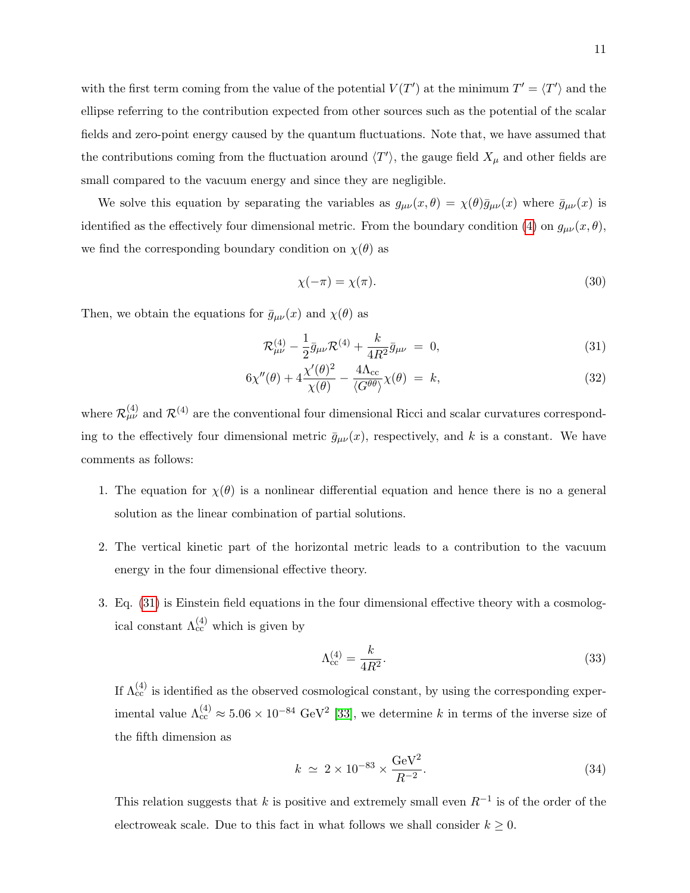with the first term coming from the value of the potential  $V(T')$  at the minimum  $T' = \langle T' \rangle$  and the ellipse referring to the contribution expected from other sources such as the potential of the scalar fields and zero-point energy caused by the quantum fluctuations. Note that, we have assumed that the contributions coming from the fluctuation around  $\langle T' \rangle$ , the gauge field  $X_\mu$  and other fields are small compared to the vacuum energy and since they are negligible.

We solve this equation by separating the variables as  $g_{\mu\nu}(x,\theta) = \chi(\theta)\bar{g}_{\mu\nu}(x)$  where  $\bar{g}_{\mu\nu}(x)$  is identified as the effectively four dimensional metric. From the boundary condition [\(4\)](#page-5-1) on  $g_{\mu\nu}(x,\theta)$ , we find the corresponding boundary condition on  $\chi(\theta)$  as

<span id="page-10-1"></span>
$$
\chi(-\pi) = \chi(\pi). \tag{30}
$$

Then, we obtain the equations for  $\bar{g}_{\mu\nu}(x)$  and  $\chi(\theta)$  as

<span id="page-10-0"></span>
$$
\mathcal{R}^{(4)}_{\mu\nu} - \frac{1}{2}\bar{g}_{\mu\nu}\mathcal{R}^{(4)} + \frac{k}{4R^2}\bar{g}_{\mu\nu} = 0, \qquad (31)
$$

$$
6\chi''(\theta) + 4\frac{\chi'(\theta)^2}{\chi(\theta)} - \frac{4\Lambda_{cc}}{\langle G^{\theta\theta} \rangle} \chi(\theta) = k,
$$
\n(32)

where  $\mathcal{R}_{\mu\nu}^{(4)}$  and  $\mathcal{R}^{(4)}$  are the conventional four dimensional Ricci and scalar curvatures corresponding to the effectively four dimensional metric  $\bar{g}_{\mu\nu}(x)$ , respectively, and k is a constant. We have comments as follows:

- 1. The equation for  $\chi(\theta)$  is a nonlinear differential equation and hence there is no a general solution as the linear combination of partial solutions.
- 2. The vertical kinetic part of the horizontal metric leads to a contribution to the vacuum energy in the four dimensional effective theory.
- 3. Eq. [\(31\)](#page-10-0) is Einstein field equations in the four dimensional effective theory with a cosmological constant  $\Lambda_{cc}^{(4)}$  which is given by

$$
\Lambda_{\rm cc}^{(4)} = \frac{k}{4R^2}.\tag{33}
$$

If  $\Lambda_{cc}^{(4)}$  is identified as the observed cosmological constant, by using the corresponding experimental value  $\Lambda_{cc}^{(4)} \approx 5.06 \times 10^{-84} \text{ GeV}^2$  [\[33\]](#page-43-5), we determine k in terms of the inverse size of the fifth dimension as

$$
k \simeq 2 \times 10^{-83} \times \frac{\text{GeV}^2}{R^{-2}}.
$$
\n
$$
(34)
$$

This relation suggests that k is positive and extremely small even  $R^{-1}$  is of the order of the electroweak scale. Due to this fact in what follows we shall consider  $k \geq 0$ .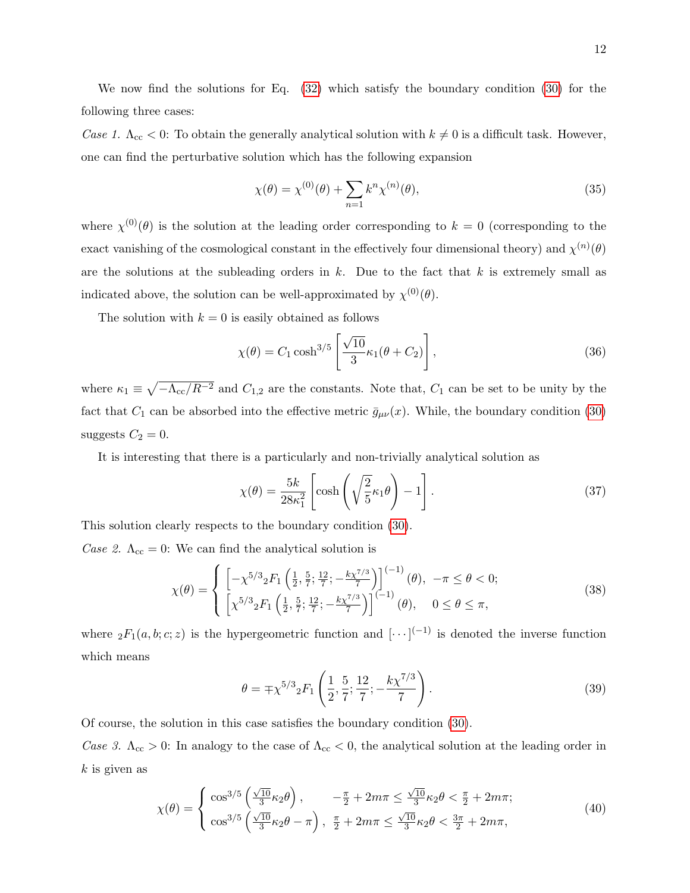We now find the solutions for Eq. [\(32\)](#page-10-0) which satisfy the boundary condition [\(30\)](#page-10-1) for the following three cases:

Case 1.  $\Lambda_{\rm cc}$  < 0: To obtain the generally analytical solution with  $k \neq 0$  is a difficult task. However, one can find the perturbative solution which has the following expansion

$$
\chi(\theta) = \chi^{(0)}(\theta) + \sum_{n=1} k^n \chi^{(n)}(\theta),
$$
\n(35)

where  $\chi^{(0)}(\theta)$  is the solution at the leading order corresponding to  $k = 0$  (corresponding to the exact vanishing of the cosmological constant in the effectively four dimensional theory) and  $\chi^{(n)}(\theta)$ are the solutions at the subleading orders in  $k$ . Due to the fact that  $k$  is extremely small as indicated above, the solution can be well-approximated by  $\chi^{(0)}(\theta)$ .

The solution with  $k = 0$  is easily obtained as follows

<span id="page-11-0"></span>
$$
\chi(\theta) = C_1 \cosh^{3/5} \left[ \frac{\sqrt{10}}{3} \kappa_1(\theta + C_2) \right],\tag{36}
$$

where  $\kappa_1 \equiv \sqrt{-\Lambda_{cc}/R^{-2}}$  and  $C_{1,2}$  are the constants. Note that,  $C_1$  can be set to be unity by the fact that  $C_1$  can be absorbed into the effective metric  $\bar{g}_{\mu\nu}(x)$ . While, the boundary condition [\(30\)](#page-10-1) suggests  $C_2 = 0$ .

It is interesting that there is a particularly and non-trivially analytical solution as

<span id="page-11-1"></span>
$$
\chi(\theta) = \frac{5k}{28\kappa_1^2} \left[ \cosh\left(\sqrt{\frac{2}{5}}\kappa_1\theta\right) - 1 \right].
$$
 (37)

This solution clearly respects to the boundary condition [\(30\)](#page-10-1).

Case 2.  $\Lambda_{\text{cc}} = 0$ : We can find the analytical solution is

<span id="page-11-2"></span>
$$
\chi(\theta) = \begin{cases} \left[ -\chi^{5/3} {}_{2}F_{1}\left(\frac{1}{2}, \frac{5}{7}; \frac{12}{7}; -\frac{k\chi^{7/3}}{7}\right) \right]^{(-1)}(\theta), & -\pi \leq \theta < 0; \\ \left[ \chi^{5/3} {}_{2}F_{1}\left(\frac{1}{2}, \frac{5}{7}; \frac{12}{7}; -\frac{k\chi^{7/3}}{7}\right) \right]^{(-1)}(\theta), & 0 \leq \theta \leq \pi, \end{cases}
$$
(38)

where  ${}_2F_1(a,b;c;z)$  is the hypergeometric function and  $[\cdots]^{(-1)}$  is denoted the inverse function which means

$$
\theta = \mp \chi^{5/3} {}_{2}F_{1}\left(\frac{1}{2}, \frac{5}{7}; \frac{12}{7}; -\frac{k\chi^{7/3}}{7}\right). \tag{39}
$$

Of course, the solution in this case satisfies the boundary condition [\(30\)](#page-10-1).

Case 3.  $\Lambda_{\rm cc} > 0$ : In analogy to the case of  $\Lambda_{\rm cc} < 0$ , the analytical solution at the leading order in  $k$  is given as

<span id="page-11-3"></span>
$$
\chi(\theta) = \begin{cases} \cos^{3/5} \left( \frac{\sqrt{10}}{3} \kappa_2 \theta \right), & -\frac{\pi}{2} + 2m\pi \le \frac{\sqrt{10}}{3} \kappa_2 \theta < \frac{\pi}{2} + 2m\pi; \\ \cos^{3/5} \left( \frac{\sqrt{10}}{3} \kappa_2 \theta - \pi \right), & \frac{\pi}{2} + 2m\pi \le \frac{\sqrt{10}}{3} \kappa_2 \theta < \frac{3\pi}{2} + 2m\pi, \end{cases}
$$
(40)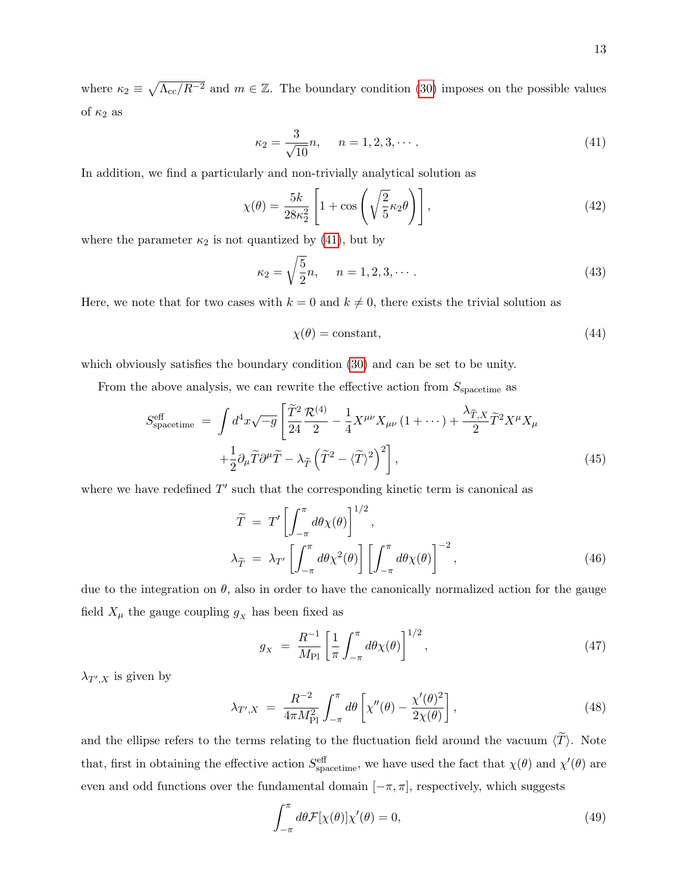where  $\kappa_2 \equiv \sqrt{\Lambda_{cc}/R^{-2}}$  and  $m \in \mathbb{Z}$ . The boundary condition [\(30\)](#page-10-1) imposes on the possible values of  $\kappa_2$  as

<span id="page-12-0"></span>
$$
\kappa_2 = \frac{3}{\sqrt{10}}n, \quad n = 1, 2, 3, \cdots.
$$
 (41)

In addition, we find a particularly and non-trivially analytical solution as

<span id="page-12-1"></span>
$$
\chi(\theta) = \frac{5k}{28\kappa_2^2} \left[ 1 + \cos\left(\sqrt{\frac{2}{5}}\kappa_2\theta\right) \right],\tag{42}
$$

where the parameter  $\kappa_2$  is not quantized by [\(41\)](#page-12-0), but by

$$
\kappa_2 = \sqrt{\frac{5}{2}}n, \quad n = 1, 2, 3, \cdots.
$$
 (43)

Here, we note that for two cases with  $k = 0$  and  $k \neq 0$ , there exists the trivial solution as

<span id="page-12-2"></span>
$$
\chi(\theta) = \text{constant},\tag{44}
$$

which obviously satisfies the boundary condition [\(30\)](#page-10-1) and can be set to be unity.

From the above analysis, we can rewrite the effective action from  $S_{\text{spacetime}}$  as

<span id="page-12-3"></span>
$$
S_{\text{spacetime}}^{\text{eff}} = \int d^4x \sqrt{-g} \left[ \frac{\tilde{T}^2}{24} \frac{\mathcal{R}^{(4)}}{2} - \frac{1}{4} X^{\mu\nu} X_{\mu\nu} (1 + \cdots) + \frac{\lambda_{\tilde{T},X}}{2} \tilde{T}^2 X^{\mu} X_{\mu} \right. \\
\left. + \frac{1}{2} \partial_{\mu} \tilde{T} \partial^{\mu} \tilde{T} - \lambda_{\tilde{T}} \left( \tilde{T}^2 - \langle \tilde{T} \rangle^2 \right)^2 \right],
$$
\n(45)

where we have redefined  $T'$  such that the corresponding kinetic term is canonical as

$$
\widetilde{T} = T' \left[ \int_{-\pi}^{\pi} d\theta \chi(\theta) \right]^{1/2},
$$
\n
$$
\lambda_{\widetilde{T}} = \lambda_{T'} \left[ \int_{-\pi}^{\pi} d\theta \chi^2(\theta) \right] \left[ \int_{-\pi}^{\pi} d\theta \chi(\theta) \right]^{-2},
$$
\n(46)

due to the integration on  $\theta$ , also in order to have the canonically normalized action for the gauge field  $X_\mu$  the gauge coupling  $g_X$  has been fixed as

$$
g_X = \frac{R^{-1}}{M_{\text{Pl}}} \left[ \frac{1}{\pi} \int_{-\pi}^{\pi} d\theta \chi(\theta) \right]^{1/2}, \tag{47}
$$

 $\lambda_{T',X}$  is given by

$$
\lambda_{T',X} \ = \ \frac{R^{-2}}{4\pi M_{\rm Pl}^2} \int_{-\pi}^{\pi} d\theta \left[ \chi''(\theta) - \frac{\chi'(\theta)^2}{2\chi(\theta)} \right],\tag{48}
$$

and the ellipse refers to the terms relating to the fluctuation field around the vacuum  $\langle \tilde{T} \rangle$ . Note that, first in obtaining the effective action  $S_{\text{spacetime}}^{\text{eff}}$ , we have used the fact that  $\chi(\theta)$  and  $\chi'(\theta)$  are even and odd functions over the fundamental domain  $[-\pi, \pi]$ , respectively, which suggests

$$
\int_{-\pi}^{\pi} d\theta \mathcal{F}[\chi(\theta)] \chi'(\theta) = 0, \qquad (49)
$$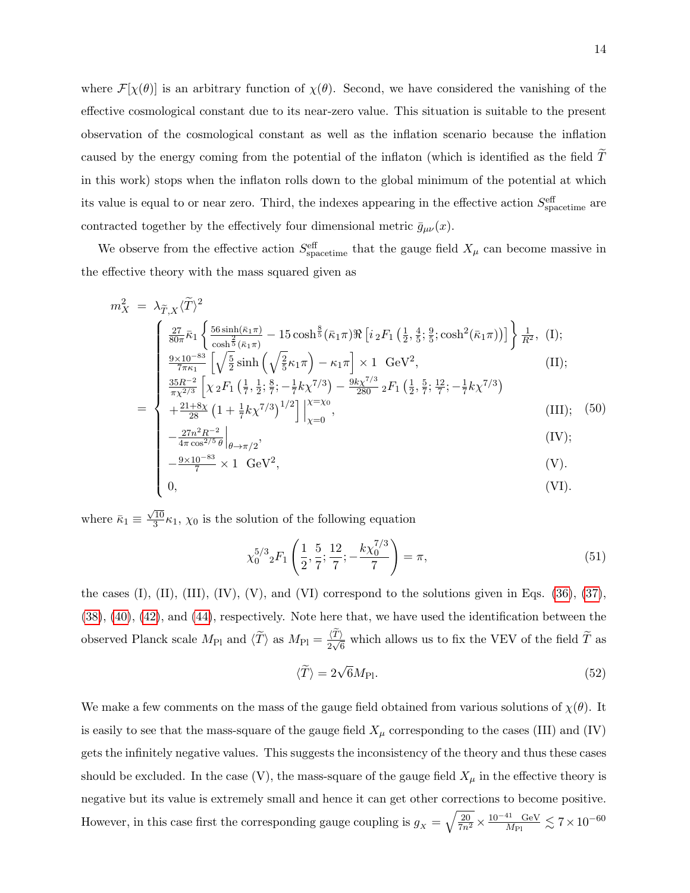where  $\mathcal{F}[\chi(\theta)]$  is an arbitrary function of  $\chi(\theta)$ . Second, we have considered the vanishing of the effective cosmological constant due to its near-zero value. This situation is suitable to the present observation of the cosmological constant as well as the inflation scenario because the inflation caused by the energy coming from the potential of the inflaton (which is identified as the field  $\overline{T}$ in this work) stops when the inflaton rolls down to the global minimum of the potential at which its value is equal to or near zero. Third, the indexes appearing in the effective action  $S_{\text{spacetime}}^{\text{eff}}$  are contracted together by the effectively four dimensional metric  $\bar{g}_{\mu\nu}(x)$ .

We observe from the effective action  $S_{\text{spacetime}}^{\text{eff}}$  that the gauge field  $X_{\mu}$  can become massive in the effective theory with the mass squared given as

$$
m_X^2 = \lambda_{\widetilde{T},X} \langle \widetilde{T} \rangle^2
$$
\n
$$
\begin{cases}\n\frac{27}{80\pi} \bar{\kappa}_1 \left\{ \frac{56 \sinh(\bar{\kappa}_1 \pi)}{\cosh \frac{2}{5} (\bar{\kappa}_1 \pi)} - 15 \cosh \frac{8}{5} (\bar{\kappa}_1 \pi) \Re \left[ i_2 F_1 \left( \frac{1}{2}, \frac{4}{5}; \frac{9}{5}; \cosh^2(\bar{\kappa}_1 \pi) \right) \right] \right\} \frac{1}{R^2}, (I); \\
\frac{9 \times 10^{-83}}{7\pi \kappa_1} \left[ \sqrt{\frac{5}{2}} \sinh \left( \sqrt{\frac{2}{5}} \kappa_1 \pi \right) - \kappa_1 \pi \right] \times 1 \text{ GeV}^2, \\
\frac{35R^{-2}}{\pi \chi^{2/3}} \left[ \chi_2 F_1 \left( \frac{1}{7}, \frac{1}{2}; \frac{8}{7}; -\frac{1}{7} k \chi^{7/3} \right) - \frac{9k\chi^{7/3}}{280} {}_2 F_1 \left( \frac{1}{2}, \frac{5}{7}; \frac{12}{7}; -\frac{1}{7} k \chi^{7/3} \right) \\
+ \frac{21+8\chi}{\pi \chi^{2/3}} \left[ (1 + \frac{1}{8} k \chi^{7/3})^{1/2} \right] \Big|^{X=X_0}.\n\end{cases} (III): (50)
$$

$$
= \begin{cases} +\frac{21+8\chi}{28} \left(1 + \frac{1}{7}k\chi^{7/3}\right)^{1/2} \Big|_{\chi=0}^{\chi=\chi_0}, & \text{(III)}; \quad (50) \\ -\frac{27n^2R^{-2}}{2} \Big| & \text{(IV)}; \end{cases}
$$

$$
\begin{vmatrix}\n-\frac{27n^2R^{-2}}{4\pi\cos^{2/5}\theta}\Big|_{\theta\to\pi/2}, & (IV); \\
-\frac{9\times10^{-83}}{7}\times1\ \text{GeV}^2, & (V).\n\end{vmatrix}
$$
\n(IV):  
\n(IV):  
\n(0,

$$
\left[-\frac{9\times10^{-83}}{7}\times1\right] GeV^2,
$$
 (V).

$$
0,\t\t (VI).
$$

where  $\bar{\kappa}_1 \equiv$  $\sqrt{10}$  $\frac{10}{3}\kappa_1$ ,  $\chi_0$  is the solution of the following equation

$$
\chi_0^{5/3} {}_2F_1\left(\frac{1}{2}, \frac{5}{7}; \frac{12}{7}; -\frac{k\chi_0^{7/3}}{7}\right) = \pi,\tag{51}
$$

the cases (I), (II), (III), (IV), (V), and (VI) correspond to the solutions given in Eqs.  $(36)$ ,  $(37)$ , [\(38\)](#page-11-2), [\(40\)](#page-11-3), [\(42\)](#page-12-1), and [\(44\)](#page-12-2), respectively. Note here that, we have used the identification between the observed Planck scale  $M_{\text{Pl}}$  and  $\langle \widetilde{T} \rangle$  as  $M_{\text{Pl}} = \frac{\langle T \rangle}{2\sqrt{6}}$  which allows us to fix the VEV of the field  $\widetilde{T}$  as

$$
\langle \widetilde{T} \rangle = 2\sqrt{6}M_{\text{Pl}}.\tag{52}
$$

We make a few comments on the mass of the gauge field obtained from various solutions of  $\chi(\theta)$ . It is easily to see that the mass-square of the gauge field  $X_\mu$  corresponding to the cases (III) and (IV) gets the infinitely negative values. This suggests the inconsistency of the theory and thus these cases should be excluded. In the case  $(V)$ , the mass-square of the gauge field  $X_{\mu}$  in the effective theory is negative but its value is extremely small and hence it can get other corrections to become positive. However, in this case first the corresponding gauge coupling is  $g_X = \sqrt{\frac{20}{7n^2}} \times \frac{10^{-41} \text{ GeV}}{M_{\text{Pl}}}$  $\frac{\text{^{41}}}{M_{\text{Pl}}}\lesssim 7\!\times\!10^{-60}$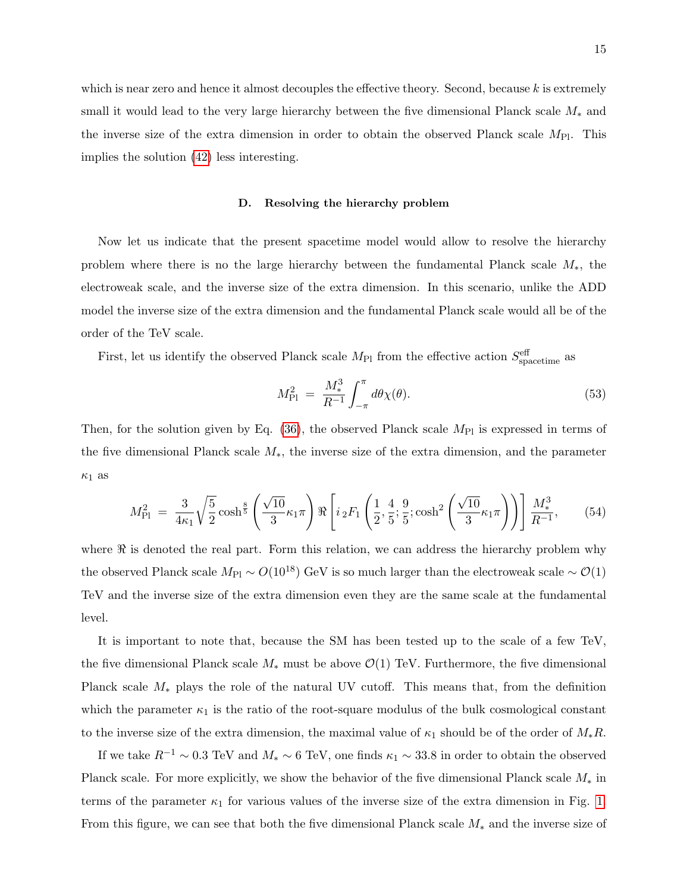which is near zero and hence it almost decouples the effective theory. Second, because k is extremely small it would lead to the very large hierarchy between the five dimensional Planck scale  $M_*$  and the inverse size of the extra dimension in order to obtain the observed Planck scale  $M_{\text{Pl}}$ . This implies the solution [\(42\)](#page-12-1) less interesting.

#### D. Resolving the hierarchy problem

Now let us indicate that the present spacetime model would allow to resolve the hierarchy problem where there is no the large hierarchy between the fundamental Planck scale M∗, the electroweak scale, and the inverse size of the extra dimension. In this scenario, unlike the ADD model the inverse size of the extra dimension and the fundamental Planck scale would all be of the order of the TeV scale.

First, let us identify the observed Planck scale  $M_{\text{Pl}}$  from the effective action  $S_{\text{spacetime}}^{\text{eff}}$  as

<span id="page-14-0"></span>
$$
M_{\rm Pl}^2 \ = \ \frac{M_*^3}{R^{-1}} \int_{-\pi}^{\pi} d\theta \chi(\theta). \tag{53}
$$

Then, for the solution given by Eq.  $(36)$ , the observed Planck scale  $M_{\text{Pl}}$  is expressed in terms of the five dimensional Planck scale  $M_*$ , the inverse size of the extra dimension, and the parameter  $\kappa_1$  as

$$
M_{\rm Pl}^2 = \frac{3}{4\kappa_1} \sqrt{\frac{5}{2}} \cosh^{\frac{8}{5}} \left( \frac{\sqrt{10}}{3} \kappa_1 \pi \right) \Re \left[ i_2 F_1 \left( \frac{1}{2}, \frac{4}{5}; \frac{9}{5}; \cosh^2 \left( \frac{\sqrt{10}}{3} \kappa_1 \pi \right) \right) \right] \frac{M_*^3}{R^{-1}},\tag{54}
$$

where  $\Re$  is denoted the real part. Form this relation, we can address the hierarchy problem why the observed Planck scale  $M_{\rm Pl} \sim O(10^{18})$  GeV is so much larger than the electroweak scale  $\sim O(1)$ TeV and the inverse size of the extra dimension even they are the same scale at the fundamental level.

It is important to note that, because the SM has been tested up to the scale of a few TeV, the five dimensional Planck scale  $M_*$  must be above  $\mathcal{O}(1)$  TeV. Furthermore, the five dimensional Planck scale  $M_*$  plays the role of the natural UV cutoff. This means that, from the definition which the parameter  $\kappa_1$  is the ratio of the root-square modulus of the bulk cosmological constant to the inverse size of the extra dimension, the maximal value of  $\kappa_1$  should be of the order of  $M_*R$ .

If we take  $R^{-1} \sim 0.3$  TeV and  $M_* \sim 6$  TeV, one finds  $\kappa_1 \sim 33.8$  in order to obtain the observed Planck scale. For more explicitly, we show the behavior of the five dimensional Planck scale  $M_*$  in terms of the parameter  $\kappa_1$  for various values of the inverse size of the extra dimension in Fig. [1.](#page-15-0) From this figure, we can see that both the five dimensional Planck scale  $M_*$  and the inverse size of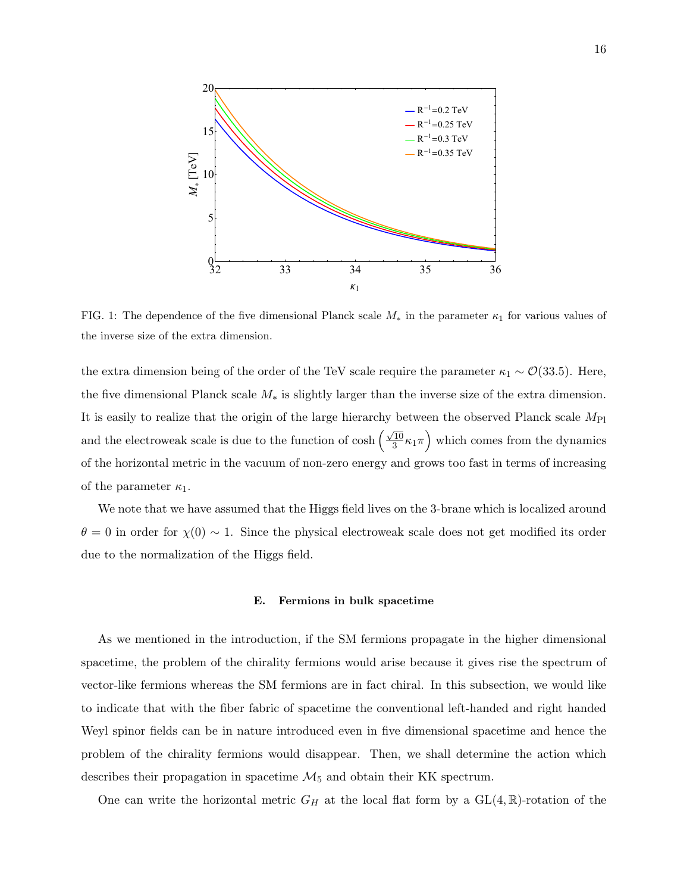

<span id="page-15-0"></span>FIG. 1: The dependence of the five dimensional Planck scale  $M_*$  in the parameter  $\kappa_1$  for various values of the inverse size of the extra dimension.

the extra dimension being of the order of the TeV scale require the parameter  $\kappa_1 \sim \mathcal{O}(33.5)$ . Here, the five dimensional Planck scale M<sup>∗</sup> is slightly larger than the inverse size of the extra dimension. It is easily to realize that the origin of the large hierarchy between the observed Planck scale  $M_{\text{Pl}}$ and the electroweak scale is due to the function of cosh  $\left(\frac{\sqrt{10}}{3}\right)$  $\sqrt{\frac{10}{3}}\kappa_1\pi$  which comes from the dynamics of the horizontal metric in the vacuum of non-zero energy and grows too fast in terms of increasing of the parameter  $\kappa_1$ .

We note that we have assumed that the Higgs field lives on the 3-brane which is localized around  $\theta = 0$  in order for  $\chi(0) \sim 1$ . Since the physical electroweak scale does not get modified its order due to the normalization of the Higgs field.

#### E. Fermions in bulk spacetime

As we mentioned in the introduction, if the SM fermions propagate in the higher dimensional spacetime, the problem of the chirality fermions would arise because it gives rise the spectrum of vector-like fermions whereas the SM fermions are in fact chiral. In this subsection, we would like to indicate that with the fiber fabric of spacetime the conventional left-handed and right handed Weyl spinor fields can be in nature introduced even in five dimensional spacetime and hence the problem of the chirality fermions would disappear. Then, we shall determine the action which describes their propagation in spacetime  $\mathcal{M}_5$  and obtain their KK spectrum.

One can write the horizontal metric  $G_H$  at the local flat form by a  $GL(4,\mathbb{R})$ -rotation of the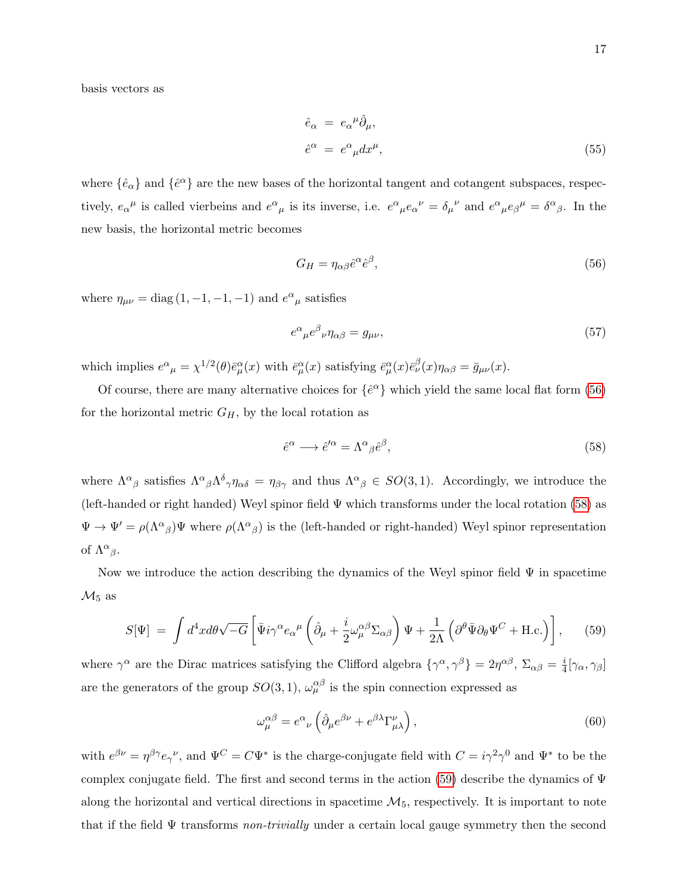basis vectors as

$$
\hat{e}_{\alpha} = e_{\alpha}{}^{\mu} \hat{\partial}_{\mu}, \n\hat{e}^{\alpha} = e^{\alpha}{}_{\mu} dx^{\mu},
$$
\n(55)

where  $\{\hat{e}_{\alpha}\}\$  and  $\{\hat{e}^{\alpha}\}\$ are the new bases of the horizontal tangent and cotangent subspaces, respectively,  $e_{\alpha}{}^{\mu}$  is called vierbeins and  $e^{\alpha}{}_{\mu}$  is its inverse, i.e.  $e^{\alpha}{}_{\mu}e_{\alpha}{}^{\nu} = \delta_{\mu}{}^{\nu}$  and  $e^{\alpha}{}_{\mu}e_{\beta}{}^{\mu} = \delta^{\alpha}{}_{\beta}$ . In the new basis, the horizontal metric becomes

<span id="page-16-0"></span>
$$
G_H = \eta_{\alpha\beta}\hat{e}^{\alpha}\hat{e}^{\beta},\tag{56}
$$

where  $\eta_{\mu\nu} = \text{diag}(1, -1, -1, -1)$  and  $e^{\alpha}{}_{\mu}$  satisfies

$$
e^{\alpha}{}_{\mu}e^{\beta}{}_{\nu}\eta_{\alpha\beta} = g_{\mu\nu},\tag{57}
$$

which implies  $e^{\alpha}{}_{\mu} = \chi^{1/2}(\theta)\bar{e}^{\alpha}_{\mu}(x)$  with  $\bar{e}^{\alpha}_{\mu}(x)$  satisfying  $\bar{e}^{\alpha}_{\mu}(x)\bar{e}^{\beta}_{\nu}(x)\eta_{\alpha\beta} = \bar{g}_{\mu\nu}(x)$ .

Of course, there are many alternative choices for  $\{\hat{e}^{\alpha}\}\$  which yield the same local flat form [\(56\)](#page-16-0) for the horizontal metric  $G_H$ , by the local rotation as

<span id="page-16-1"></span>
$$
\hat{e}^{\alpha} \longrightarrow \hat{e}^{\prime \alpha} = \Lambda^{\alpha}{}_{\beta} \hat{e}^{\beta},\tag{58}
$$

where  $\Lambda^{\alpha}{}_{\beta}$  satisfies  $\Lambda^{\alpha}{}_{\beta}\Lambda^{\delta}{}_{\gamma}\eta_{\alpha\delta} = \eta_{\beta\gamma}$  and thus  $\Lambda^{\alpha}{}_{\beta} \in SO(3,1)$ . Accordingly, we introduce the (left-handed or right handed) Weyl spinor field Ψ which transforms under the local rotation [\(58\)](#page-16-1) as  $\Psi \to \Psi' = \rho(\Lambda^{\alpha}{}_{\beta})\Psi$  where  $\rho(\Lambda^{\alpha}{}_{\beta})$  is the (left-handed or right-handed) Weyl spinor representation of  $\Lambda^{\alpha}{}_{\beta}$ .

Now we introduce the action describing the dynamics of the Weyl spinor field  $\Psi$  in spacetime  $\mathcal{M}_5$  as

<span id="page-16-2"></span>
$$
S[\Psi] = \int d^4x d\theta \sqrt{-G} \left[ \bar{\Psi} i \gamma^\alpha e_\alpha{}^\mu \left( \hat{\partial}_\mu + \frac{i}{2} \omega_\mu^{\alpha \beta} \Sigma_{\alpha \beta} \right) \Psi + \frac{1}{2\Lambda} \left( \partial^\theta \bar{\Psi} \partial_\theta \Psi^C + \text{H.c.} \right) \right], \quad (59)
$$

where  $\gamma^{\alpha}$  are the Dirac matrices satisfying the Clifford algebra  $\{\gamma^{\alpha}, \gamma^{\beta}\} = 2\eta^{\alpha\beta}, \ \Sigma_{\alpha\beta} = \frac{i}{4}$  $\frac{\imath}{4}[\gamma_\alpha,\gamma_\beta]$ are the generators of the group  $SO(3,1)$ ,  $\omega_{\mu}^{\alpha\beta}$  is the spin connection expressed as

$$
\omega_{\mu}^{\alpha\beta} = e^{\alpha}{}_{\nu} \left( \hat{\partial}_{\mu} e^{\beta\nu} + e^{\beta\lambda} \Gamma^{\nu}_{\mu\lambda} \right), \tag{60}
$$

with  $e^{\beta \nu} = \eta^{\beta \gamma} e_{\gamma}{}^{\nu}$ , and  $\Psi^C = C \Psi^*$  is the charge-conjugate field with  $C = i\gamma^2 \gamma^0$  and  $\Psi^*$  to be the complex conjugate field. The first and second terms in the action [\(59\)](#page-16-2) describe the dynamics of  $\Psi$ along the horizontal and vertical directions in spacetime  $\mathcal{M}_5$ , respectively. It is important to note that if the field  $\Psi$  transforms non-trivially under a certain local gauge symmetry then the second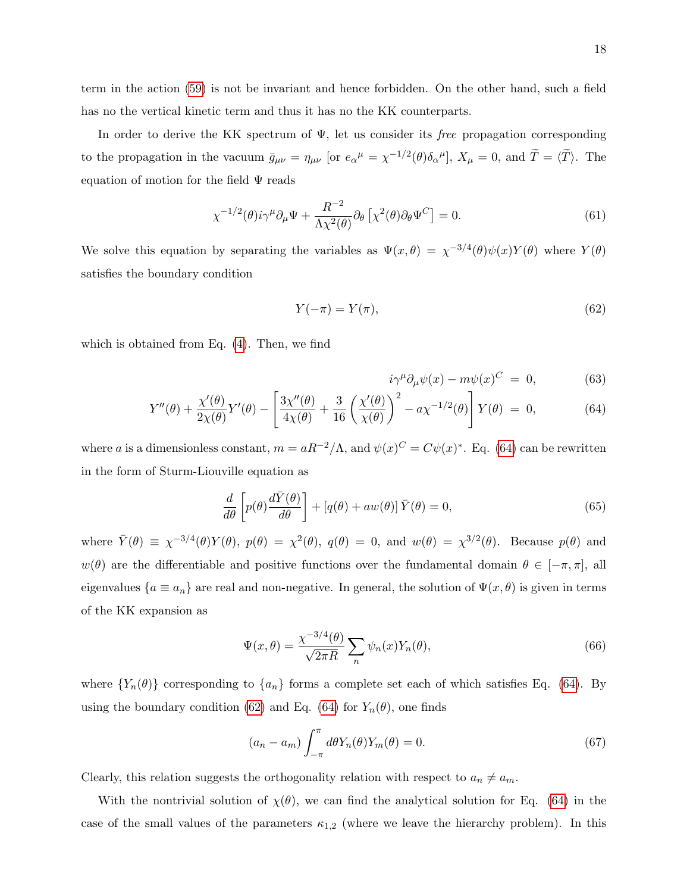term in the action [\(59\)](#page-16-2) is not be invariant and hence forbidden. On the other hand, such a field has no the vertical kinetic term and thus it has no the KK counterparts.

In order to derive the KK spectrum of  $\Psi$ , let us consider its *free* propagation corresponding to the propagation in the vacuum  $\bar{g}_{\mu\nu} = \eta_{\mu\nu}$  [or  $e_{\alpha}{}^{\mu} = \chi^{-1/2}(\theta)\delta_{\alpha}{}^{\mu}$ ],  $X_{\mu} = 0$ , and  $\tilde{T} = \langle \tilde{T} \rangle$ . The equation of motion for the field  $\Psi$  reads

$$
\chi^{-1/2}(\theta)i\gamma^{\mu}\partial_{\mu}\Psi + \frac{R^{-2}}{\Lambda\chi^{2}(\theta)}\partial_{\theta}\left[\chi^{2}(\theta)\partial_{\theta}\Psi^{C}\right] = 0.
$$
\n(61)

We solve this equation by separating the variables as  $\Psi(x,\theta) = \chi^{-3/4}(\theta)\psi(x)Y(\theta)$  where  $Y(\theta)$ satisfies the boundary condition

<span id="page-17-1"></span>
$$
Y(-\pi) = Y(\pi),\tag{62}
$$

which is obtained from Eq. [\(4\)](#page-5-1). Then, we find

<span id="page-17-0"></span>
$$
i\gamma^{\mu}\partial_{\mu}\psi(x) - m\psi(x)^{C} = 0, \qquad (63)
$$

$$
Y''(\theta) + \frac{\chi'(\theta)}{2\chi(\theta)}Y'(\theta) - \left[\frac{3\chi''(\theta)}{4\chi(\theta)} + \frac{3}{16}\left(\frac{\chi'(\theta)}{\chi(\theta)}\right)^2 - a\chi^{-1/2}(\theta)\right]Y(\theta) = 0,
$$
\n(64)

where a is a dimensionless constant,  $m = aR^{-2}/\Lambda$ , and  $\psi(x)^C = C\psi(x)^*$ . Eq. [\(64\)](#page-17-0) can be rewritten in the form of Sturm-Liouville equation as

$$
\frac{d}{d\theta} \left[ p(\theta) \frac{d\bar{Y}(\theta)}{d\theta} \right] + \left[ q(\theta) + aw(\theta) \right] \bar{Y}(\theta) = 0, \tag{65}
$$

where  $\bar{Y}(\theta) \equiv \chi^{-3/4}(\theta) Y(\theta)$ ,  $p(\theta) = \chi^2(\theta)$ ,  $q(\theta) = 0$ , and  $w(\theta) = \chi^{3/2}(\theta)$ . Because  $p(\theta)$  and  $w(\theta)$  are the differentiable and positive functions over the fundamental domain  $\theta \in [-\pi, \pi]$ , all eigenvalues  $\{a \equiv a_n\}$  are real and non-negative. In general, the solution of  $\Psi(x, \theta)$  is given in terms of the KK expansion as

$$
\Psi(x,\theta) = \frac{\chi^{-3/4}(\theta)}{\sqrt{2\pi R}} \sum_{n} \psi_n(x) Y_n(\theta),\tag{66}
$$

where  $\{Y_n(\theta)\}\$  corresponding to  $\{a_n\}\$ forms a complete set each of which satisfies Eq. [\(64\)](#page-17-0). By using the boundary condition [\(62\)](#page-17-1) and Eq. [\(64\)](#page-17-0) for  $Y_n(\theta)$ , one finds

$$
(a_n - a_m) \int_{-\pi}^{\pi} d\theta Y_n(\theta) Y_m(\theta) = 0.
$$
\n(67)

Clearly, this relation suggests the orthogonality relation with respect to  $a_n \neq a_m$ .

With the nontrivial solution of  $\chi(\theta)$ , we can find the analytical solution for Eq. [\(64\)](#page-17-0) in the case of the small values of the parameters  $\kappa_{1,2}$  (where we leave the hierarchy problem). In this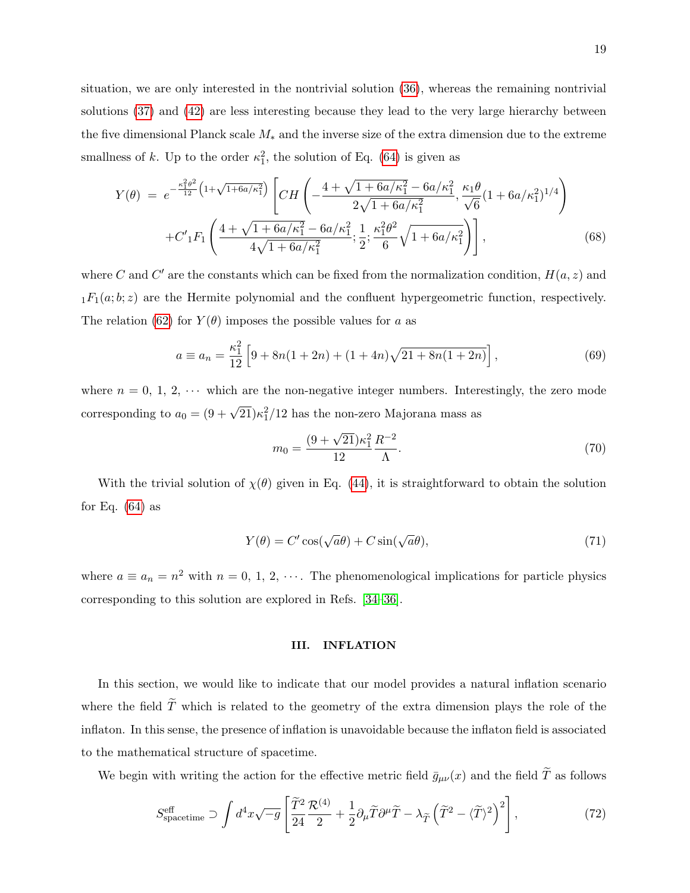situation, we are only interested in the nontrivial solution [\(36\)](#page-11-0), whereas the remaining nontrivial solutions [\(37\)](#page-11-1) and [\(42\)](#page-12-1) are less interesting because they lead to the very large hierarchy between the five dimensional Planck scale  $M_*$  and the inverse size of the extra dimension due to the extreme smallness of k. Up to the order  $\kappa_1^2$ , the solution of Eq. [\(64\)](#page-17-0) is given as

$$
Y(\theta) = e^{-\frac{\kappa_1^2 \theta^2}{12} \left(1 + \sqrt{1 + 6a/\kappa_1^2}\right)} \left[ C H \left( -\frac{4 + \sqrt{1 + 6a/\kappa_1^2} - 6a/\kappa_1^2}{2\sqrt{1 + 6a/\kappa_1^2}}, \frac{\kappa_1 \theta}{\sqrt{6}} (1 + 6a/\kappa_1^2)^{1/4} \right) \right. \\ + C'_{1} F_{1} \left( \frac{4 + \sqrt{1 + 6a/\kappa_1^2} - 6a/\kappa_1^2}{4\sqrt{1 + 6a/\kappa_1^2}}; \frac{1}{2}; \frac{\kappa_1^2 \theta^2}{6} \sqrt{1 + 6a/\kappa_1^2} \right), \tag{68}
$$

where C and C' are the constants which can be fixed from the normalization condition,  $H(a, z)$  and  $_1F_1(a;b;z)$  are the Hermite polynomial and the confluent hypergeometric function, respectively. The relation [\(62\)](#page-17-1) for  $Y(\theta)$  imposes the possible values for a as

$$
a \equiv a_n = \frac{\kappa_1^2}{12} \left[ 9 + 8n(1+2n) + (1+4n)\sqrt{21 + 8n(1+2n)} \right],\tag{69}
$$

where  $n = 0, 1, 2, \cdots$  which are the non-negative integer numbers. Interestingly, the zero mode corresponding to  $a_0 = (9 + \sqrt{21})\kappa_1^2/12$  has the non-zero Majorana mass as

$$
m_0 = \frac{(9 + \sqrt{21})\kappa_1^2}{12} \frac{R^{-2}}{\Lambda}.
$$
\n(70)

With the trivial solution of  $\chi(\theta)$  given in Eq. [\(44\)](#page-12-2), it is straightforward to obtain the solution for Eq.  $(64)$  as

$$
Y(\theta) = C' \cos(\sqrt{a}\theta) + C \sin(\sqrt{a}\theta),\tag{71}
$$

where  $a \equiv a_n = n^2$  with  $n = 0, 1, 2, \cdots$ . The phenomenological implications for particle physics corresponding to this solution are explored in Refs. [\[34–](#page-43-6)[36\]](#page-43-7).

### <span id="page-18-0"></span>III. INFLATION

In this section, we would like to indicate that our model provides a natural inflation scenario where the field  $\widetilde{T}$  which is related to the geometry of the extra dimension plays the role of the inflaton. In this sense, the presence of inflation is unavoidable because the inflaton field is associated to the mathematical structure of spacetime.

We begin with writing the action for the effective metric field  $\bar{g}_{\mu\nu}(x)$  and the field  $\tilde{T}$  as follows

$$
S_{\text{spacetime}}^{\text{eff}} \supset \int d^4x \sqrt{-g} \left[ \frac{\widetilde{T}^2}{24} \frac{\mathcal{R}^{(4)}}{2} + \frac{1}{2} \partial_\mu \widetilde{T} \partial^\mu \widetilde{T} - \lambda_{\widetilde{T}} \left( \widetilde{T}^2 - \langle \widetilde{T} \rangle^2 \right)^2 \right],\tag{72}
$$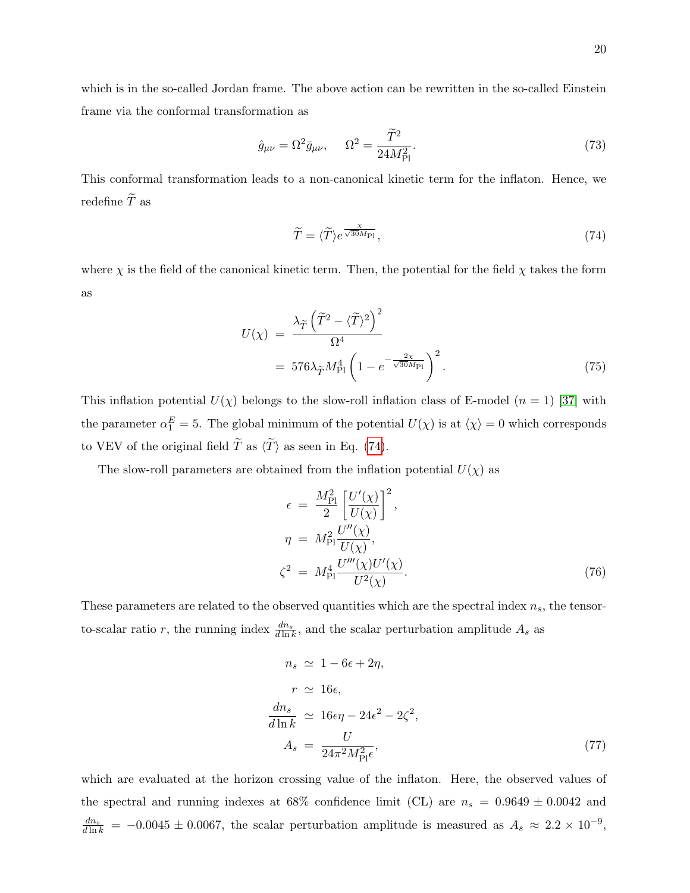which is in the so-called Jordan frame. The above action can be rewritten in the so-called Einstein frame via the conformal transformation as

$$
\hat{g}_{\mu\nu} = \Omega^2 \bar{g}_{\mu\nu}, \qquad \Omega^2 = \frac{\tilde{T}^2}{24M_{\rm Pl}^2}.
$$
\n
$$
\tag{73}
$$

This conformal transformation leads to a non-canonical kinetic term for the inflaton. Hence, we redefine  $\widetilde{T}$  as

<span id="page-19-0"></span>
$$
\widetilde{T} = \langle \widetilde{T} \rangle e^{\frac{\chi}{\sqrt{30}M_{\text{Pl}}}},\tag{74}
$$

where  $\chi$  is the field of the canonical kinetic term. Then, the potential for the field  $\chi$  takes the form as

$$
U(\chi) = \frac{\lambda_{\widetilde{T}} \left(\widetilde{T}^2 - \langle \widetilde{T} \rangle^2\right)^2}{\Omega^4}
$$
  
=  $576\lambda_{\widetilde{T}} M_{\text{Pl}}^4 \left(1 - e^{-\frac{2\chi}{\sqrt{30}M_{\text{Pl}}}}\right)^2$ . (75)

This inflation potential  $U(\chi)$  belongs to the slow-roll inflation class of E-model  $(n = 1)$  [\[37\]](#page-43-8) with the parameter  $\alpha_1^E = 5$ . The global minimum of the potential  $U(\chi)$  is at  $\langle \chi \rangle = 0$  which corresponds to VEV of the original field  $\widetilde{T}$  as  $\langle \widetilde{T} \rangle$  as seen in Eq. [\(74\)](#page-19-0).

The slow-roll parameters are obtained from the inflation potential  $U(\chi)$  as

$$
\epsilon = \frac{M_{\rm Pl}^2}{2} \left[ \frac{U'(\chi)}{U(\chi)} \right]^2,
$$
  
\n
$$
\eta = M_{\rm Pl}^2 \frac{U''(\chi)}{U(\chi)},
$$
  
\n
$$
\zeta^2 = M_{\rm Pl}^4 \frac{U'''(\chi)U'(\chi)}{U^2(\chi)}.
$$
\n(76)

These parameters are related to the observed quantities which are the spectral index  $n_s$ , the tensorto-scalar ratio r, the running index  $\frac{dn_s}{d\ln k}$ , and the scalar perturbation amplitude  $A_s$  as

$$
n_s \simeq 1 - 6\epsilon + 2\eta,
$$
  
\n
$$
r \simeq 16\epsilon,
$$
  
\n
$$
\frac{dn_s}{d\ln k} \simeq 16\epsilon\eta - 24\epsilon^2 - 2\zeta^2,
$$
  
\n
$$
A_s = \frac{U}{24\pi^2 M_{\rm Pl}^2 \epsilon},
$$
\n(77)

which are evaluated at the horizon crossing value of the inflaton. Here, the observed values of the spectral and running indexes at 68% confidence limit (CL) are  $n_s = 0.9649 \pm 0.0042$  and  $\frac{dn_s}{d \ln k}$  = -0.0045 ± 0.0067, the scalar perturbation amplitude is measured as  $A_s \approx 2.2 \times 10^{-9}$ ,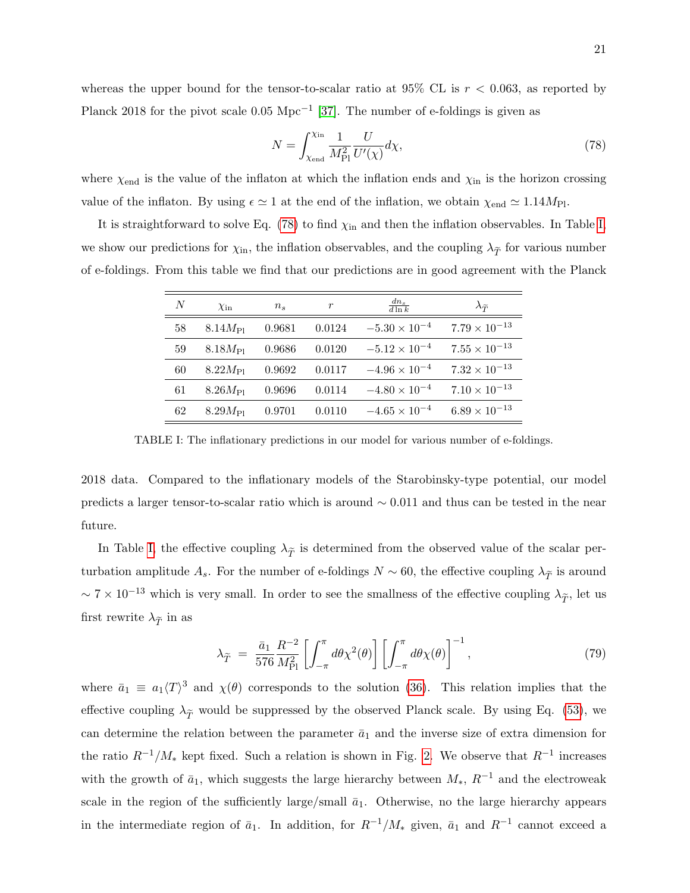whereas the upper bound for the tensor-to-scalar ratio at 95% CL is  $r < 0.063$ , as reported by Planck 2018 for the pivot scale  $0.05 \text{ Mpc}^{-1}$  [\[37\]](#page-43-8). The number of e-foldings is given as

<span id="page-20-0"></span>
$$
N = \int_{\chi_{\text{end}}}^{\chi_{\text{in}}} \frac{1}{M_{\text{Pl}}^2} \frac{U}{U'(\chi)} d\chi,\tag{78}
$$

where  $\chi_{\text{end}}$  is the value of the inflaton at which the inflation ends and  $\chi_{\text{in}}$  is the horizon crossing value of the inflaton. By using  $\epsilon \simeq 1$  at the end of the inflation, we obtain  $\chi_{\text{end}} \simeq 1.14 M_{\text{Pl}}$ .

It is straightforward to solve Eq. [\(78\)](#page-20-0) to find  $\chi_{\text{in}}$  and then the inflation observables. In Table [I,](#page-20-1) we show our predictions for  $\chi_{\rm in}$ , the inflation observables, and the coupling  $\lambda_{\widetilde{T}}$  for various number of e-foldings. From this table we find that our predictions are in good agreement with the Planck

| N  | $\chi_{\rm in}$  | $n_{s}$ | r      | $\frac{dn_s}{d \ln k}$ | $\lambda_{\widetilde{T}}$ |
|----|------------------|---------|--------|------------------------|---------------------------|
| 58 | $8.14M_{\rm Pl}$ | 0.9681  | 0.0124 | $-5.30 \times 10^{-4}$ | $7.79 \times 10^{-13}$    |
| 59 | $8.18M_{\rm Pl}$ | 0.9686  | 0.0120 | $-5.12 \times 10^{-4}$ | $7.55 \times 10^{-13}$    |
| 60 | $8.22M_{\rm Pl}$ | 0.9692  | 0.0117 | $-4.96 \times 10^{-4}$ | $7.32 \times 10^{-13}$    |
| 61 | $8.26M_{\rm Pl}$ | 0.9696  | 0.0114 | $-4.80 \times 10^{-4}$ | $7.10 \times 10^{-13}$    |
| 62 | $8.29M_{\rm Pl}$ | 0.9701  | 0.0110 | $-4.65 \times 10^{-4}$ | $6.89 \times 10^{-13}$    |

<span id="page-20-1"></span>TABLE I: The inflationary predictions in our model for various number of e-foldings.

2018 data. Compared to the inflationary models of the Starobinsky-type potential, our model predicts a larger tensor-to-scalar ratio which is around ∼ 0.011 and thus can be tested in the near future.

In Table [I,](#page-20-1) the effective coupling  $\lambda_{\tilde{T}}$  is determined from the observed value of the scalar perturbation amplitude  $A_s$ . For the number of e-foldings  $N \sim 60$ , the effective coupling  $\lambda_{\widetilde{T}}$  is around  $\sim 7 \times 10^{-13}$  which is very small. In order to see the smallness of the effective coupling  $\lambda_{\widetilde{T}}$ , let us first rewrite  $\lambda_{\widetilde{T}}$  in as

$$
\lambda_{\widetilde{T}} = \frac{\bar{a}_1}{576} \frac{R^{-2}}{M_{\text{Pl}}^2} \left[ \int_{-\pi}^{\pi} d\theta \chi^2(\theta) \right] \left[ \int_{-\pi}^{\pi} d\theta \chi(\theta) \right]^{-1}, \tag{79}
$$

where  $\bar{a}_1 \equiv a_1 \langle T \rangle^3$  and  $\chi(\theta)$  corresponds to the solution [\(36\)](#page-11-0). This relation implies that the effective coupling  $\lambda_{\widetilde{T}}$  would be suppressed by the observed Planck scale. By using Eq. [\(53\)](#page-14-0), we can determine the relation between the parameter  $\bar{a}_1$  and the inverse size of extra dimension for the ratio  $R^{-1}/M_*$  kept fixed. Such a relation is shown in Fig. [2.](#page-21-1) We observe that  $R^{-1}$  increases with the growth of  $\bar{a}_1$ , which suggests the large hierarchy between  $M_*$ ,  $R^{-1}$  and the electroweak scale in the region of the sufficiently large/small  $\bar{a}_1$ . Otherwise, no the large hierarchy appears in the intermediate region of  $\bar{a}_1$ . In addition, for  $R^{-1}/M_*$  given,  $\bar{a}_1$  and  $R^{-1}$  cannot exceed a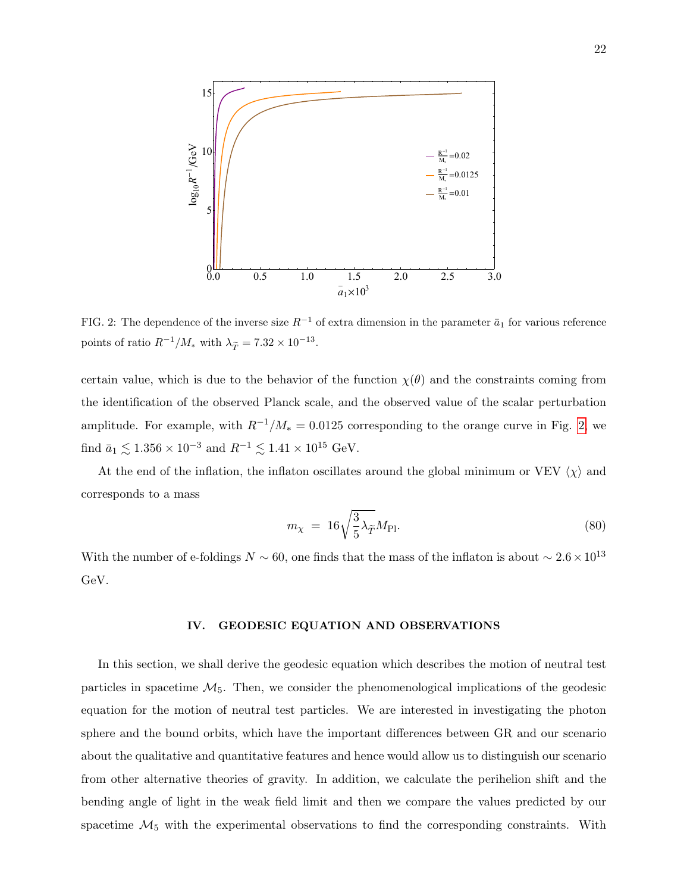

<span id="page-21-1"></span>FIG. 2: The dependence of the inverse size  $R^{-1}$  of extra dimension in the parameter  $\bar{a}_1$  for various reference points of ratio  $R^{-1}/M_*$  with  $\lambda_{\widetilde{T}} = 7.32 \times 10^{-13}$ .

certain value, which is due to the behavior of the function  $\chi(\theta)$  and the constraints coming from the identification of the observed Planck scale, and the observed value of the scalar perturbation amplitude. For example, with  $R^{-1}/M_* = 0.0125$  corresponding to the orange curve in Fig. [2,](#page-21-1) we find  $\bar{a}_1 \lesssim 1.356 \times 10^{-3}$  and  $R^{-1} \lesssim 1.41 \times 10^{15}$  GeV.

At the end of the inflation, the inflaton oscillates around the global minimum or VEV  $\langle \chi \rangle$  and corresponds to a mass

$$
m_{\chi} = 16\sqrt{\frac{3}{5}\lambda_{\widetilde{T}}M_{\text{Pl}}}.\tag{80}
$$

With the number of e-foldings  $N \sim 60$ , one finds that the mass of the inflaton is about  $\sim 2.6 \times 10^{13}$ GeV.

#### <span id="page-21-0"></span>IV. GEODESIC EQUATION AND OBSERVATIONS

In this section, we shall derive the geodesic equation which describes the motion of neutral test particles in spacetime  $\mathcal{M}_5$ . Then, we consider the phenomenological implications of the geodesic equation for the motion of neutral test particles. We are interested in investigating the photon sphere and the bound orbits, which have the important differences between GR and our scenario about the qualitative and quantitative features and hence would allow us to distinguish our scenario from other alternative theories of gravity. In addition, we calculate the perihelion shift and the bending angle of light in the weak field limit and then we compare the values predicted by our spacetime  $\mathcal{M}_5$  with the experimental observations to find the corresponding constraints. With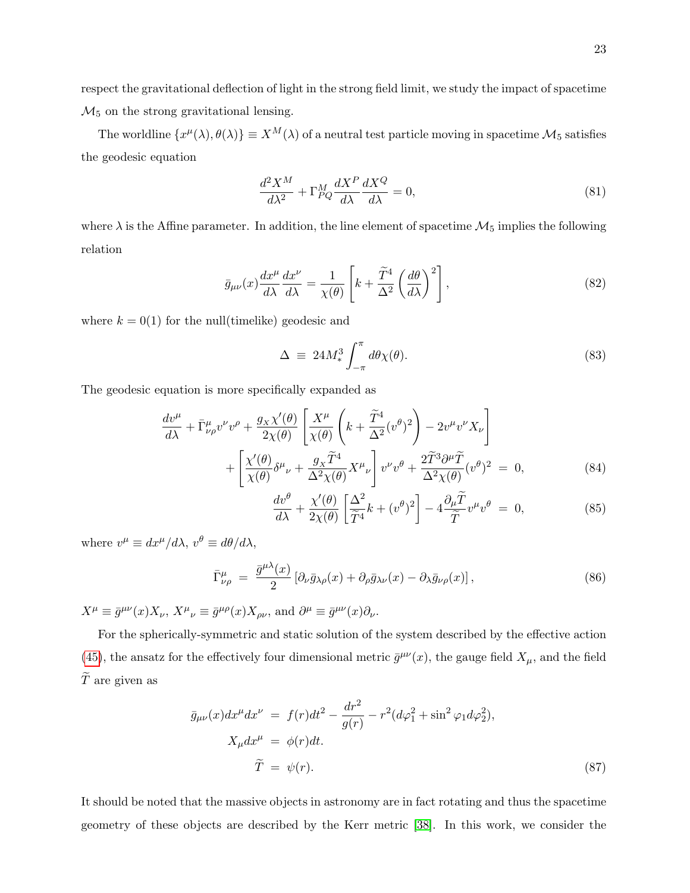respect the gravitational deflection of light in the strong field limit, we study the impact of spacetime  $\mathcal{M}_5$  on the strong gravitational lensing.

The worldline  $\{x^{\mu}(\lambda), \theta(\lambda)\}\equiv X^M(\lambda)$  of a neutral test particle moving in spacetime  $\mathcal{M}_5$  satisfies the geodesic equation

$$
\frac{d^2X^M}{d\lambda^2} + \Gamma^M_{PQ} \frac{dX^P}{d\lambda} \frac{dX^Q}{d\lambda} = 0,\tag{81}
$$

where  $\lambda$  is the Affine parameter. In addition, the line element of spacetime  $\mathcal{M}_5$  implies the following relation

<span id="page-22-2"></span>
$$
\bar{g}_{\mu\nu}(x)\frac{dx^{\mu}}{d\lambda}\frac{dx^{\nu}}{d\lambda} = \frac{1}{\chi(\theta)}\left[k + \frac{\widetilde{T}^{4}}{\Delta^{2}}\left(\frac{d\theta}{d\lambda}\right)^{2}\right],
$$
\n(82)

where  $k = 0(1)$  for the null(timelike) geodesic and

$$
\Delta \equiv 24M_*^3 \int_{-\pi}^{\pi} d\theta \chi(\theta). \tag{83}
$$

The geodesic equation is more specifically expanded as

<span id="page-22-1"></span>
$$
\frac{dv^{\mu}}{d\lambda} + \bar{\Gamma}^{\mu}_{\nu\rho}v^{\nu}v^{\rho} + \frac{g_{\chi}\chi'(\theta)}{2\chi(\theta)} \left[ \frac{X^{\mu}}{\chi(\theta)} \left( k + \frac{\tilde{T}^{4}}{\Delta^{2}}(v^{\theta})^{2} \right) - 2v^{\mu}v^{\nu}X_{\nu} \right] + \left[ \frac{\chi'(\theta)}{\chi(\theta)}\delta^{\mu}{}_{\nu} + \frac{g_{\chi}\tilde{T}^{4}}{\Delta^{2}\chi(\theta)}X^{\mu}{}_{\nu} \right]v^{\nu}v^{\theta} + \frac{2\tilde{T}^{3}\partial^{\mu}\tilde{T}}{\Delta^{2}\chi(\theta)}(v^{\theta})^{2} = 0, \tag{84}
$$

$$
\frac{dv^{\theta}}{d\lambda} + \frac{\chi'(\theta)}{2\chi(\theta)} \left[ \frac{\Delta^2}{\widetilde{T}^4} k + (v^{\theta})^2 \right] - 4 \frac{\partial_{\mu} \widetilde{T}}{\widetilde{T}} v^{\mu} v^{\theta} = 0, \tag{85}
$$

where  $v^{\mu} \equiv dx^{\mu}/d\lambda$ ,  $v^{\theta} \equiv d\theta/d\lambda$ ,

$$
\bar{\Gamma}^{\mu}_{\nu\rho} = \frac{\bar{g}^{\mu\lambda}(x)}{2} \left[ \partial_{\nu}\bar{g}_{\lambda\rho}(x) + \partial_{\rho}\bar{g}_{\lambda\nu}(x) - \partial_{\lambda}\bar{g}_{\nu\rho}(x) \right],\tag{86}
$$

 $X^{\mu} \equiv \bar{g}^{\mu\nu}(x) X_{\nu}, X^{\mu}{}_{\nu} \equiv \bar{g}^{\mu\rho}(x) X_{\rho\nu}$ , and  $\partial^{\mu} \equiv \bar{g}^{\mu\nu}(x) \partial_{\nu}$ .

For the spherically-symmetric and static solution of the system described by the effective action [\(45\)](#page-12-3), the ansatz for the effectively four dimensional metric  $\bar{g}^{\mu\nu}(x)$ , the gauge field  $X_{\mu}$ , and the field  $\tilde{T}$  are given as

<span id="page-22-0"></span>
$$
\bar{g}_{\mu\nu}(x)dx^{\mu}dx^{\nu} = f(r)dt^{2} - \frac{dr^{2}}{g(r)} - r^{2}(d\varphi_{1}^{2} + \sin^{2}\varphi_{1}d\varphi_{2}^{2}),
$$
  
\n
$$
X_{\mu}dx^{\mu} = \phi(r)dt.
$$
  
\n
$$
\tilde{T} = \psi(r).
$$
\n(87)

It should be noted that the massive objects in astronomy are in fact rotating and thus the spacetime geometry of these objects are described by the Kerr metric [\[38\]](#page-43-9). In this work, we consider the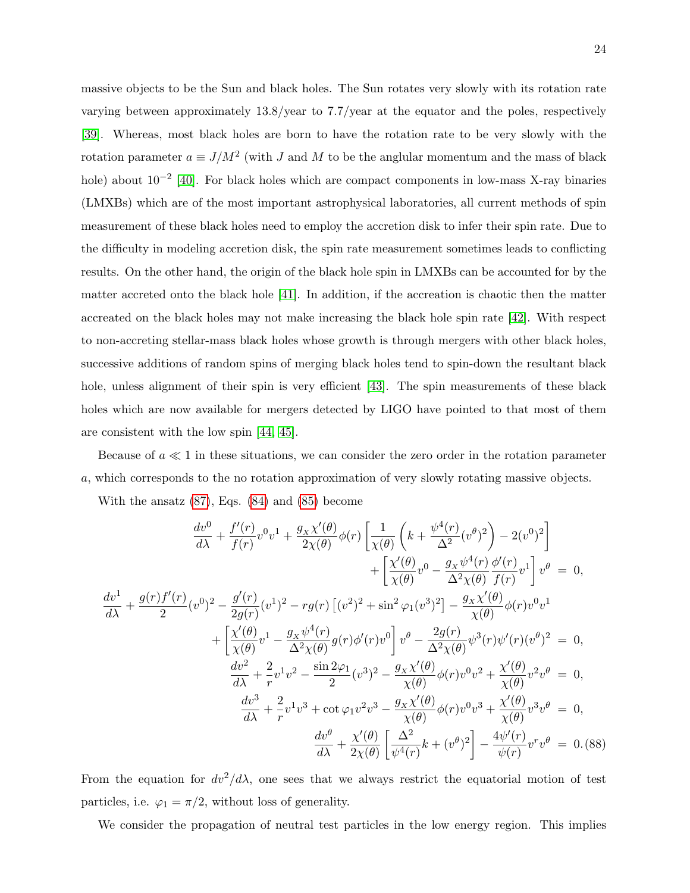massive objects to be the Sun and black holes. The Sun rotates very slowly with its rotation rate varying between approximately 13.8/year to 7.7/year at the equator and the poles, respectively [\[39\]](#page-43-10). Whereas, most black holes are born to have the rotation rate to be very slowly with the rotation parameter  $a \equiv J/M^2$  (with J and M to be the anglular momentum and the mass of black hole) about  $10^{-2}$  [\[40\]](#page-43-11). For black holes which are compact components in low-mass X-ray binaries (LMXBs) which are of the most important astrophysical laboratories, all current methods of spin measurement of these black holes need to employ the accretion disk to infer their spin rate. Due to the difficulty in modeling accretion disk, the spin rate measurement sometimes leads to conflicting results. On the other hand, the origin of the black hole spin in LMXBs can be accounted for by the matter accreted onto the black hole [\[41\]](#page-43-12). In addition, if the accreation is chaotic then the matter accreated on the black holes may not make increasing the black hole spin rate [\[42\]](#page-43-13). With respect to non-accreting stellar-mass black holes whose growth is through mergers with other black holes, successive additions of random spins of merging black holes tend to spin-down the resultant black hole, unless alignment of their spin is very efficient [\[43\]](#page-43-14). The spin measurements of these black holes which are now available for mergers detected by LIGO have pointed to that most of them are consistent with the low spin [\[44,](#page-43-15) [45\]](#page-43-16).

Because of  $a \ll 1$  in these situations, we can consider the zero order in the rotation parameter a, which corresponds to the no rotation approximation of very slowly rotating massive objects.

With the ansatz [\(87\)](#page-22-0), Eqs. [\(84\)](#page-22-1) and [\(85\)](#page-22-1) become

<span id="page-23-0"></span>
$$
\frac{dv^{0}}{d\lambda} + \frac{f'(r)}{f(r)}v^{0}v^{1} + \frac{g_{x}\chi'(\theta)}{2\chi(\theta)}\phi(r)\left[\frac{1}{\chi(\theta)}\left(k + \frac{\psi^{4}(r)}{\Delta^{2}}(v^{\theta})^{2}\right) - 2(v^{0})^{2}\right] \n+ \left[\frac{\chi'(\theta)}{\chi(\theta)}v^{0} - \frac{g_{x}\psi^{4}(r)}{\Delta^{2}\chi(\theta)}\frac{\phi'(r)}{f(r)}v^{1}\right]v^{\theta} = 0, \n\frac{dv^{1}}{d\lambda} + \frac{g(r)f'(r)}{2}(v^{0})^{2} - \frac{g'(r)}{2g(r)}(v^{1})^{2} - rg(r)\left[(v^{2})^{2} + \sin^{2}\varphi_{1}(v^{3})^{2}\right] - \frac{g_{x}\chi'(\theta)}{\chi(\theta)}\phi(r)v^{0}v^{1} + \left[\frac{\chi'(\theta)}{\chi(\theta)}v^{1} - \frac{g_{x}\psi^{4}(r)}{\Delta^{2}\chi(\theta)}g(r)\phi'(r)v^{0}\right]v^{\theta} - \frac{2g(r)}{\Delta^{2}\chi(\theta)}\psi^{3}(r)\psi'(r)(v^{\theta})^{2} = 0, \n\frac{dv^{2}}{d\lambda} + \frac{2}{r}v^{1}v^{2} - \frac{\sin 2\varphi_{1}}{2}(v^{3})^{2} - \frac{g_{x}\chi'(\theta)}{\chi(\theta)}\phi(r)v^{0}v^{2} + \frac{\chi'(\theta)}{\chi(\theta)}v^{2}v^{\theta} = 0, \n\frac{dv^{3}}{d\lambda} + \frac{2}{r}v^{1}v^{3} + \cot\varphi_{1}v^{2}v^{3} - \frac{g_{x}\chi'(\theta)}{\chi(\theta)}\phi(r)v^{0}v^{3} + \frac{\chi'(\theta)}{\chi(\theta)}v^{3}v^{\theta} = 0, \n\frac{dv^{\theta}}{d\lambda} + \frac{\chi'(\theta)}{2\chi(\theta)}\left[\frac{\Delta^{2}}{\psi^{4}(r)}k + (v^{\theta})^{2}\right] - \frac{4\psi'(r)}{\psi(r)}v^{r}v^{\theta} = 0. (88)
$$

From the equation for  $dv^2/d\lambda$ , one sees that we always restrict the equatorial motion of test particles, i.e.  $\varphi_1 = \pi/2$ , without loss of generality.

We consider the propagation of neutral test particles in the low energy region. This implies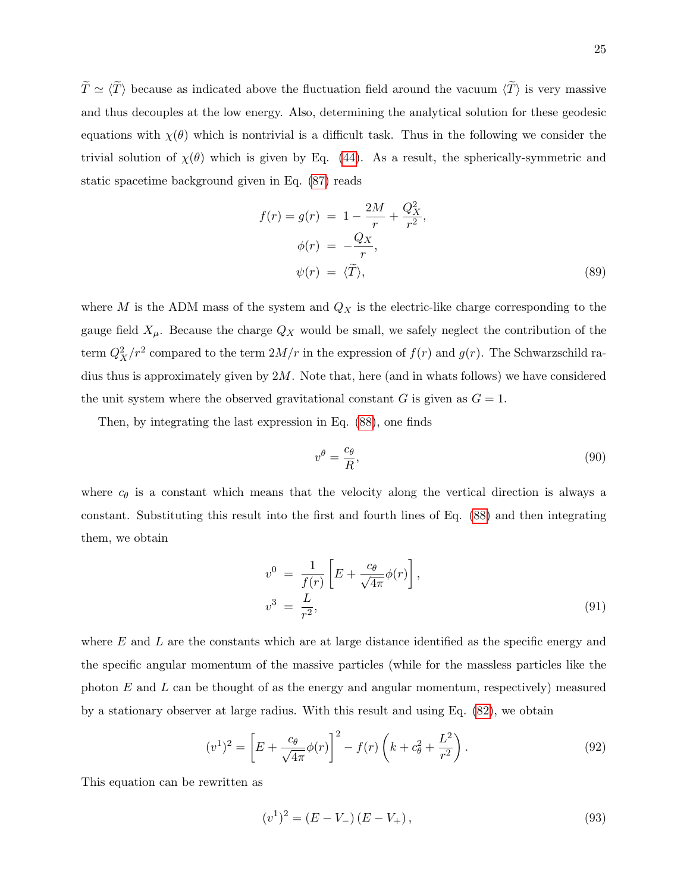$\tilde{T} \simeq \langle \tilde{T} \rangle$  because as indicated above the fluctuation field around the vacuum  $\langle \tilde{T} \rangle$  is very massive and thus decouples at the low energy. Also, determining the analytical solution for these geodesic equations with  $\chi(\theta)$  which is nontrivial is a difficult task. Thus in the following we consider the trivial solution of  $\chi(\theta)$  which is given by Eq. [\(44\)](#page-12-2). As a result, the spherically-symmetric and static spacetime background given in Eq. [\(87\)](#page-22-0) reads

<span id="page-24-1"></span>
$$
f(r) = g(r) = 1 - \frac{2M}{r} + \frac{Q_X^2}{r^2},
$$
  
\n
$$
\phi(r) = -\frac{Q_X}{r},
$$
  
\n
$$
\psi(r) = \langle \tilde{T} \rangle,
$$
\n(89)

where M is the ADM mass of the system and  $Q_X$  is the electric-like charge corresponding to the gauge field  $X_\mu$ . Because the charge  $Q_X$  would be small, we safely neglect the contribution of the term  $Q_X^2/r^2$  compared to the term  $2M/r$  in the expression of  $f(r)$  and  $g(r)$ . The Schwarzschild radius thus is approximately given by  $2M$ . Note that, here (and in whats follows) we have considered the unit system where the observed gravitational constant G is given as  $G = 1$ .

Then, by integrating the last expression in Eq. [\(88\)](#page-23-0), one finds

$$
v^{\theta} = \frac{c_{\theta}}{R},\tag{90}
$$

where  $c_{\theta}$  is a constant which means that the velocity along the vertical direction is always a constant. Substituting this result into the first and fourth lines of Eq. [\(88\)](#page-23-0) and then integrating them, we obtain

<span id="page-24-2"></span>
$$
v^{0} = \frac{1}{f(r)} \left[ E + \frac{c_{\theta}}{\sqrt{4\pi}} \phi(r) \right],
$$
  
\n
$$
v^{3} = \frac{L}{r^{2}},
$$
\n(91)

where  $E$  and  $L$  are the constants which are at large distance identified as the specific energy and the specific angular momentum of the massive particles (while for the massless particles like the photon  $E$  and  $L$  can be thought of as the energy and angular momentum, respectively) measured by a stationary observer at large radius. With this result and using Eq. [\(82\)](#page-22-2), we obtain

<span id="page-24-0"></span>
$$
(v^{1})^{2} = \left[E + \frac{c_{\theta}}{\sqrt{4\pi}}\phi(r)\right]^{2} - f(r)\left(k + c_{\theta}^{2} + \frac{L^{2}}{r^{2}}\right).
$$
\n(92)

This equation can be rewritten as

$$
(v1)2 = (E - V-)(E - V+),
$$
\n(93)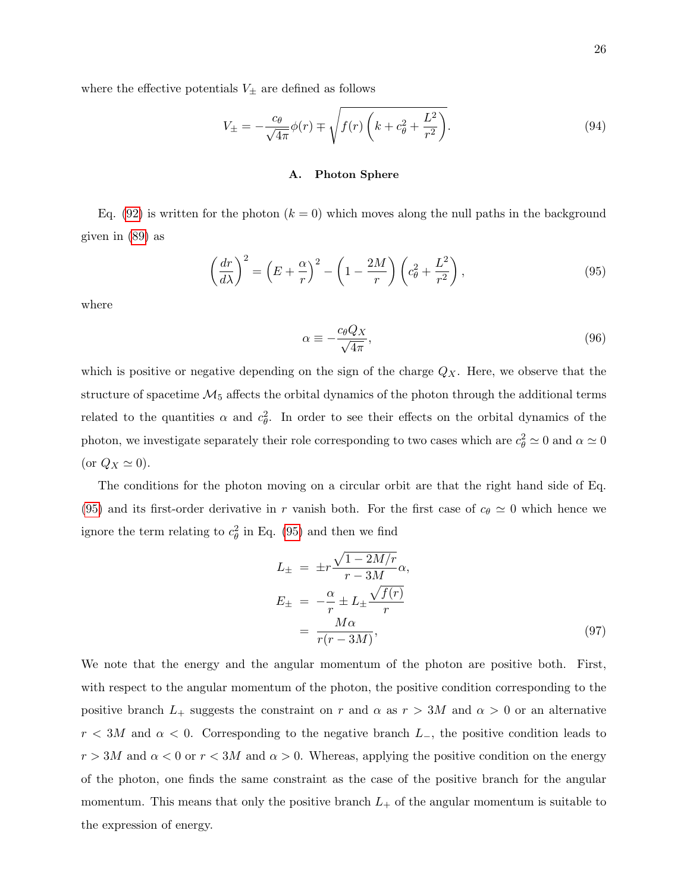where the effective potentials  $V_{\pm}$  are defined as follows

$$
V_{\pm} = -\frac{c_{\theta}}{\sqrt{4\pi}}\phi(r) \mp \sqrt{f(r)\left(k + c_{\theta}^2 + \frac{L^2}{r^2}\right)}.
$$
\n(94)

#### A. Photon Sphere

Eq. [\(92\)](#page-24-0) is written for the photon  $(k = 0)$  which moves along the null paths in the background given in [\(89\)](#page-24-1) as

<span id="page-25-0"></span>
$$
\left(\frac{dr}{d\lambda}\right)^2 = \left(E + \frac{\alpha}{r}\right)^2 - \left(1 - \frac{2M}{r}\right)\left(c_\theta^2 + \frac{L^2}{r^2}\right),\tag{95}
$$

where

<span id="page-25-2"></span>
$$
\alpha \equiv -\frac{c_{\theta}Q_X}{\sqrt{4\pi}},\tag{96}
$$

which is positive or negative depending on the sign of the charge  $Q_X$ . Here, we observe that the structure of spacetime  $\mathcal{M}_5$  affects the orbital dynamics of the photon through the additional terms related to the quantities  $\alpha$  and  $c_{\theta}^2$ . In order to see their effects on the orbital dynamics of the photon, we investigate separately their role corresponding to two cases which are  $c_{\theta}^2 \simeq 0$  and  $\alpha \simeq 0$ (or  $Q_X \simeq 0$ ).

The conditions for the photon moving on a circular orbit are that the right hand side of Eq. [\(95\)](#page-25-0) and its first-order derivative in r vanish both. For the first case of  $c_{\theta} \simeq 0$  which hence we ignore the term relating to  $c_{\theta}^2$  in Eq. [\(95\)](#page-25-0) and then we find

<span id="page-25-1"></span>
$$
L_{\pm} = \pm r \frac{\sqrt{1 - 2M/r}}{r - 3M} \alpha,
$$
  
\n
$$
E_{\pm} = -\frac{\alpha}{r} \pm L_{\pm} \frac{\sqrt{f(r)}}{r}
$$
  
\n
$$
= \frac{M\alpha}{r(r - 3M)},
$$
\n(97)

We note that the energy and the angular momentum of the photon are positive both. First, with respect to the angular momentum of the photon, the positive condition corresponding to the positive branch  $L_+$  suggests the constraint on r and  $\alpha$  as  $r > 3M$  and  $\alpha > 0$  or an alternative  $r < 3M$  and  $\alpha < 0$ . Corresponding to the negative branch  $L_$ , the positive condition leads to  $r > 3M$  and  $\alpha < 0$  or  $r < 3M$  and  $\alpha > 0$ . Whereas, applying the positive condition on the energy of the photon, one finds the same constraint as the case of the positive branch for the angular momentum. This means that only the positive branch  $L_{+}$  of the angular momentum is suitable to the expression of energy.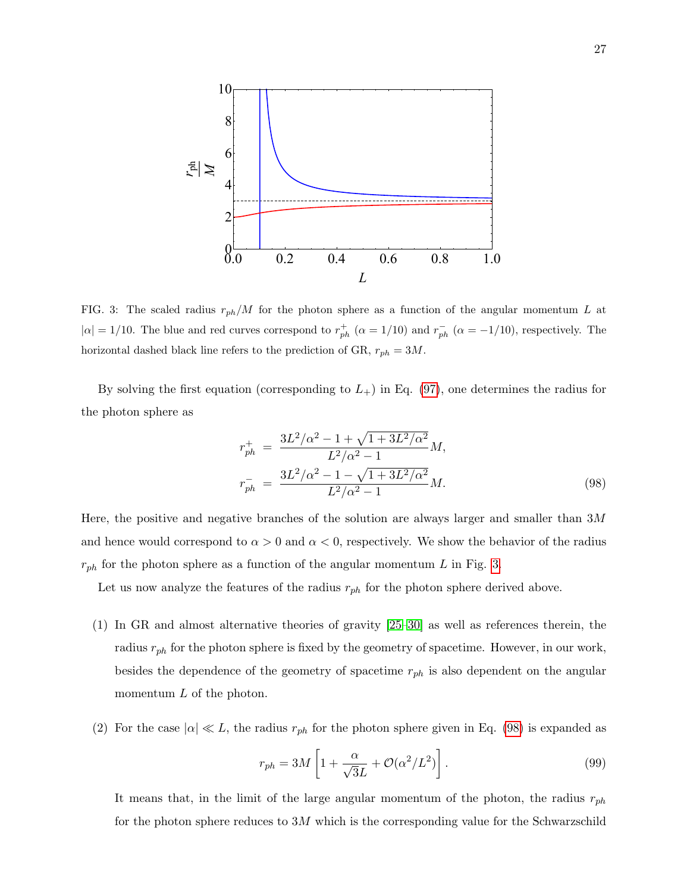

<span id="page-26-0"></span>FIG. 3: The scaled radius  $r_{ph}/M$  for the photon sphere as a function of the angular momentum L at  $|\alpha| = 1/10$ . The blue and red curves correspond to  $r_{ph}^+$  ( $\alpha = 1/10$ ) and  $r_{ph}^-$  ( $\alpha = -1/10$ ), respectively. The horizontal dashed black line refers to the prediction of GR,  $r_{ph} = 3M$ .

By solving the first equation (corresponding to  $L_{+}$ ) in Eq. [\(97\)](#page-25-1), one determines the radius for the photon sphere as

<span id="page-26-1"></span>
$$
r_{ph}^{+} = \frac{3L^{2}/\alpha^{2} - 1 + \sqrt{1 + 3L^{2}/\alpha^{2}}}{L^{2}/\alpha^{2} - 1}M,
$$
  
\n
$$
r_{ph}^{-} = \frac{3L^{2}/\alpha^{2} - 1 - \sqrt{1 + 3L^{2}/\alpha^{2}}}{L^{2}/\alpha^{2} - 1}M.
$$
\n(98)

Here, the positive and negative branches of the solution are always larger and smaller than  $3M$ and hence would correspond to  $\alpha > 0$  and  $\alpha < 0$ , respectively. We show the behavior of the radius  $r_{ph}$  for the photon sphere as a function of the angular momentum L in Fig. [3.](#page-26-0)

Let us now analyze the features of the radius  $r_{ph}$  for the photon sphere derived above.

- (1) In GR and almost alternative theories of gravity [\[25–](#page-43-1)[30\]](#page-43-2) as well as references therein, the radius  $r_{ph}$  for the photon sphere is fixed by the geometry of spacetime. However, in our work, besides the dependence of the geometry of spacetime  $r_{ph}$  is also dependent on the angular momentum  $L$  of the photon.
- (2) For the case  $|\alpha| \ll L$ , the radius  $r_{ph}$  for the photon sphere given in Eq. [\(98\)](#page-26-1) is expanded as

$$
r_{ph} = 3M \left[ 1 + \frac{\alpha}{\sqrt{3}L} + \mathcal{O}(\alpha^2/L^2) \right].
$$
 (99)

It means that, in the limit of the large angular momentum of the photon, the radius  $r_{ph}$ for the photon sphere reduces to  $3M$  which is the corresponding value for the Schwarzschild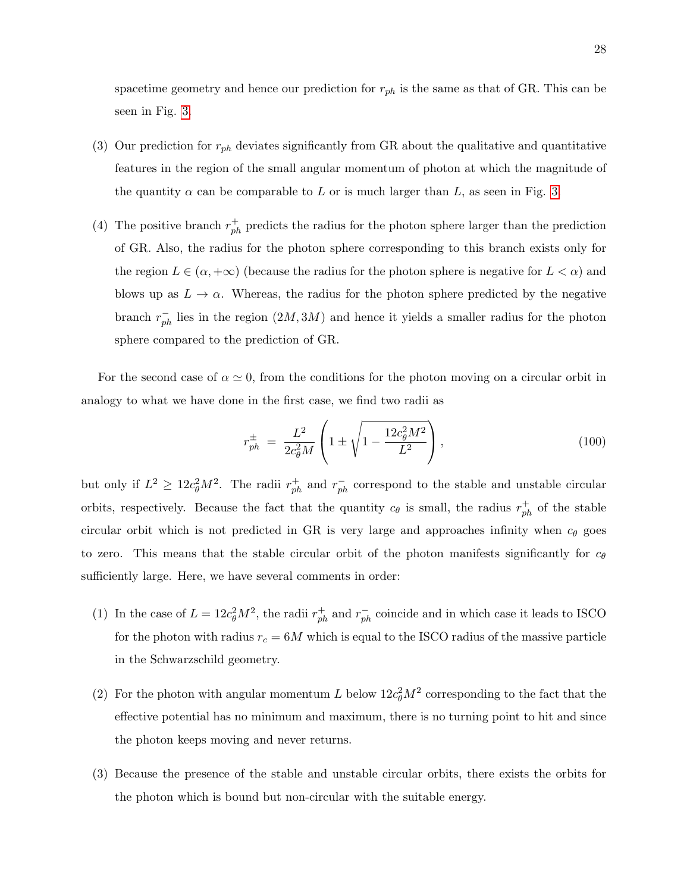spacetime geometry and hence our prediction for  $r_{ph}$  is the same as that of GR. This can be seen in Fig. [3.](#page-26-0)

- (3) Our prediction for  $r_{ph}$  deviates significantly from GR about the qualitative and quantitative features in the region of the small angular momentum of photon at which the magnitude of the quantity  $\alpha$  can be comparable to L or is much larger than L, as seen in Fig. [3.](#page-26-0)
- (4) The positive branch  $r_{ph}^+$  predicts the radius for the photon sphere larger than the prediction of GR. Also, the radius for the photon sphere corresponding to this branch exists only for the region  $L \in (\alpha, +\infty)$  (because the radius for the photon sphere is negative for  $L < \alpha$ ) and blows up as  $L \to \alpha$ . Whereas, the radius for the photon sphere predicted by the negative branch  $r_{ph}^-$  lies in the region  $(2M, 3M)$  and hence it yields a smaller radius for the photon sphere compared to the prediction of GR.

For the second case of  $\alpha \simeq 0$ , from the conditions for the photon moving on a circular orbit in analogy to what we have done in the first case, we find two radii as

$$
r_{ph}^{\pm} = \frac{L^2}{2c_{\theta}^2 M} \left( 1 \pm \sqrt{1 - \frac{12c_{\theta}^2 M^2}{L^2}} \right),
$$
 (100)

but only if  $L^2 \geq 12c_\theta^2 M^2$ . The radii  $r_{ph}^+$  and  $r_{ph}^-$  correspond to the stable and unstable circular orbits, respectively. Because the fact that the quantity  $c_{\theta}$  is small, the radius  $r_{ph}^{+}$  of the stable circular orbit which is not predicted in GR is very large and approaches infinity when  $c_{\theta}$  goes to zero. This means that the stable circular orbit of the photon manifests significantly for  $c_{\theta}$ sufficiently large. Here, we have several comments in order:

- (1) In the case of  $L = 12c_{\theta}^2 M^2$ , the radii  $r_{ph}^+$  and  $r_{ph}^-$  coincide and in which case it leads to ISCO for the photon with radius  $r_c = 6M$  which is equal to the ISCO radius of the massive particle in the Schwarzschild geometry.
- (2) For the photon with angular momentum L below  $12c_{\theta}^2M^2$  corresponding to the fact that the effective potential has no minimum and maximum, there is no turning point to hit and since the photon keeps moving and never returns.
- (3) Because the presence of the stable and unstable circular orbits, there exists the orbits for the photon which is bound but non-circular with the suitable energy.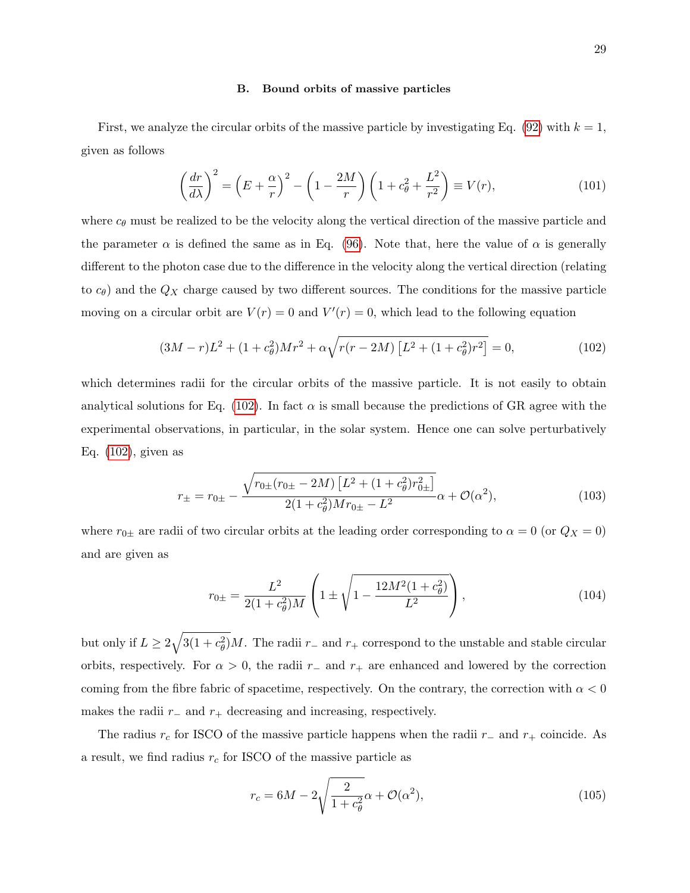#### B. Bound orbits of massive particles

First, we analyze the circular orbits of the massive particle by investigating Eq. [\(92\)](#page-24-0) with  $k = 1$ , given as follows

<span id="page-28-1"></span>
$$
\left(\frac{dr}{d\lambda}\right)^2 = \left(E + \frac{\alpha}{r}\right)^2 - \left(1 - \frac{2M}{r}\right)\left(1 + c_\theta^2 + \frac{L^2}{r^2}\right) \equiv V(r),\tag{101}
$$

where  $c_{\theta}$  must be realized to be the velocity along the vertical direction of the massive particle and the parameter  $\alpha$  is defined the same as in Eq. [\(96\)](#page-25-2). Note that, here the value of  $\alpha$  is generally different to the photon case due to the difference in the velocity along the vertical direction (relating to  $c_{\theta}$ ) and the  $Q_X$  charge caused by two different sources. The conditions for the massive particle moving on a circular orbit are  $V(r) = 0$  and  $V'(r) = 0$ , which lead to the following equation

<span id="page-28-0"></span>
$$
(3M - r)L^2 + (1 + c_\theta^2)Mr^2 + \alpha\sqrt{r(r - 2M)\left[L^2 + (1 + c_\theta^2)r^2\right]} = 0,
$$
\n(102)

which determines radii for the circular orbits of the massive particle. It is not easily to obtain analytical solutions for Eq. [\(102\)](#page-28-0). In fact  $\alpha$  is small because the predictions of GR agree with the experimental observations, in particular, in the solar system. Hence one can solve perturbatively Eq. [\(102\)](#page-28-0), given as

$$
r_{\pm} = r_{0\pm} - \frac{\sqrt{r_{0\pm}(r_{0\pm} - 2M)\left[L^2 + (1 + c_\theta^2)r_{0\pm}^2\right]}}{2(1 + c_\theta^2)Mr_{0\pm} - L^2} \alpha + \mathcal{O}(\alpha^2),\tag{103}
$$

where  $r_{0\pm}$  are radii of two circular orbits at the leading order corresponding to  $\alpha = 0$  (or  $Q_X = 0$ ) and are given as

$$
r_{0\pm} = \frac{L^2}{2(1+c_\theta^2)M} \left(1 \pm \sqrt{1 - \frac{12M^2(1+c_\theta^2)}{L^2}}\right),\tag{104}
$$

but only if  $L \geq 2\sqrt{3(1+c_{\theta}^2)}M$ . The radii  $r_{-}$  and  $r_{+}$  correspond to the unstable and stable circular orbits, respectively. For  $\alpha > 0$ , the radii r<sub>-</sub> and r<sub>+</sub> are enhanced and lowered by the correction coming from the fibre fabric of spacetime, respectively. On the contrary, the correction with  $\alpha < 0$ makes the radii  $r_$  and  $r_+$  decreasing and increasing, respectively.

The radius  $r_c$  for ISCO of the massive particle happens when the radii  $r_-\,$  and  $r_+\,$  coincide. As a result, we find radius  $r_c$  for ISCO of the massive particle as

$$
r_c = 6M - 2\sqrt{\frac{2}{1 + c_\theta^2}}\alpha + \mathcal{O}(\alpha^2),\tag{105}
$$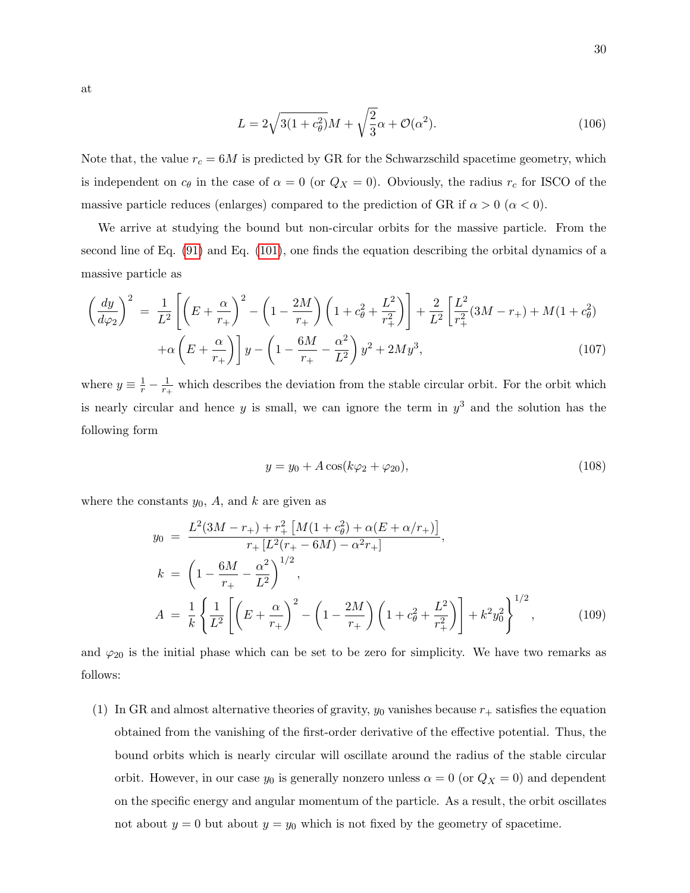at

$$
L = 2\sqrt{3(1+c_{\theta}^2)}M + \sqrt{\frac{2}{3}}\alpha + \mathcal{O}(\alpha^2). \tag{106}
$$

Note that, the value  $r_c = 6M$  is predicted by GR for the Schwarzschild spacetime geometry, which is independent on  $c_{\theta}$  in the case of  $\alpha = 0$  (or  $Q_X = 0$ ). Obviously, the radius  $r_c$  for ISCO of the massive particle reduces (enlarges) compared to the prediction of GR if  $\alpha > 0$  ( $\alpha < 0$ ).

We arrive at studying the bound but non-circular orbits for the massive particle. From the second line of Eq. [\(91\)](#page-24-2) and Eq. [\(101\)](#page-28-1), one finds the equation describing the orbital dynamics of a massive particle as

$$
\left(\frac{dy}{d\varphi_2}\right)^2 = \frac{1}{L^2} \left[ \left(E + \frac{\alpha}{r_+}\right)^2 - \left(1 - \frac{2M}{r_+}\right) \left(1 + c_\theta^2 + \frac{L^2}{r_+^2}\right) \right] + \frac{2}{L^2} \left[\frac{L^2}{r_+^2}(3M - r_+) + M(1 + c_\theta^2) + \alpha \left(E + \frac{\alpha}{r_+}\right) \right] y - \left(1 - \frac{6M}{r_+} - \frac{\alpha^2}{L^2}\right) y^2 + 2My^3,\tag{107}
$$

where  $y \equiv \frac{1}{r} - \frac{1}{r_+}$  $\frac{1}{r_+}$  which describes the deviation from the stable circular orbit. For the orbit which is nearly circular and hence y is small, we can ignore the term in  $y^3$  and the solution has the following form

$$
y = y_0 + A\cos(k\varphi_2 + \varphi_{20}),
$$
\n(108)

where the constants  $y_0$ , A, and k are given as

$$
y_0 = \frac{L^2(3M - r_+) + r_+^2 \left[M(1 + c_\theta^2) + \alpha(E + \alpha/r_+)\right]}{r_+ \left[L^2(r_+ - 6M) - \alpha^2 r_+\right]},
$$
  
\n
$$
k = \left(1 - \frac{6M}{r_+} - \frac{\alpha^2}{L^2}\right)^{1/2},
$$
  
\n
$$
A = \frac{1}{k} \left\{\frac{1}{L^2} \left[\left(E + \frac{\alpha}{r_+}\right)^2 - \left(1 - \frac{2M}{r_+}\right)\left(1 + c_\theta^2 + \frac{L^2}{r_+^2}\right)\right] + k^2 y_0^2\right\}^{1/2},
$$
(109)

and  $\varphi_{20}$  is the initial phase which can be set to be zero for simplicity. We have two remarks as follows:

(1) In GR and almost alternative theories of gravity,  $y_0$  vanishes because  $r_+$  satisfies the equation obtained from the vanishing of the first-order derivative of the effective potential. Thus, the bound orbits which is nearly circular will oscillate around the radius of the stable circular orbit. However, in our case  $y_0$  is generally nonzero unless  $\alpha = 0$  (or  $Q_X = 0$ ) and dependent on the specific energy and angular momentum of the particle. As a result, the orbit oscillates not about  $y = 0$  but about  $y = y_0$  which is not fixed by the geometry of spacetime.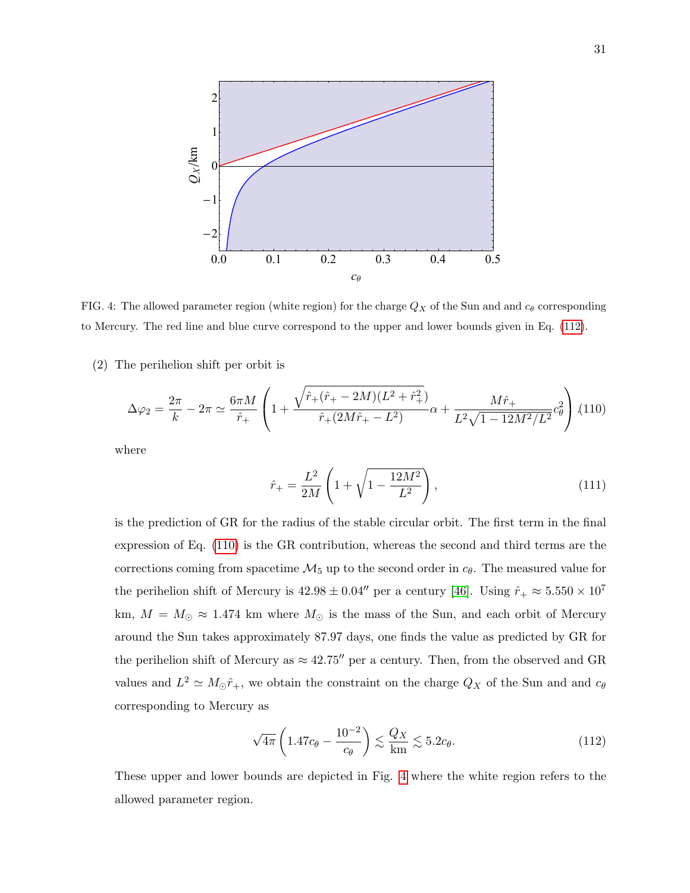

<span id="page-30-2"></span>FIG. 4: The allowed parameter region (white region) for the charge  $Q_X$  of the Sun and and  $c_\theta$  corresponding to Mercury. The red line and blue curve correspond to the upper and lower bounds given in Eq. [\(112\)](#page-30-0).

(2) The perihelion shift per orbit is

<span id="page-30-1"></span>
$$
\Delta\varphi_2 = \frac{2\pi}{k} - 2\pi \simeq \frac{6\pi M}{\hat{r}_+} \left( 1 + \frac{\sqrt{\hat{r}_+ (\hat{r}_+ - 2M)(L^2 + \hat{r}_+^2)}}{\hat{r}_+ (2M\hat{r}_+ - L^2)} \alpha + \frac{M\hat{r}_+}{L^2 \sqrt{1 - 12M^2/L^2}} c_\theta^2 \right) (110)
$$

where

$$
\hat{r}_{+} = \frac{L^2}{2M} \left( 1 + \sqrt{1 - \frac{12M^2}{L^2}} \right),\tag{111}
$$

is the prediction of GR for the radius of the stable circular orbit. The first term in the final expression of Eq. [\(110\)](#page-30-1) is the GR contribution, whereas the second and third terms are the corrections coming from spacetime  $\mathcal{M}_5$  up to the second order in  $c_\theta$ . The measured value for the perihelion shift of Mercury is  $42.98 \pm 0.04''$  per a century [\[46\]](#page-43-17). Using  $\hat{r}_{+} \approx 5.550 \times 10^{7}$ km,  $M = M_{\odot} \approx 1.474$  km where  $M_{\odot}$  is the mass of the Sun, and each orbit of Mercury around the Sun takes approximately 87.97 days, one finds the value as predicted by GR for the perihelion shift of Mercury as  $\approx 42.75''$  per a century. Then, from the observed and GR values and  $L^2 \simeq M_{\odot} \hat{r}_{+}$ , we obtain the constraint on the charge  $Q_X$  of the Sun and and  $c_{\theta}$ corresponding to Mercury as

<span id="page-30-0"></span>
$$
\sqrt{4\pi} \left( 1.47c_{\theta} - \frac{10^{-2}}{c_{\theta}} \right) \lesssim \frac{Q_X}{\text{km}} \lesssim 5.2c_{\theta}.
$$
 (112)

These upper and lower bounds are depicted in Fig. [4](#page-30-2) where the white region refers to the allowed parameter region.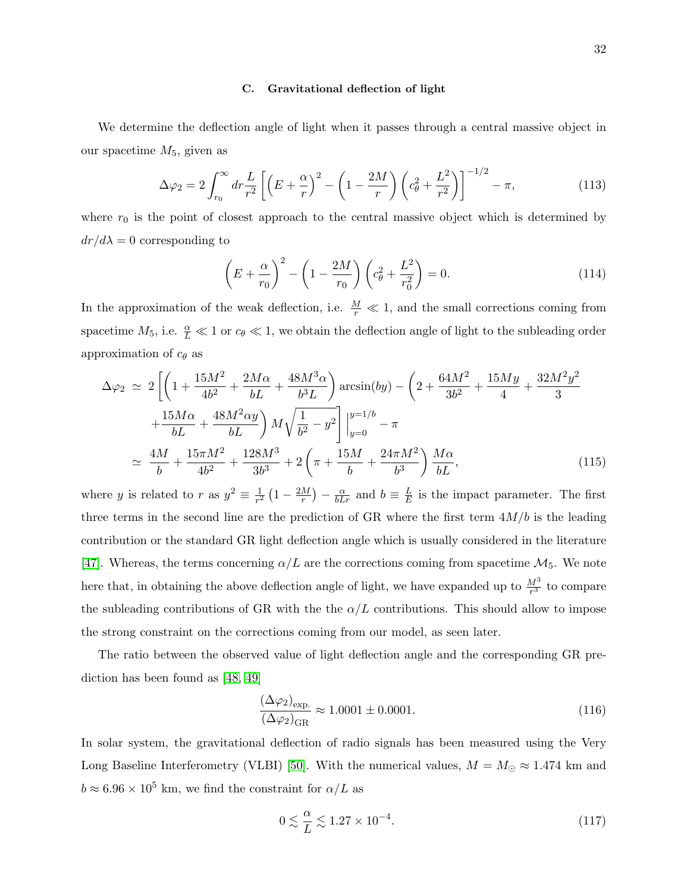#### C. Gravitational deflection of light

We determine the deflection angle of light when it passes through a central massive object in our spacetime  $M_5$ , given as

$$
\Delta\varphi_2 = 2\int_{r_0}^{\infty} dr \frac{L}{r^2} \left[ \left( E + \frac{\alpha}{r} \right)^2 - \left( 1 - \frac{2M}{r} \right) \left( c_\theta^2 + \frac{L^2}{r^2} \right) \right]^{-1/2} - \pi, \tag{113}
$$

where  $r_0$  is the point of closest approach to the central massive object which is determined by  $dr/d\lambda = 0$  corresponding to

$$
\left(E + \frac{\alpha}{r_0}\right)^2 - \left(1 - \frac{2M}{r_0}\right)\left(c_\theta^2 + \frac{L^2}{r_0^2}\right) = 0.
$$
\n(114)

In the approximation of the weak deflection, i.e.  $\frac{M}{r} \ll 1$ , and the small corrections coming from spacetime  $M_5$ , i.e.  $\frac{\alpha}{L} \ll 1$  or  $c_\theta \ll 1$ , we obtain the deflection angle of light to the subleading order approximation of  $c_{\theta}$  as

$$
\Delta\varphi_2 \simeq 2\left[ \left( 1 + \frac{15M^2}{4b^2} + \frac{2M\alpha}{bL} + \frac{48M^3\alpha}{b^3L} \right) \arcsin(by) - \left( 2 + \frac{64M^2}{3b^2} + \frac{15My}{4} + \frac{32M^2y^2}{3} + \frac{15M\alpha}{bL} + \frac{48M^2\alpha y}{bL} \right) M \sqrt{\frac{1}{b^2} - y^2} \right]_{y=0}^{y=1/b} - \pi
$$
  

$$
\simeq \frac{4M}{b} + \frac{15\pi M^2}{4b^2} + \frac{128M^3}{3b^3} + 2\left( \pi + \frac{15M}{b} + \frac{24\pi M^2}{b^3} \right) \frac{M\alpha}{bL}, \tag{115}
$$

where y is related to r as  $y^2 \equiv \frac{1}{r^2}$  $\frac{1}{r^2}\left(1-\frac{2M}{r}\right)$  $\frac{M}{r}$ ) –  $\frac{\alpha}{bLr}$  and  $b \equiv \frac{L}{E}$  $\frac{L}{E}$  is the impact parameter. The first three terms in the second line are the prediction of GR where the first term  $4M/b$  is the leading contribution or the standard GR light deflection angle which is usually considered in the literature [\[47\]](#page-43-18). Whereas, the terms concerning  $\alpha/L$  are the corrections coming from spacetime  $\mathcal{M}_5$ . We note here that, in obtaining the above deflection angle of light, we have expanded up to  $\frac{M^3}{r^3}$  to compare the subleading contributions of GR with the the  $\alpha/L$  contributions. This should allow to impose the strong constraint on the corrections coming from our model, as seen later.

The ratio between the observed value of light deflection angle and the corresponding GR prediction has been found as [\[48,](#page-43-19) [49\]](#page-43-20)

$$
\frac{(\Delta \varphi_2)_{\text{exp.}}}{(\Delta \varphi_2)_{\text{GR}}} \approx 1.0001 \pm 0.0001. \tag{116}
$$

In solar system, the gravitational deflection of radio signals has been measured using the Very Long Baseline Interferometry (VLBI) [\[50\]](#page-43-21). With the numerical values,  $M = M_{\odot} \approx 1.474$  km and  $b \approx 6.96 \times 10^5$  km, we find the constraint for  $\alpha/L$  as

<span id="page-31-0"></span>
$$
0 \lesssim \frac{\alpha}{L} \lesssim 1.27 \times 10^{-4}.\tag{117}
$$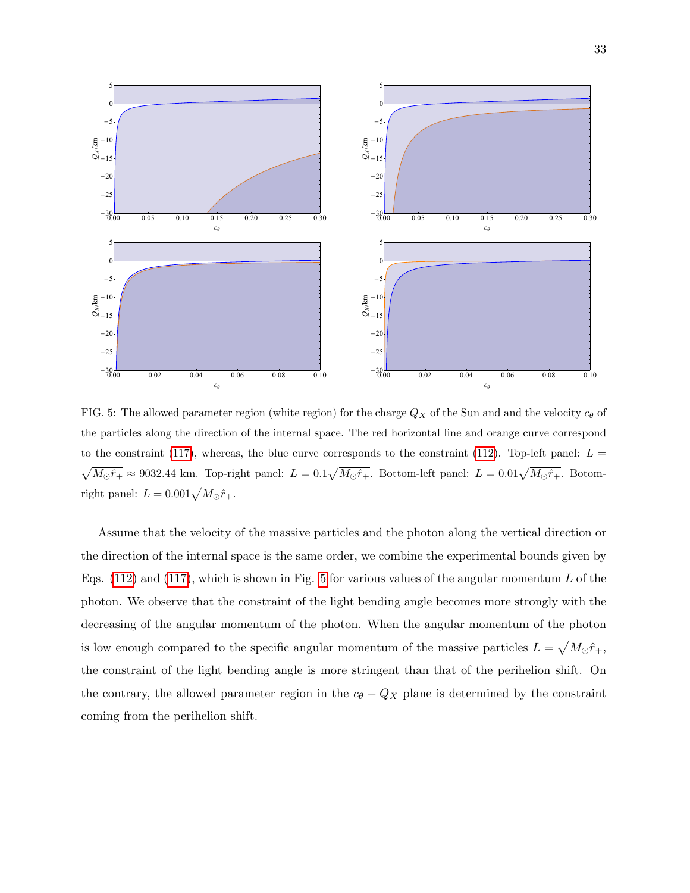

<span id="page-32-0"></span>FIG. 5: The allowed parameter region (white region) for the charge  $Q_X$  of the Sun and and the velocity  $c_{\theta}$  of the particles along the direction of the internal space. The red horizontal line and orange curve correspond to the constraint [\(117\)](#page-31-0), whereas, the blue curve corresponds to the constraint [\(112\)](#page-30-0). Top-left panel:  $L =$  $\sqrt{M_{\odot}\hat{r}_{+}} \approx 9032.44$  km. Top-right panel:  $L = 0.1\sqrt{M_{\odot}\hat{r}_{+}}$ . Bottom-left panel:  $L = 0.01\sqrt{M_{\odot}\hat{r}_{+}}$ . Botomright panel:  $L = 0.001 \sqrt{M_{\odot} \hat{r}_{+}}$ .

Assume that the velocity of the massive particles and the photon along the vertical direction or the direction of the internal space is the same order, we combine the experimental bounds given by Eqs.  $(112)$  and  $(117)$ , which is shown in Fig. [5](#page-32-0) for various values of the angular momentum L of the photon. We observe that the constraint of the light bending angle becomes more strongly with the decreasing of the angular momentum of the photon. When the angular momentum of the photon is low enough compared to the specific angular momentum of the massive particles  $L = \sqrt{M_{\odot} \hat{r}_{+}},$ the constraint of the light bending angle is more stringent than that of the perihelion shift. On the contrary, the allowed parameter region in the  $c_{\theta} - Q_X$  plane is determined by the constraint coming from the perihelion shift.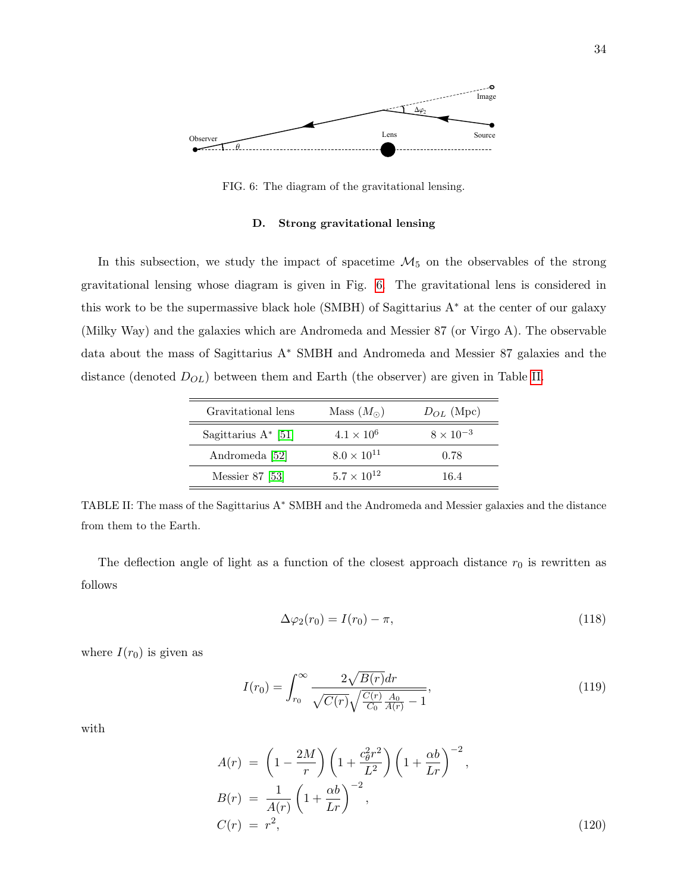

<span id="page-33-0"></span>FIG. 6: The diagram of the gravitational lensing.

#### D. Strong gravitational lensing

In this subsection, we study the impact of spacetime  $\mathcal{M}_5$  on the observables of the strong gravitational lensing whose diagram is given in Fig. [6.](#page-33-0) The gravitational lens is considered in this work to be the supermassive black hole (SMBH) of Sagittarius A<sup>∗</sup> at the center of our galaxy (Milky Way) and the galaxies which are Andromeda and Messier 87 (or Virgo A). The observable data about the mass of Sagittarius A<sup>∗</sup> SMBH and Andromeda and Messier 87 galaxies and the distance (denoted  $D_{OL}$ ) between them and Earth (the observer) are given in Table [II.](#page-33-1)

| Gravitational lens  | Mass $(M_{\odot})$   | $D_{OL}$ (Mpc)     |
|---------------------|----------------------|--------------------|
| Sagittarius A* [51] | $4.1 \times 10^{6}$  | $8 \times 10^{-3}$ |
| Andromeda [52]      | $8.0 \times 10^{11}$ | 0.78               |
| Messier 87 [53]     | $5.7 \times 10^{12}$ | 16.4               |

<span id="page-33-1"></span>TABLE II: The mass of the Sagittarius A<sup>∗</sup> SMBH and the Andromeda and Messier galaxies and the distance from them to the Earth.

The deflection angle of light as a function of the closest approach distance  $r_0$  is rewritten as follows

$$
\Delta \varphi_2(r_0) = I(r_0) - \pi,\tag{118}
$$

where  $I(r_0)$  is given as

$$
I(r_0) = \int_{r_0}^{\infty} \frac{2\sqrt{B(r)}dr}{\sqrt{C(r)}\sqrt{\frac{C(r)}{C_0}\frac{A_0}{A(r)} - 1}},
$$
\n(119)

with

$$
A(r) = \left(1 - \frac{2M}{r}\right) \left(1 + \frac{c_{\theta}^{2}r^{2}}{L^{2}}\right) \left(1 + \frac{\alpha b}{Lr}\right)^{-2},
$$
  
\n
$$
B(r) = \frac{1}{A(r)} \left(1 + \frac{\alpha b}{Lr}\right)^{-2},
$$
  
\n
$$
C(r) = r^{2},
$$
\n(120)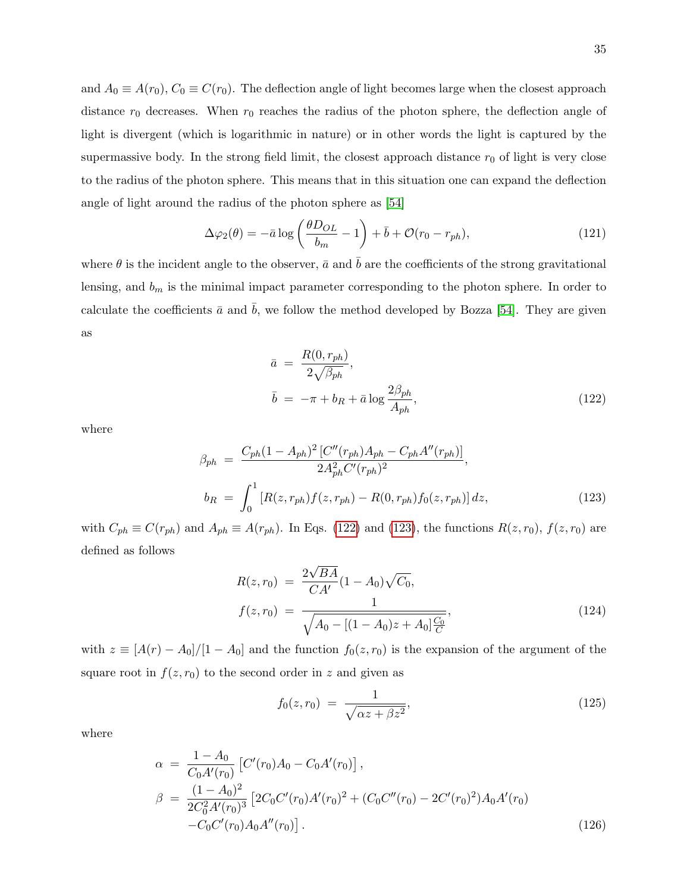and  $A_0 \equiv A(r_0)$ ,  $C_0 \equiv C(r_0)$ . The deflection angle of light becomes large when the closest approach distance  $r_0$  decreases. When  $r_0$  reaches the radius of the photon sphere, the deflection angle of light is divergent (which is logarithmic in nature) or in other words the light is captured by the supermassive body. In the strong field limit, the closest approach distance  $r_0$  of light is very close to the radius of the photon sphere. This means that in this situation one can expand the deflection angle of light around the radius of the photon sphere as [\[54\]](#page-43-25)

$$
\Delta\varphi_2(\theta) = -\bar{a}\log\left(\frac{\theta D_{OL}}{b_m} - 1\right) + \bar{b} + \mathcal{O}(r_0 - r_{ph}),\tag{121}
$$

where  $\theta$  is the incident angle to the observer,  $\bar{a}$  and  $\bar{b}$  are the coefficients of the strong gravitational lensing, and  $b_m$  is the minimal impact parameter corresponding to the photon sphere. In order to calculate the coefficients  $\bar{a}$  and  $\bar{b}$ , we follow the method developed by Bozza [\[54\]](#page-43-25). They are given as

<span id="page-34-0"></span>
$$
\bar{a} = \frac{R(0, r_{ph})}{2\sqrt{\beta_{ph}}},
$$
\n
$$
\bar{b} = -\pi + b_R + \bar{a} \log \frac{2\beta_{ph}}{A_{ph}},
$$
\n(122)

where

<span id="page-34-1"></span>
$$
\beta_{ph} = \frac{C_{ph}(1 - A_{ph})^2 [C''(r_{ph})A_{ph} - C_{ph}A''(r_{ph})]}{2A_{ph}^2 C'(r_{ph})^2},
$$
  
\n
$$
b_R = \int_0^1 [R(z, r_{ph})f(z, r_{ph}) - R(0, r_{ph})f_0(z, r_{ph})] dz,
$$
\n(123)

with  $C_{ph} \equiv C(r_{ph})$  and  $A_{ph} \equiv A(r_{ph})$ . In Eqs. [\(122\)](#page-34-0) and [\(123\)](#page-34-1), the functions  $R(z, r_0)$ ,  $f(z, r_0)$  are defined as follows

$$
R(z, r_0) = \frac{2\sqrt{BA}}{CA'}(1 - A_0)\sqrt{C_0},
$$
  
\n
$$
f(z, r_0) = \frac{1}{\sqrt{A_0 - [(1 - A_0)z + A_0]\frac{C_0}{C}}},
$$
\n(124)

with  $z \equiv [A(r) - A_0]/[1 - A_0]$  and the function  $f_0(z, r_0)$  is the expansion of the argument of the square root in  $f(z, r_0)$  to the second order in z and given as

$$
f_0(z, r_0) = \frac{1}{\sqrt{\alpha z + \beta z^2}},
$$
\n(125)

where

$$
\alpha = \frac{1 - A_0}{C_0 A'(r_0)} \left[ C'(r_0) A_0 - C_0 A'(r_0) \right],
$$
  
\n
$$
\beta = \frac{(1 - A_0)^2}{2C_0^2 A'(r_0)^3} \left[ 2C_0 C'(r_0) A'(r_0)^2 + (C_0 C''(r_0) - 2C'(r_0)^2) A_0 A'(r_0) - C_0 C'(r_0) A_0 A''(r_0) \right].
$$
\n(126)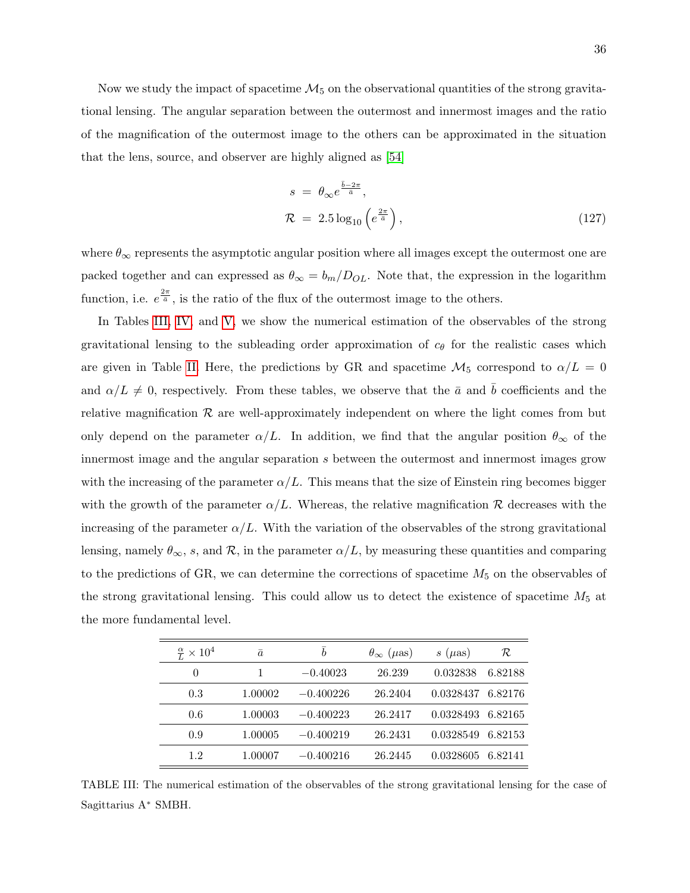Now we study the impact of spacetime  $\mathcal{M}_5$  on the observational quantities of the strong gravitational lensing. The angular separation between the outermost and innermost images and the ratio of the magnification of the outermost image to the others can be approximated in the situation that the lens, source, and observer are highly aligned as [\[54\]](#page-43-25)

$$
s = \theta_{\infty} e^{\frac{\bar{b} - 2\pi}{\bar{a}}},
$$
  

$$
\mathcal{R} = 2.5 \log_{10} \left( e^{\frac{2\pi}{\bar{a}}} \right),
$$
 (127)

where  $\theta_{\infty}$  represents the asymptotic angular position where all images except the outermost one are packed together and can expressed as  $\theta_{\infty} = b_m/D_{OL}$ . Note that, the expression in the logarithm function, i.e.  $e^{\frac{2\pi}{\tilde{a}}}$ , is the ratio of the flux of the outermost image to the others.

In Tables [III,](#page-35-0) [IV,](#page-36-0) and [V,](#page-36-1) we show the numerical estimation of the observables of the strong gravitational lensing to the subleading order approximation of  $c_{\theta}$  for the realistic cases which are given in Table [II.](#page-33-1) Here, the predictions by GR and spacetime  $\mathcal{M}_5$  correspond to  $\alpha/L = 0$ and  $\alpha/L \neq 0$ , respectively. From these tables, we observe that the  $\bar{a}$  and  $\bar{b}$  coefficients and the relative magnification  $\mathcal R$  are well-approximately independent on where the light comes from but only depend on the parameter  $\alpha/L$ . In addition, we find that the angular position  $\theta_{\infty}$  of the innermost image and the angular separation s between the outermost and innermost images grow with the increasing of the parameter  $\alpha/L$ . This means that the size of Einstein ring becomes bigger with the growth of the parameter  $\alpha/L$ . Whereas, the relative magnification R decreases with the increasing of the parameter  $\alpha/L$ . With the variation of the observables of the strong gravitational lensing, namely  $\theta_{\infty}$ , s, and  $\mathcal{R}$ , in the parameter  $\alpha/L$ , by measuring these quantities and comparing to the predictions of GR, we can determine the corrections of spacetime  $M_5$  on the observables of the strong gravitational lensing. This could allow us to detect the existence of spacetime  $M_5$  at the more fundamental level.

| $\frac{\alpha}{L} \times 10^4$ | $\bar{a}$ | $\boldsymbol{b}$ | $\theta_{\infty}$ ( <i>µ</i> as) | $s~(\mu as)$ | R       |
|--------------------------------|-----------|------------------|----------------------------------|--------------|---------|
| $\Omega$                       | 1         | $-0.40023$       | 26.239                           | 0.032838     | 6.82188 |
| 0.3                            | 1.00002   | $-0.400226$      | 26.2404                          | 0.0328437    | 6.82176 |
| 0.6                            | 1.00003   | $-0.400223$      | 26.2417                          | 0.0328493    | 6.82165 |
| 0.9                            | 1.00005   | $-0.400219$      | 26.2431                          | 0.0328549    | 6.82153 |
| 12                             | 1.00007   | $-0.400216$      | 26.2445                          | 0.0328605    | 6.82141 |

<span id="page-35-0"></span>TABLE III: The numerical estimation of the observables of the strong gravitational lensing for the case of Sagittarius A<sup>∗</sup> SMBH.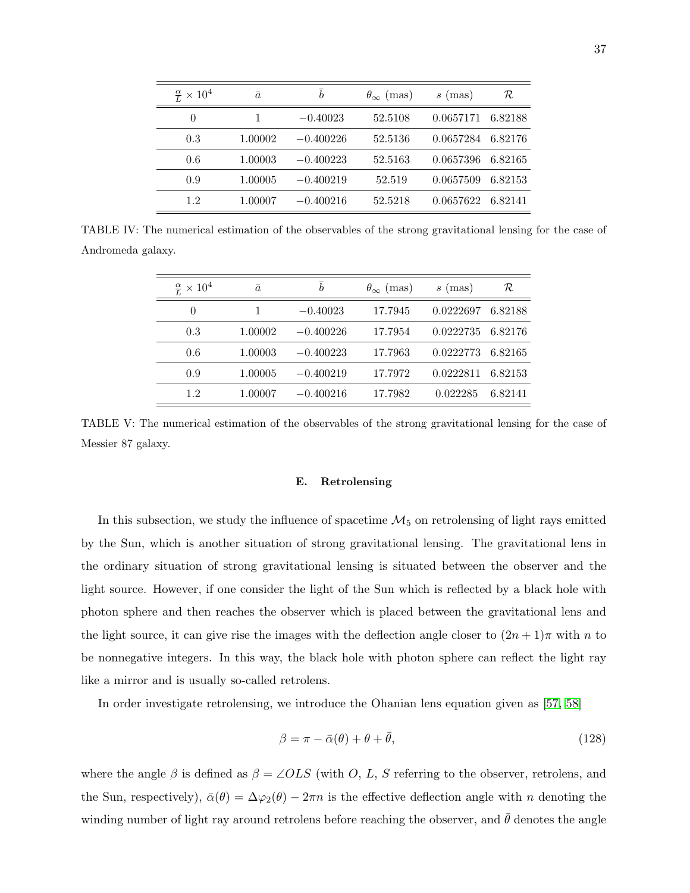|          | $\bar{a}$                                           | $\boldsymbol{b}$ | $\theta_{\infty}$ (mas) | (mas)<br>$\boldsymbol{s}$ | R       |
|----------|-----------------------------------------------------|------------------|-------------------------|---------------------------|---------|
| $\theta$ |                                                     | $-0.40023$       | 52.5108                 | 0.0657171                 | 6.82188 |
|          | 1.00002                                             | $-0.400226$      | 52.5136                 | 0.0657284                 | 6.82176 |
|          | 1.00003                                             | $-0.400223$      | 52.5163                 | 0.0657396                 | 6.82165 |
|          | 1.00005                                             | $-0.400219$      | 52.519                  | 0.0657509                 | 6.82153 |
| 12       | 1.00007                                             | $-0.400216$      | 52.5218                 | 0.0657622                 | 6.82141 |
|          | $\frac{\alpha}{L} \times 10^4$<br>0.3<br>0.6<br>0.9 |                  |                         |                           |         |

TABLE IV: The numerical estimation of the observables of the strong gravitational lensing for the case of Andromeda galaxy.

<span id="page-36-0"></span>

| $\frac{\alpha}{L} \times 10^4$ | $\bar{a}$ | $\boldsymbol{h}$ | $\theta_{\infty}$ (mas) | $s$ (mas) | R       |
|--------------------------------|-----------|------------------|-------------------------|-----------|---------|
| $\left( \right)$               |           | $-0.40023$       | 17.7945                 | 0.0222697 | 6.82188 |
| 0.3                            | 1.00002   | $-0.400226$      | 17.7954                 | 0.0222735 | 6.82176 |
| 0.6                            | 1.00003   | $-0.400223$      | 17.7963                 | 0.0222773 | 6.82165 |
| 0.9                            | 1.00005   | $-0.400219$      | 17.7972                 | 0.0222811 | 6.82153 |
| 1.2                            | 1.00007   | $-0.400216$      | 17.7982                 | 0.022285  | 6.82141 |

<span id="page-36-1"></span>TABLE V: The numerical estimation of the observables of the strong gravitational lensing for the case of Messier 87 galaxy.

#### E. Retrolensing

In this subsection, we study the influence of spacetime  $\mathcal{M}_5$  on retrolensing of light rays emitted by the Sun, which is another situation of strong gravitational lensing. The gravitational lens in the ordinary situation of strong gravitational lensing is situated between the observer and the light source. However, if one consider the light of the Sun which is reflected by a black hole with photon sphere and then reaches the observer which is placed between the gravitational lens and the light source, it can give rise the images with the deflection angle closer to  $(2n+1)\pi$  with n to be nonnegative integers. In this way, the black hole with photon sphere can reflect the light ray like a mirror and is usually so-called retrolens.

In order investigate retrolensing, we introduce the Ohanian lens equation given as [\[57,](#page-43-26) [58\]](#page-43-27)

$$
\beta = \pi - \bar{\alpha}(\theta) + \theta + \bar{\theta},\tag{128}
$$

where the angle  $\beta$  is defined as  $\beta = \angle OLS$  (with O, L, S referring to the observer, retrolens, and the Sun, respectively),  $\bar{\alpha}(\theta) = \Delta \varphi_2(\theta) - 2\pi n$  is the effective deflection angle with n denoting the winding number of light ray around retrolens before reaching the observer, and  $\bar{\theta}$  denotes the angle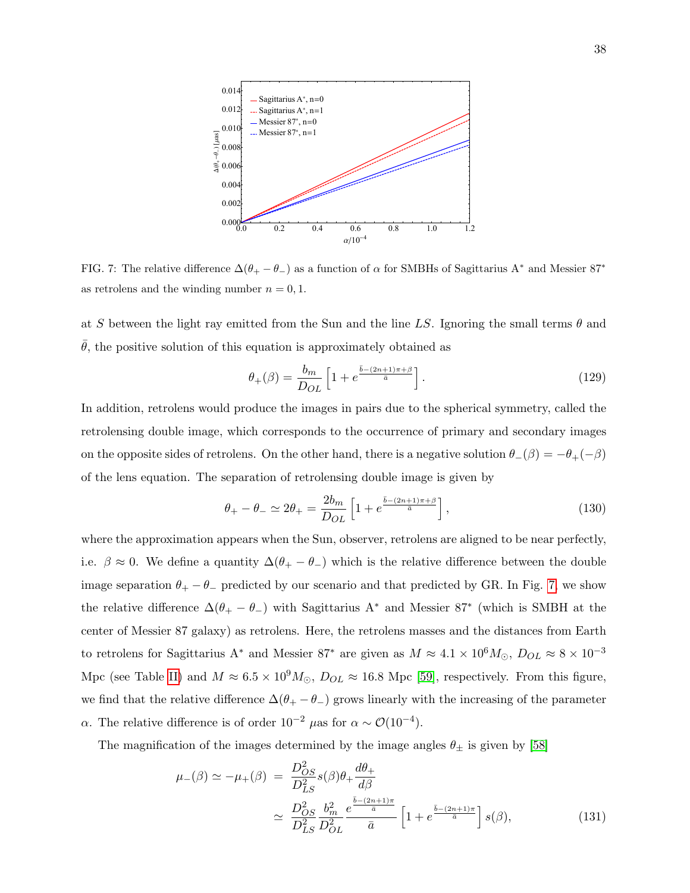

<span id="page-37-0"></span>FIG. 7: The relative difference  $\Delta(\theta_+ - \theta_-)$  as a function of  $\alpha$  for SMBHs of Sagittarius A<sup>\*</sup> and Messier 87<sup>\*</sup> as retrolens and the winding number  $n = 0, 1$ .

at S between the light ray emitted from the Sun and the line LS. Ignoring the small terms  $\theta$  and  $\theta$ , the positive solution of this equation is approximately obtained as

$$
\theta_{+}(\beta) = \frac{b_m}{D_{OL}} \left[ 1 + e^{\frac{\bar{b} - (2n+1)\pi + \beta}{\bar{a}}} \right]. \tag{129}
$$

In addition, retrolens would produce the images in pairs due to the spherical symmetry, called the retrolensing double image, which corresponds to the occurrence of primary and secondary images on the opposite sides of retrolens. On the other hand, there is a negative solution  $\theta_-(\beta) = -\theta_+(-\beta)$ of the lens equation. The separation of retrolensing double image is given by

$$
\theta_{+} - \theta_{-} \simeq 2\theta_{+} = \frac{2b_m}{D_{OL}} \left[ 1 + e^{\frac{\bar{b} - (2n+1)\pi + \beta}{\bar{a}}} \right],\tag{130}
$$

where the approximation appears when the Sun, observer, retrolens are aligned to be near perfectly, i.e.  $\beta \approx 0$ . We define a quantity  $\Delta(\theta_+ - \theta_-)$  which is the relative difference between the double image separation  $\theta_+ - \theta_-$  predicted by our scenario and that predicted by GR. In Fig. [7,](#page-37-0) we show the relative difference  $\Delta(\theta_+ - \theta_-)$  with Sagittarius A<sup>\*</sup> and Messier 87<sup>\*</sup> (which is SMBH at the center of Messier 87 galaxy) as retrolens. Here, the retrolens masses and the distances from Earth to retrolens for Sagittarius A<sup>∗</sup> and Messier 87<sup>∗</sup> are given as  $M \approx 4.1 \times 10^6 M_\odot$ ,  $D_{OL} \approx 8 \times 10^{-3}$ Mpc (see Table [II\)](#page-33-1) and  $M \approx 6.5 \times 10^9 M_{\odot}$ ,  $D_{OL} \approx 16.8$  Mpc [\[59\]](#page-44-0), respectively. From this figure, we find that the relative difference  $\Delta(\theta_+ - \theta_-)$  grows linearly with the increasing of the parameter α. The relative difference is of order  $10^{-2}$  μas for  $\alpha \sim \mathcal{O}(10^{-4})$ .

The magnification of the images determined by the image angles  $\theta_{\pm}$  is given by [\[58\]](#page-43-27)

$$
\mu_{-}(\beta) \simeq -\mu_{+}(\beta) = \frac{D_{OS}^{2}}{D_{LS}^{2}} s(\beta) \theta_{+} \frac{d\theta_{+}}{d\beta} \simeq \frac{D_{OS}^{2}}{D_{LS}^{2}} \frac{b_{m}^{2}}{D_{OL}^{2}} e^{\frac{\bar{b} - (2n+1)\pi}{\bar{a}}} \left[ 1 + e^{\frac{\bar{b} - (2n+1)\pi}{\bar{a}}} \right] s(\beta),
$$
\n(131)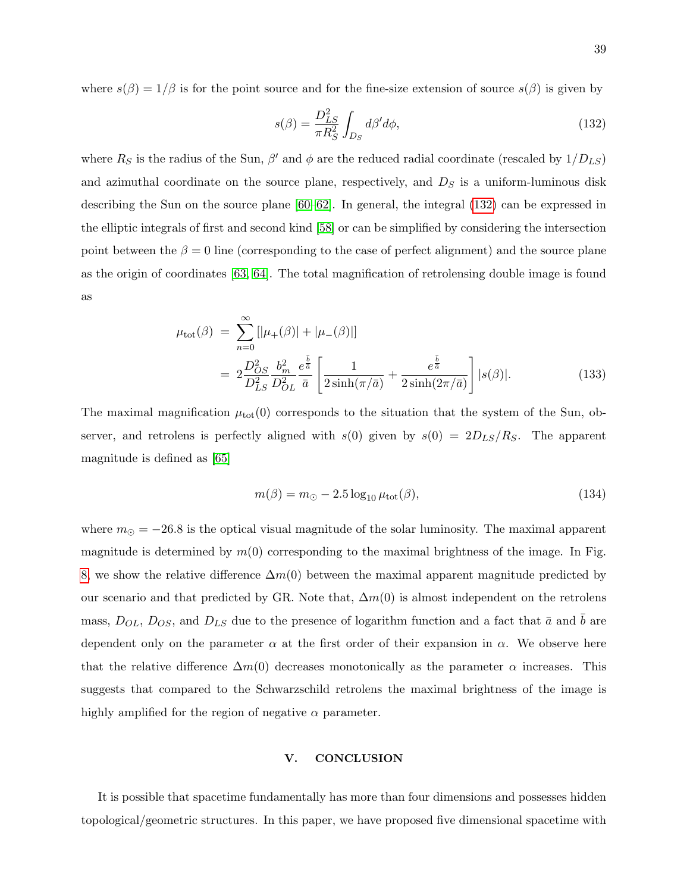where  $s(\beta) = 1/\beta$  is for the point source and for the fine-size extension of source  $s(\beta)$  is given by

<span id="page-38-1"></span>
$$
s(\beta) = \frac{D_{LS}^2}{\pi R_S^2} \int_{D_S} d\beta' d\phi,\tag{132}
$$

where  $R_S$  is the radius of the Sun,  $\beta'$  and  $\phi$  are the reduced radial coordinate (rescaled by  $1/D_{LS}$ ) and azimuthal coordinate on the source plane, respectively, and  $D<sub>S</sub>$  is a uniform-luminous disk describing the Sun on the source plane [\[60–](#page-44-1)[62\]](#page-44-2). In general, the integral [\(132\)](#page-38-1) can be expressed in the elliptic integrals of first and second kind [\[58\]](#page-43-27) or can be simplified by considering the intersection point between the  $\beta = 0$  line (corresponding to the case of perfect alignment) and the source plane as the origin of coordinates [\[63,](#page-44-3) [64\]](#page-44-4). The total magnification of retrolensing double image is found as

$$
\mu_{\text{tot}}(\beta) = \sum_{n=0}^{\infty} [|\mu_{+}(\beta)| + |\mu_{-}(\beta)|]
$$
  
=  $2 \frac{D_{OS}^{2}}{D_{LS}^{2}} \frac{b_{m}^{2}}{D_{OL}^{2}} \frac{e^{\frac{\tilde{b}}{\tilde{a}}}}{\bar{a}} \left[ \frac{1}{2 \sinh(\pi/\bar{a})} + \frac{e^{\frac{\tilde{b}}{\tilde{a}}}}{2 \sinh(2\pi/\bar{a})} \right] |s(\beta)|.$  (133)

The maximal magnification  $\mu_{\text{tot}}(0)$  corresponds to the situation that the system of the Sun, observer, and retrolens is perfectly aligned with  $s(0)$  given by  $s(0) = 2D_{LS}/R_S$ . The apparent magnitude is defined as [\[65\]](#page-44-5)

$$
m(\beta) = m_{\odot} - 2.5 \log_{10} \mu_{\text{tot}}(\beta), \tag{134}
$$

where  $m_{\odot} = -26.8$  is the optical visual magnitude of the solar luminosity. The maximal apparent magnitude is determined by  $m(0)$  corresponding to the maximal brightness of the image. In Fig. [8,](#page-39-0) we show the relative difference  $\Delta m(0)$  between the maximal apparent magnitude predicted by our scenario and that predicted by GR. Note that,  $\Delta m(0)$  is almost independent on the retrolens mass,  $D_{OL}$ ,  $D_{OS}$ , and  $D_{LS}$  due to the presence of logarithm function and a fact that  $\bar{a}$  and  $\bar{b}$  are dependent only on the parameter  $\alpha$  at the first order of their expansion in  $\alpha$ . We observe here that the relative difference  $\Delta m(0)$  decreases monotonically as the parameter  $\alpha$  increases. This suggests that compared to the Schwarzschild retrolens the maximal brightness of the image is highly amplified for the region of negative  $\alpha$  parameter.

#### <span id="page-38-0"></span>V. CONCLUSION

It is possible that spacetime fundamentally has more than four dimensions and possesses hidden topological/geometric structures. In this paper, we have proposed five dimensional spacetime with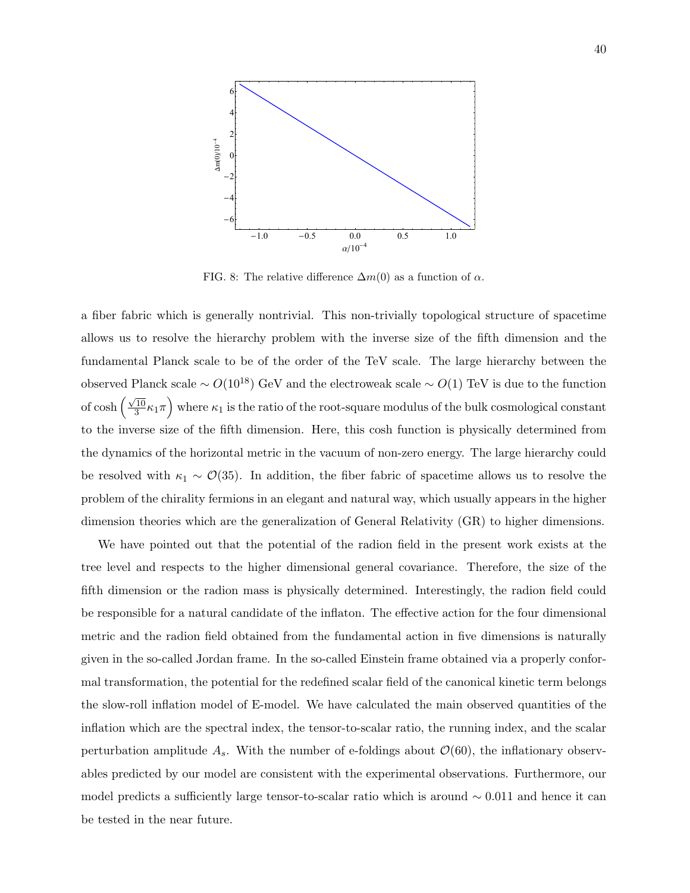

<span id="page-39-0"></span>FIG. 8: The relative difference  $\Delta m(0)$  as a function of  $\alpha$ .

a fiber fabric which is generally nontrivial. This non-trivially topological structure of spacetime allows us to resolve the hierarchy problem with the inverse size of the fifth dimension and the fundamental Planck scale to be of the order of the TeV scale. The large hierarchy between the observed Planck scale ∼  $O(10^{18})$  GeV and the electroweak scale ∼  $O(1)$  TeV is due to the function of cosh  $\left(\frac{\sqrt{10}}{3}\right)$  $\sqrt{\frac{10}{3}}\kappa_1\pi\Big)$  where  $\kappa_1$  is the ratio of the root-square modulus of the bulk cosmological constant to the inverse size of the fifth dimension. Here, this cosh function is physically determined from the dynamics of the horizontal metric in the vacuum of non-zero energy. The large hierarchy could be resolved with  $\kappa_1 \sim \mathcal{O}(35)$ . In addition, the fiber fabric of spacetime allows us to resolve the problem of the chirality fermions in an elegant and natural way, which usually appears in the higher dimension theories which are the generalization of General Relativity (GR) to higher dimensions.

We have pointed out that the potential of the radion field in the present work exists at the tree level and respects to the higher dimensional general covariance. Therefore, the size of the fifth dimension or the radion mass is physically determined. Interestingly, the radion field could be responsible for a natural candidate of the inflaton. The effective action for the four dimensional metric and the radion field obtained from the fundamental action in five dimensions is naturally given in the so-called Jordan frame. In the so-called Einstein frame obtained via a properly conformal transformation, the potential for the redefined scalar field of the canonical kinetic term belongs the slow-roll inflation model of E-model. We have calculated the main observed quantities of the inflation which are the spectral index, the tensor-to-scalar ratio, the running index, and the scalar perturbation amplitude  $A_s$ . With the number of e-foldings about  $\mathcal{O}(60)$ , the inflationary observables predicted by our model are consistent with the experimental observations. Furthermore, our model predicts a sufficiently large tensor-to-scalar ratio which is around ∼ 0.011 and hence it can be tested in the near future.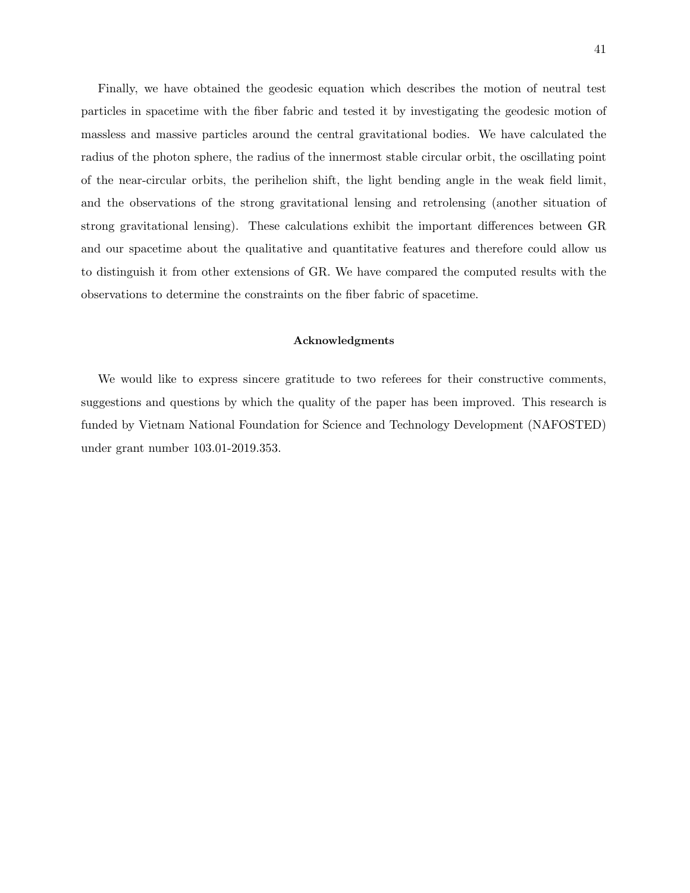Finally, we have obtained the geodesic equation which describes the motion of neutral test particles in spacetime with the fiber fabric and tested it by investigating the geodesic motion of massless and massive particles around the central gravitational bodies. We have calculated the radius of the photon sphere, the radius of the innermost stable circular orbit, the oscillating point of the near-circular orbits, the perihelion shift, the light bending angle in the weak field limit, and the observations of the strong gravitational lensing and retrolensing (another situation of strong gravitational lensing). These calculations exhibit the important differences between GR and our spacetime about the qualitative and quantitative features and therefore could allow us to distinguish it from other extensions of GR. We have compared the computed results with the observations to determine the constraints on the fiber fabric of spacetime.

#### Acknowledgments

We would like to express sincere gratitude to two referees for their constructive comments, suggestions and questions by which the quality of the paper has been improved. This research is funded by Vietnam National Foundation for Science and Technology Development (NAFOSTED) under grant number 103.01-2019.353.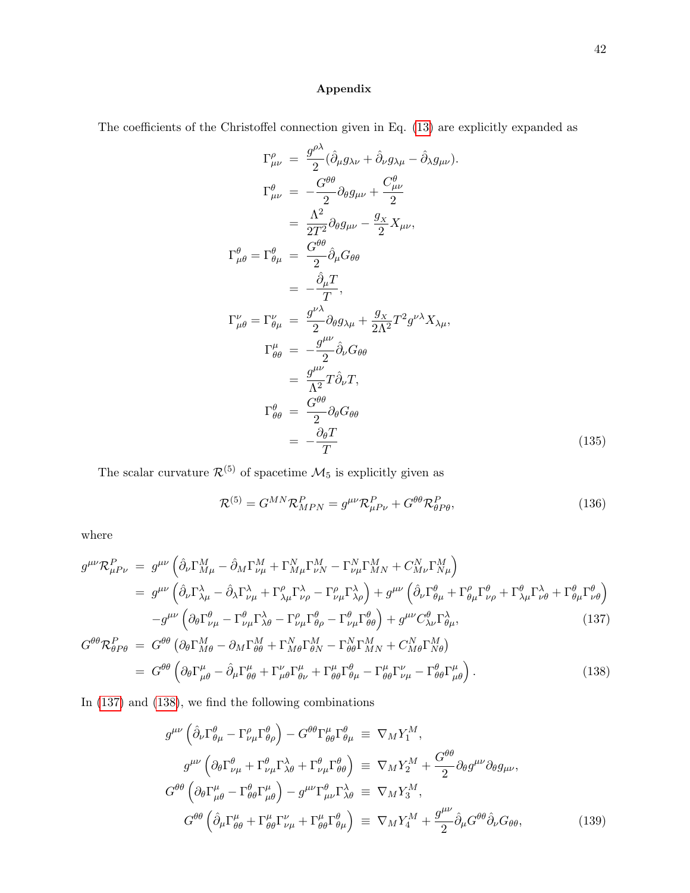## Appendix

The coefficients of the Christoffel connection given in Eq. [\(13\)](#page-7-2) are explicitly expanded as

$$
\Gamma^{\rho}_{\mu\nu} = \frac{g^{\rho\lambda}}{2} (\hat{\partial}_{\mu} g_{\lambda\nu} + \hat{\partial}_{\nu} g_{\lambda\mu} - \hat{\partial}_{\lambda} g_{\mu\nu}).
$$
\n
$$
\Gamma^{\theta}_{\mu\nu} = -\frac{G^{\theta\theta}}{2} \partial_{\theta} g_{\mu\nu} + \frac{C^{\theta}_{\mu\nu}}{2}
$$
\n
$$
= \frac{\Lambda^2}{2T^2} \partial_{\theta} g_{\mu\nu} - \frac{g_{\chi}}{2} X_{\mu\nu},
$$
\n
$$
\Gamma^{\theta}_{\mu\theta} = \Gamma^{\theta}_{\theta\mu} = \frac{G^{\theta\theta}}{2} \hat{\partial}_{\mu} G_{\theta\theta}
$$
\n
$$
= -\frac{\hat{\partial}_{\mu} T}{T},
$$
\n
$$
\Gamma^{\nu}_{\mu\theta} = \Gamma^{\nu}_{\theta\mu} = \frac{g^{\nu\lambda}}{2} \partial_{\theta} g_{\lambda\mu} + \frac{g_{\chi}}{2\Lambda^2} T^2 g^{\nu\lambda} X_{\lambda\mu},
$$
\n
$$
\Gamma^{\mu}_{\theta\theta} = -\frac{g^{\mu\nu}}{2} \hat{\partial}_{\nu} G_{\theta\theta}
$$
\n
$$
= \frac{g^{\mu\nu}}{\Lambda^2} T \hat{\partial}_{\nu} T,
$$
\n
$$
\Gamma^{\theta}_{\theta\theta} = \frac{G^{\theta\theta}}{2} \partial_{\theta} G_{\theta\theta}
$$
\n
$$
= -\frac{\partial_{\theta} T}{T}
$$
\n(135)

The scalar curvature  $\mathcal{R}^{(5)}$  of spacetime  $\mathcal{M}_5$  is explicitly given as

$$
\mathcal{R}^{(5)} = G^{MN} \mathcal{R}_{MPN}^P = g^{\mu\nu} \mathcal{R}_{\mu P \nu}^P + G^{\theta\theta} \mathcal{R}_{\theta P \theta}^P,
$$
\n(136)

where

<span id="page-41-0"></span>
$$
g^{\mu\nu} \mathcal{R}^{P}_{\mu P \nu} = g^{\mu\nu} \left( \hat{\partial}_{\nu} \Gamma^{M}_{M\mu} - \hat{\partial}_{M} \Gamma^{M}_{\nu\mu} + \Gamma^{N}_{M\mu} \Gamma^{M}_{\nu N} - \Gamma^{N}_{\nu\mu} \Gamma^{M}_{M N} + C^{N}_{M\nu} \Gamma^{M}_{N\mu} \right)
$$
  
\n
$$
= g^{\mu\nu} \left( \hat{\partial}_{\nu} \Gamma^{\lambda}_{\lambda\mu} - \hat{\partial}_{\lambda} \Gamma^{\lambda}_{\nu\mu} + \Gamma^{\rho}_{\lambda\mu} \Gamma^{\lambda}_{\nu\rho} - \Gamma^{\rho}_{\nu\mu} \Gamma^{\lambda}_{\lambda\rho} \right) + g^{\mu\nu} \left( \hat{\partial}_{\nu} \Gamma^{\theta}_{\theta\mu} + \Gamma^{\rho}_{\theta\mu} \Gamma^{\theta}_{\nu\rho} + \Gamma^{\theta}_{\lambda\mu} \Gamma^{\lambda}_{\nu\theta} + \Gamma^{\theta}_{\theta\mu} \Gamma^{\theta}_{\nu\theta} \right)
$$
  
\n
$$
-g^{\mu\nu} \left( \partial_{\theta} \Gamma^{\theta}_{\nu\mu} - \Gamma^{\theta}_{\nu\mu} \Gamma^{\lambda}_{\lambda\theta} - \Gamma^{\rho}_{\nu\mu} \Gamma^{\theta}_{\theta\rho} - \Gamma^{\theta}_{\nu\mu} \Gamma^{\theta}_{\theta\theta} \right) + g^{\mu\nu} C^{\theta}_{\lambda\nu} \Gamma^{\lambda}_{\theta\mu}, \tag{137}
$$

$$
G^{\theta\theta} \mathcal{R}^{P}_{\theta P\theta} = G^{\theta\theta} \left( \partial_{\theta} \Gamma^{M}_{M\theta} - \partial_{M} \Gamma^{M}_{\theta\theta} + \Gamma^{N}_{M\theta} \Gamma^{M}_{\theta N} - \Gamma^{N}_{\theta\theta} \Gamma^{M}_{M N} + C^{N}_{M\theta} \Gamma^{M}_{N\theta} \right)
$$
  
= 
$$
G^{\theta\theta} \left( \partial_{\theta} \Gamma^{\mu}_{\mu\theta} - \partial_{\mu} \Gamma^{\mu}_{\theta\theta} + \Gamma^{\nu}_{\mu\theta} \Gamma^{\mu}_{\theta\nu} + \Gamma^{\mu}_{\theta\theta} \Gamma^{\theta}_{\theta\mu} - \Gamma^{\mu}_{\theta\theta} \Gamma^{\nu}_{\nu\mu} - \Gamma^{\theta}_{\theta\theta} \Gamma^{\mu}_{\mu\theta} \right).
$$
(138)

In [\(137\)](#page-41-0) and [\(138\)](#page-41-0), we find the following combinations

$$
g^{\mu\nu} \left( \hat{\partial}_{\nu} \Gamma^{\theta}_{\theta\mu} - \Gamma^{\rho}_{\nu\mu} \Gamma^{\theta}_{\theta\rho} \right) - G^{\theta\theta} \Gamma^{\mu}_{\theta\theta} \Gamma^{\theta}_{\theta\mu} \equiv \nabla_M Y_1^M,
$$
  
\n
$$
g^{\mu\nu} \left( \partial_{\theta} \Gamma^{\theta}_{\nu\mu} + \Gamma^{\theta}_{\nu\mu} \Gamma^{\lambda}_{\lambda\theta} + \Gamma^{\theta}_{\nu\mu} \Gamma^{\theta}_{\theta\theta} \right) \equiv \nabla_M Y_2^M + \frac{G^{\theta\theta}}{2} \partial_{\theta} g^{\mu\nu} \partial_{\theta} g_{\mu\nu},
$$
  
\n
$$
G^{\theta\theta} \left( \partial_{\theta} \Gamma^{\mu}_{\mu\theta} - \Gamma^{\theta}_{\theta\theta} \Gamma^{\mu}_{\mu\theta} \right) - g^{\mu\nu} \Gamma^{\theta}_{\mu\nu} \Gamma^{\lambda}_{\lambda\theta} \equiv \nabla_M Y_3^M,
$$
  
\n
$$
G^{\theta\theta} \left( \hat{\partial}_{\mu} \Gamma^{\mu}_{\theta\theta} + \Gamma^{\mu}_{\theta\theta} \Gamma^{\nu}_{\nu\mu} + \Gamma^{\mu}_{\theta\theta} \Gamma^{\theta}_{\theta\mu} \right) \equiv \nabla_M Y_4^M + \frac{g^{\mu\nu}}{2} \hat{\partial}_{\mu} G^{\theta\theta} \hat{\partial}_{\nu} G_{\theta\theta},
$$
\n(139)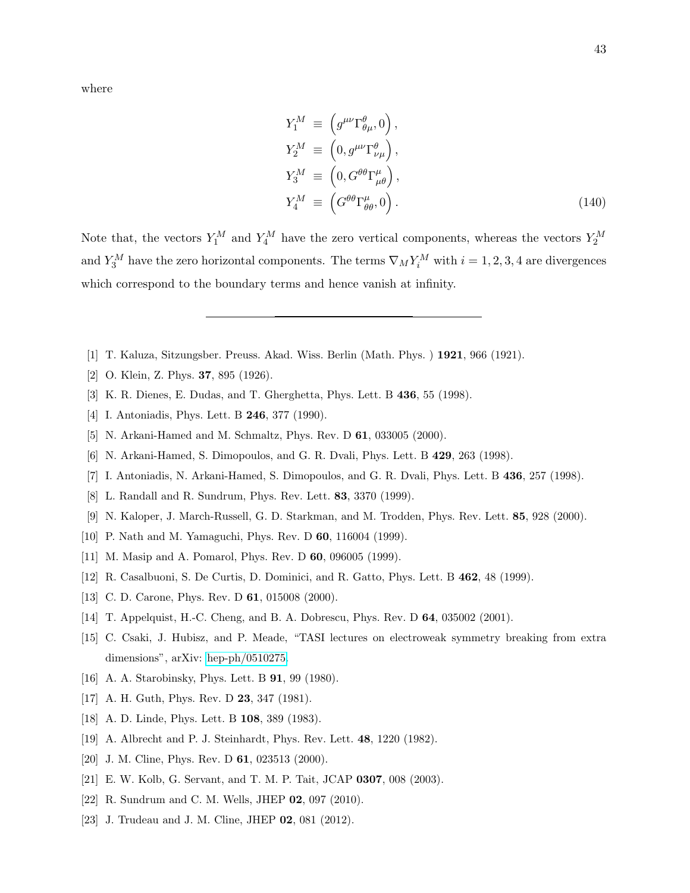$$
Y_1^M \equiv \left(g^{\mu\nu}\Gamma^{\theta}_{\theta\mu}, 0\right),
$$
  
\n
$$
Y_2^M \equiv \left(0, g^{\mu\nu}\Gamma^{\theta}_{\nu\mu}\right),
$$
  
\n
$$
Y_3^M \equiv \left(0, G^{\theta\theta}\Gamma^{\mu}_{\mu\theta}\right),
$$
  
\n
$$
Y_4^M \equiv \left(G^{\theta\theta}\Gamma^{\mu}_{\theta\theta}, 0\right).
$$
\n(140)

Note that, the vectors  $Y_1^M$  and  $Y_4^M$  have the zero vertical components, whereas the vectors  $Y_2^M$ and  $Y_3^M$  have the zero horizontal components. The terms  $\nabla_M Y_i^M$  with  $i = 1, 2, 3, 4$  are divergences which correspond to the boundary terms and hence vanish at infinity.

- <span id="page-42-1"></span><span id="page-42-0"></span>[1] T. Kaluza, Sitzungsber. Preuss. Akad. Wiss. Berlin (Math. Phys. ) 1921, 966 (1921).
- <span id="page-42-2"></span>[2] O. Klein, Z. Phys. 37, 895 (1926).
- [3] K. R. Dienes, E. Dudas, and T. Gherghetta, Phys. Lett. B 436, 55 (1998).
- <span id="page-42-3"></span>[4] I. Antoniadis, Phys. Lett. B **246**, 377 (1990).
- <span id="page-42-4"></span>[5] N. Arkani-Hamed and M. Schmaltz, Phys. Rev. D **61**, 033005 (2000).
- <span id="page-42-5"></span>[6] N. Arkani-Hamed, S. Dimopoulos, and G. R. Dvali, Phys. Lett. B 429, 263 (1998).
- <span id="page-42-6"></span>[7] I. Antoniadis, N. Arkani-Hamed, S. Dimopoulos, and G. R. Dvali, Phys. Lett. B 436, 257 (1998).
- <span id="page-42-7"></span>[8] L. Randall and R. Sundrum, Phys. Rev. Lett. 83, 3370 (1999).
- <span id="page-42-8"></span>[9] N. Kaloper, J. March-Russell, G. D. Starkman, and M. Trodden, Phys. Rev. Lett. 85, 928 (2000).
- [10] P. Nath and M. Yamaguchi, Phys. Rev. D 60, 116004 (1999).
- [11] M. Masip and A. Pomarol, Phys. Rev. D **60**, 096005 (1999).
- [12] R. Casalbuoni, S. De Curtis, D. Dominici, and R. Gatto, Phys. Lett. B 462, 48 (1999).
- <span id="page-42-9"></span>[13] C. D. Carone, Phys. Rev. D **61**, 015008 (2000).
- <span id="page-42-10"></span>[14] T. Appelquist, H.-C. Cheng, and B. A. Dobrescu, Phys. Rev. D 64, 035002 (2001).
- [15] C. Csaki, J. Hubisz, and P. Meade, "TASI lectures on electroweak symmetry breaking from extra dimensions", arXiv: [hep-ph/0510275.](http://arxiv.org/abs/hep-ph/0510275)
- <span id="page-42-11"></span>[16] A. A. Starobinsky, Phys. Lett. B **91**, 99 (1980).
- [17] A. H. Guth, Phys. Rev. D **23**, 347 (1981).
- <span id="page-42-12"></span>[18] A. D. Linde, Phys. Lett. B **108**, 389 (1983).
- <span id="page-42-13"></span>[19] A. Albrecht and P. J. Steinhardt, Phys. Rev. Lett. 48, 1220 (1982).
- [20] J. M. Cline, Phys. Rev. D 61, 023513 (2000).
- [21] E. W. Kolb, G. Servant, and T. M. P. Tait, JCAP 0307, 008 (2003).
- [22] R. Sundrum and C. M. Wells, JHEP 02, 097 (2010).
- [23] J. Trudeau and J. M. Cline, JHEP 02, 081 (2012).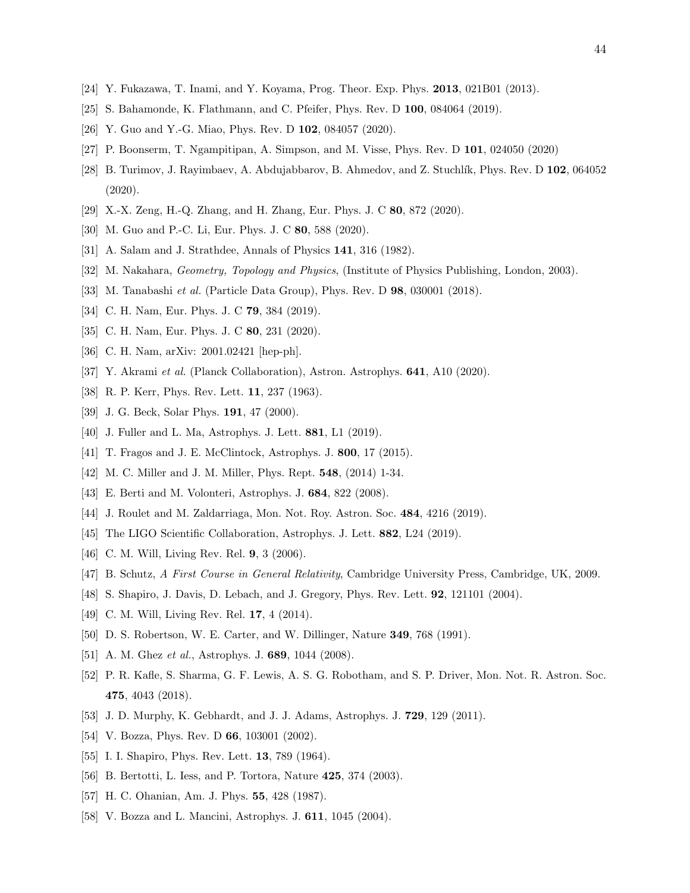- <span id="page-43-1"></span><span id="page-43-0"></span>[24] Y. Fukazawa, T. Inami, and Y. Koyama, Prog. Theor. Exp. Phys. 2013, 021B01 (2013).
- [25] S. Bahamonde, K. Flathmann, and C. Pfeifer, Phys. Rev. D 100, 084064 (2019).
- [26] Y. Guo and Y.-G. Miao, Phys. Rev. D 102, 084057 (2020).
- [27] P. Boonserm, T. Ngampitipan, A. Simpson, and M. Visse, Phys. Rev. D 101, 024050 (2020)
- [28] B. Turimov, J. Rayimbaev, A. Abdujabbarov, B. Ahmedov, and Z. Stuchlík, Phys. Rev. D 102, 064052 (2020).
- <span id="page-43-2"></span>[29] X.-X. Zeng, H.-Q. Zhang, and H. Zhang, Eur. Phys. J. C 80, 872 (2020).
- <span id="page-43-3"></span>[30] M. Guo and P.-C. Li, Eur. Phys. J. C 80, 588 (2020).
- <span id="page-43-4"></span>[31] A. Salam and J. Strathdee, Annals of Physics 141, 316 (1982).
- <span id="page-43-5"></span>[32] M. Nakahara, Geometry, Topology and Physics, (Institute of Physics Publishing, London, 2003).
- <span id="page-43-6"></span>[33] M. Tanabashi et al. (Particle Data Group), Phys. Rev. D 98, 030001 (2018).
- [34] C. H. Nam, Eur. Phys. J. C **79**, 384 (2019).
- <span id="page-43-7"></span>[35] C. H. Nam, Eur. Phys. J. C 80, 231 (2020).
- <span id="page-43-8"></span>[36] C. H. Nam, arXiv: 2001.02421 [hep-ph].
- <span id="page-43-9"></span>[37] Y. Akrami et al. (Planck Collaboration), Astron. Astrophys. 641, A10 (2020).
- <span id="page-43-10"></span>[38] R. P. Kerr, Phys. Rev. Lett. **11**, 237 (1963).
- <span id="page-43-11"></span>[39] J. G. Beck, Solar Phys. **191**, 47 (2000).
- <span id="page-43-12"></span>[40] J. Fuller and L. Ma, Astrophys. J. Lett. **881**, L1 (2019).
- <span id="page-43-13"></span>[41] T. Fragos and J. E. McClintock, Astrophys. J. **800**, 17 (2015).
- <span id="page-43-14"></span>[42] M. C. Miller and J. M. Miller, Phys. Rept. 548, (2014) 1-34.
- <span id="page-43-15"></span>[43] E. Berti and M. Volonteri, Astrophys. J. 684, 822 (2008).
- <span id="page-43-16"></span>[44] J. Roulet and M. Zaldarriaga, Mon. Not. Roy. Astron. Soc. 484, 4216 (2019).
- <span id="page-43-17"></span>[45] The LIGO Scientific Collaboration, Astrophys. J. Lett. 882, L24 (2019).
- <span id="page-43-18"></span>[46] C. M. Will, Living Rev. Rel. **9**, 3 (2006).
- <span id="page-43-19"></span>[47] B. Schutz, A First Course in General Relativity, Cambridge University Press, Cambridge, UK, 2009.
- <span id="page-43-20"></span>[48] S. Shapiro, J. Davis, D. Lebach, and J. Gregory, Phys. Rev. Lett. 92, 121101 (2004).
- <span id="page-43-21"></span>[49] C. M. Will, Living Rev. Rel. **17**, 4 (2014).
- <span id="page-43-22"></span>[50] D. S. Robertson, W. E. Carter, and W. Dillinger, Nature 349, 768 (1991).
- <span id="page-43-23"></span>[51] A. M. Ghez et al., Astrophys. J. 689, 1044 (2008).
- [52] P. R. Kafle, S. Sharma, G. F. Lewis, A. S. G. Robotham, and S. P. Driver, Mon. Not. R. Astron. Soc. 475, 4043 (2018).
- <span id="page-43-25"></span><span id="page-43-24"></span>[53] J. D. Murphy, K. Gebhardt, and J. J. Adams, Astrophys. J. 729, 129 (2011).
- [54] V. Bozza, Phys. Rev. D **66**, 103001 (2002).
- [55] I. I. Shapiro, Phys. Rev. Lett. **13**, 789 (1964).
- <span id="page-43-26"></span>[56] B. Bertotti, L. Iess, and P. Tortora, Nature 425, 374 (2003).
- <span id="page-43-27"></span>[57] H. C. Ohanian, Am. J. Phys. 55, 428 (1987).
- [58] V. Bozza and L. Mancini, Astrophys. J. 611, 1045 (2004).